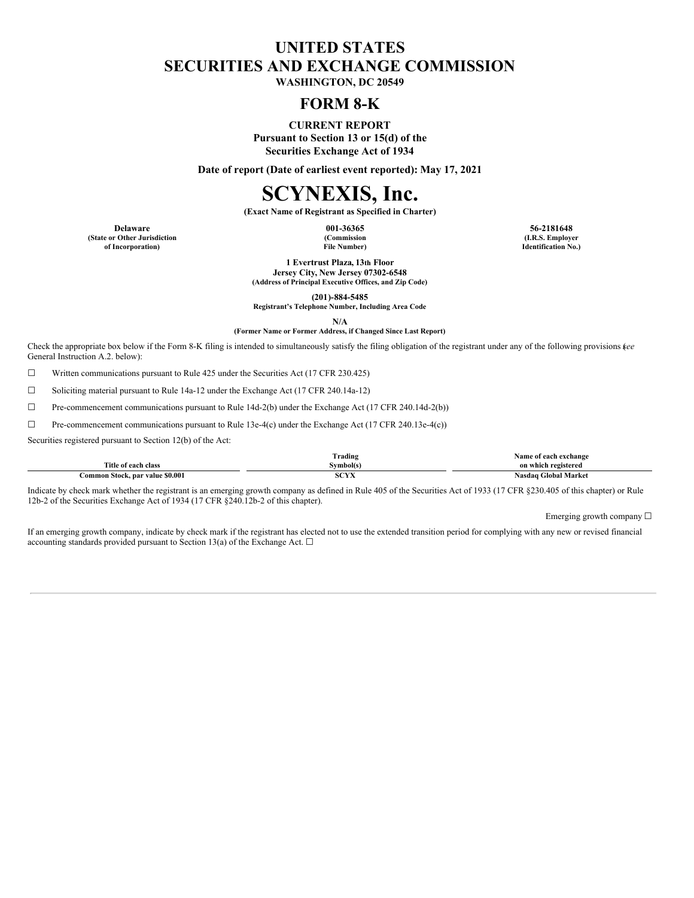# **UNITED STATES SECURITIES AND EXCHANGE COMMISSION**

**WASHINGTON, DC 20549**

# **FORM 8-K**

**CURRENT REPORT Pursuant to Section 13 or 15(d) of the Securities Exchange Act of 1934**

**Date of report (Date of earliest event reported): May 17, 2021**

# **SCYNEXIS, Inc.**

**(Exact Name of Registrant as Specified in Charter)**

**(State or Other Jurisdiction of Incorporation)**

**(Commission File Number)**

**Delaware 001-36365 56-2181648 (I.R.S. Employer Identification No.)**

> **1 Evertrust Plaza, 13th Floor Jersey City, New Jersey 07302-6548 (Address of Principal Executive Offices, and Zip Code)**

> > **(201)-884-5485**

**Registrant's Telephone Number, Including Area Code**

**N/A**

**(Former Name or Former Address, if Changed Since Last Report)**

Check the appropriate box below if the Form 8-K filing is intended to simultaneously satisfy the filing obligation of the registrant under any of the following provisions (*see* General Instruction A.2. below):

☐ Written communications pursuant to Rule 425 under the Securities Act (17 CFR 230.425)

☐ Soliciting material pursuant to Rule 14a-12 under the Exchange Act (17 CFR 240.14a-12)

 $\Box$  Pre-commencement communications pursuant to Rule 14d-2(b) under the Exchange Act (17 CFR 240.14d-2(b))

☐ Pre-commencement communications pursuant to Rule 13e-4(c) under the Exchange Act (17 CFR 240.13e-4(c))

Securities registered pursuant to Section 12(b) of the Act:

|                                  | $\sim$<br>l`rading            | same<br>of each exchange                |
|----------------------------------|-------------------------------|-----------------------------------------|
| <b>Title</b><br>e of each class  | Svmbol(s`                     | on which registered                     |
| Stock, par value \$0.001<br>amm. | <b>TAXA</b><br>ov.<br>- 12.23 | <b>Global Market</b><br>Nasdag <b>'</b> |

Indicate by check mark whether the registrant is an emerging growth company as defined in Rule 405 of the Securities Act of 1933 (17 CFR §230.405 of this chapter) or Rule 12b-2 of the Securities Exchange Act of 1934 (17 CFR §240.12b-2 of this chapter).

Emerging growth company  $\Box$ 

If an emerging growth company, indicate by check mark if the registrant has elected not to use the extended transition period for complying with any new or revised financial accounting standards provided pursuant to Section 13(a) of the Exchange Act.  $\Box$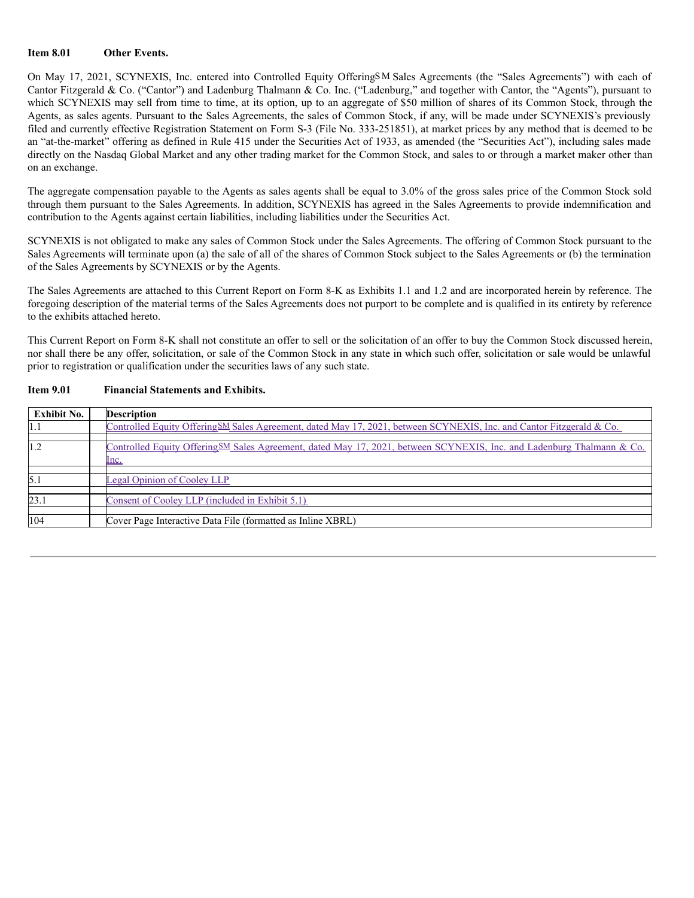## **Item 8.01 Other Events.**

On May 17, 2021, SCYNEXIS, Inc. entered into Controlled Equity OfferingSM Sales Agreements (the "Sales Agreements") with each of Cantor Fitzgerald & Co. ("Cantor") and Ladenburg Thalmann & Co. Inc. ("Ladenburg," and together with Cantor, the "Agents"), pursuant to which SCYNEXIS may sell from time to time, at its option, up to an aggregate of \$50 million of shares of its Common Stock, through the Agents, as sales agents. Pursuant to the Sales Agreements, the sales of Common Stock, if any, will be made under SCYNEXIS's previously filed and currently effective Registration Statement on Form S-3 (File No. 333-251851), at market prices by any method that is deemed to be an "at-the-market" offering as defined in Rule 415 under the Securities Act of 1933, as amended (the "Securities Act"), including sales made directly on the Nasdaq Global Market and any other trading market for the Common Stock, and sales to or through a market maker other than on an exchange.

The aggregate compensation payable to the Agents as sales agents shall be equal to 3.0% of the gross sales price of the Common Stock sold through them pursuant to the Sales Agreements. In addition, SCYNEXIS has agreed in the Sales Agreements to provide indemnification and contribution to the Agents against certain liabilities, including liabilities under the Securities Act.

SCYNEXIS is not obligated to make any sales of Common Stock under the Sales Agreements. The offering of Common Stock pursuant to the Sales Agreements will terminate upon (a) the sale of all of the shares of Common Stock subject to the Sales Agreements or (b) the termination of the Sales Agreements by SCYNEXIS or by the Agents.

The Sales Agreements are attached to this Current Report on Form 8-K as Exhibits 1.1 and 1.2 and are incorporated herein by reference. The foregoing description of the material terms of the Sales Agreements does not purport to be complete and is qualified in its entirety by reference to the exhibits attached hereto.

This Current Report on Form 8-K shall not constitute an offer to sell or the solicitation of an offer to buy the Common Stock discussed herein, nor shall there be any offer, solicitation, or sale of the Common Stock in any state in which such offer, solicitation or sale would be unlawful prior to registration or qualification under the securities laws of any such state.

## **Item 9.01 Financial Statements and Exhibits.**

| <b>Exhibit No.</b> | <b>Description</b>                                                                                                                    |
|--------------------|---------------------------------------------------------------------------------------------------------------------------------------|
| 1.1                | Controlled Equity Offering SM Sales Agreement, dated May 17, 2021, between SCYNEXIS, Inc. and Cantor Fitzgerald & Co.                 |
| 1.2                | Controlled Equity Offering SM Sales Agreement, dated May 17, 2021, between SCYNEXIS, Inc. and Ladenburg Thalmann & Co.<br><u>lnc.</u> |
| 5.1                | Legal Opinion of Cooley LLP                                                                                                           |
| 23.1               | Consent of Cooley LLP (included in Exhibit 5.1)                                                                                       |
| 104                | Cover Page Interactive Data File (formatted as Inline XBRL)                                                                           |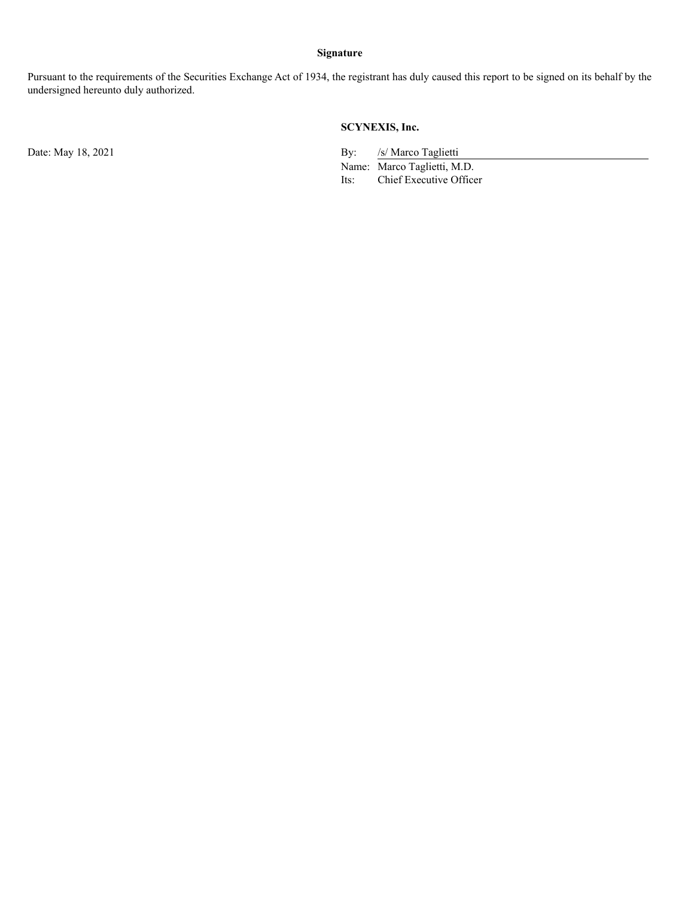# **Signature**

Pursuant to the requirements of the Securities Exchange Act of 1934, the registrant has duly caused this report to be signed on its behalf by the undersigned hereunto duly authorized.

# **SCYNEXIS, Inc.**

Date: May 18, 2021 By: /s/ Marco Taglietti

Name: Marco Taglietti, M.D. Its: Chief Executive Officer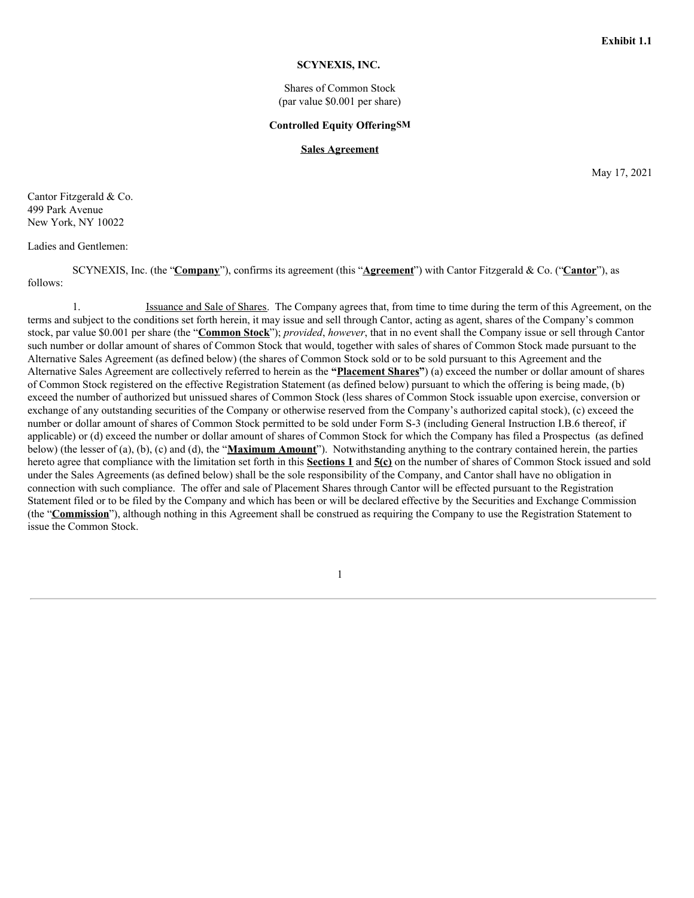#### **SCYNEXIS, INC.**

Shares of Common Stock (par value \$0.001 per share)

#### **Controlled Equity OfferingSM**

#### **Sales Agreement**

May 17, 2021

Cantor Fitzgerald & Co. 499 Park Avenue New York, NY 10022

## Ladies and Gentlemen:

SCYNEXIS, Inc. (the "**Company**"), confirms its agreement (this "**Agreement**") with Cantor Fitzgerald & Co. ("**Cantor**"), as follows:

1. Issuance and Sale of Shares. The Company agrees that, from time to time during the term of this Agreement, on the terms and subject to the conditions set forth herein, it may issue and sell through Cantor, acting as agent, shares of the Company's common stock, par value \$0.001 per share (the "**Common Stock**"); *provided*, *however*, that in no event shall the Company issue or sell through Cantor such number or dollar amount of shares of Common Stock that would, together with sales of shares of Common Stock made pursuant to the Alternative Sales Agreement (as defined below) (the shares of Common Stock sold or to be sold pursuant to this Agreement and the Alternative Sales Agreement are collectively referred to herein as the **"Placement Shares"**) (a) exceed the number or dollar amount of shares of Common Stock registered on the effective Registration Statement (as defined below) pursuant to which the offering is being made, (b) exceed the number of authorized but unissued shares of Common Stock (less shares of Common Stock issuable upon exercise, conversion or exchange of any outstanding securities of the Company or otherwise reserved from the Company's authorized capital stock), (c) exceed the number or dollar amount of shares of Common Stock permitted to be sold under Form S-3 (including General Instruction I.B.6 thereof, if applicable) or (d) exceed the number or dollar amount of shares of Common Stock for which the Company has filed a Prospectus (as defined below) (the lesser of (a), (b), (c) and (d), the "**Maximum Amount**"). Notwithstanding anything to the contrary contained herein, the parties hereto agree that compliance with the limitation set forth in this **Sections 1** and **5(c)** on the number of shares of Common Stock issued and sold under the Sales Agreements (as defined below) shall be the sole responsibility of the Company, and Cantor shall have no obligation in connection with such compliance. The offer and sale of Placement Shares through Cantor will be effected pursuant to the Registration Statement filed or to be filed by the Company and which has been or will be declared effective by the Securities and Exchange Commission (the "**Commission**"), although nothing in this Agreement shall be construed as requiring the Company to use the Registration Statement to issue the Common Stock.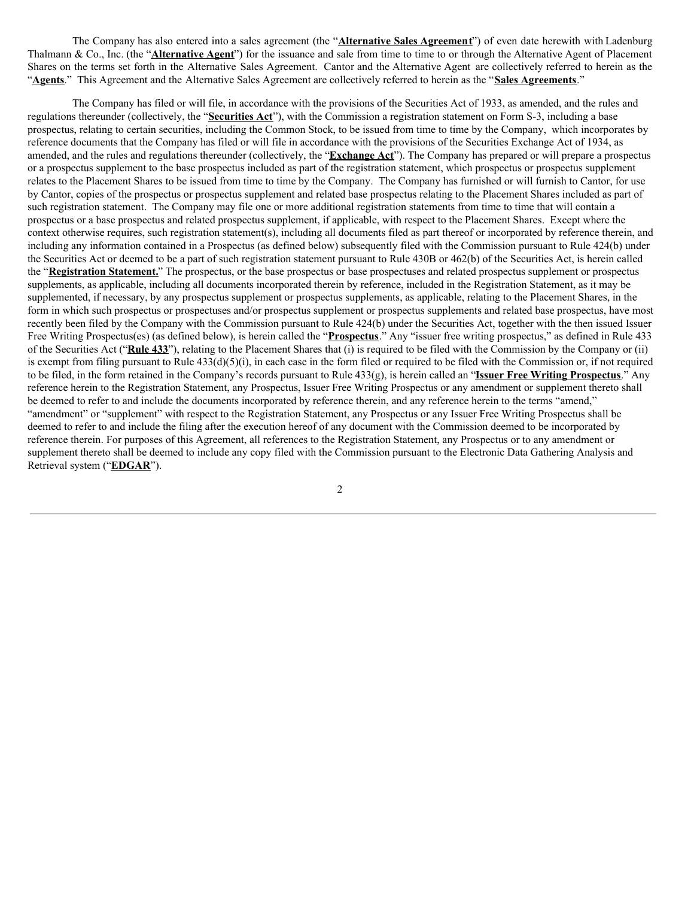The Company has also entered into a sales agreement (the "**Alternative Sales Agreement**") of even date herewith with Ladenburg Thalmann & Co., Inc. (the "**Alternative Agent**") for the issuance and sale from time to time to or through the Alternative Agent of Placement Shares on the terms set forth in the Alternative Sales Agreement. Cantor and the Alternative Agent are collectively referred to herein as the "**Agents**." This Agreement and the Alternative Sales Agreement are collectively referred to herein as the "**Sales Agreements**."

The Company has filed or will file, in accordance with the provisions of the Securities Act of 1933, as amended, and the rules and regulations thereunder (collectively, the "**Securities Act**"), with the Commission a registration statement on Form S-3, including a base prospectus, relating to certain securities, including the Common Stock, to be issued from time to time by the Company, which incorporates by reference documents that the Company has filed or will file in accordance with the provisions of the Securities Exchange Act of 1934, as amended, and the rules and regulations thereunder (collectively, the "**Exchange Act**"). The Company has prepared or will prepare a prospectus or a prospectus supplement to the base prospectus included as part of the registration statement, which prospectus or prospectus supplement relates to the Placement Shares to be issued from time to time by the Company. The Company has furnished or will furnish to Cantor, for use by Cantor, copies of the prospectus or prospectus supplement and related base prospectus relating to the Placement Shares included as part of such registration statement. The Company may file one or more additional registration statements from time to time that will contain a prospectus or a base prospectus and related prospectus supplement, if applicable, with respect to the Placement Shares. Except where the context otherwise requires, such registration statement(s), including all documents filed as part thereof or incorporated by reference therein, and including any information contained in a Prospectus (as defined below) subsequently filed with the Commission pursuant to Rule 424(b) under the Securities Act or deemed to be a part of such registration statement pursuant to Rule 430B or 462(b) of the Securities Act, is herein called the "**Registration Statement.**" The prospectus, or the base prospectus or base prospectuses and related prospectus supplement or prospectus supplements, as applicable, including all documents incorporated therein by reference, included in the Registration Statement, as it may be supplemented, if necessary, by any prospectus supplement or prospectus supplements, as applicable, relating to the Placement Shares, in the form in which such prospectus or prospectuses and/or prospectus supplement or prospectus supplements and related base prospectus, have most recently been filed by the Company with the Commission pursuant to Rule 424(b) under the Securities Act, together with the then issued Issuer Free Writing Prospectus(es) (as defined below), is herein called the "**Prospectus**." Any "issuer free writing prospectus," as defined in Rule 433 of the Securities Act ("**Rule 433**"), relating to the Placement Shares that (i) is required to be filed with the Commission by the Company or (ii) is exempt from filing pursuant to Rule  $433(d)(5)(i)$ , in each case in the form filed or required to be filed with the Commission or, if not required to be filed, in the form retained in the Company's records pursuant to Rule 433(g), is herein called an "**Issuer Free Writing Prospectus**." Any reference herein to the Registration Statement, any Prospectus, Issuer Free Writing Prospectus or any amendment or supplement thereto shall be deemed to refer to and include the documents incorporated by reference therein, and any reference herein to the terms "amend," "amendment" or "supplement" with respect to the Registration Statement, any Prospectus or any Issuer Free Writing Prospectus shall be deemed to refer to and include the filing after the execution hereof of any document with the Commission deemed to be incorporated by reference therein. For purposes of this Agreement, all references to the Registration Statement, any Prospectus or to any amendment or supplement thereto shall be deemed to include any copy filed with the Commission pursuant to the Electronic Data Gathering Analysis and Retrieval system ("**EDGAR**").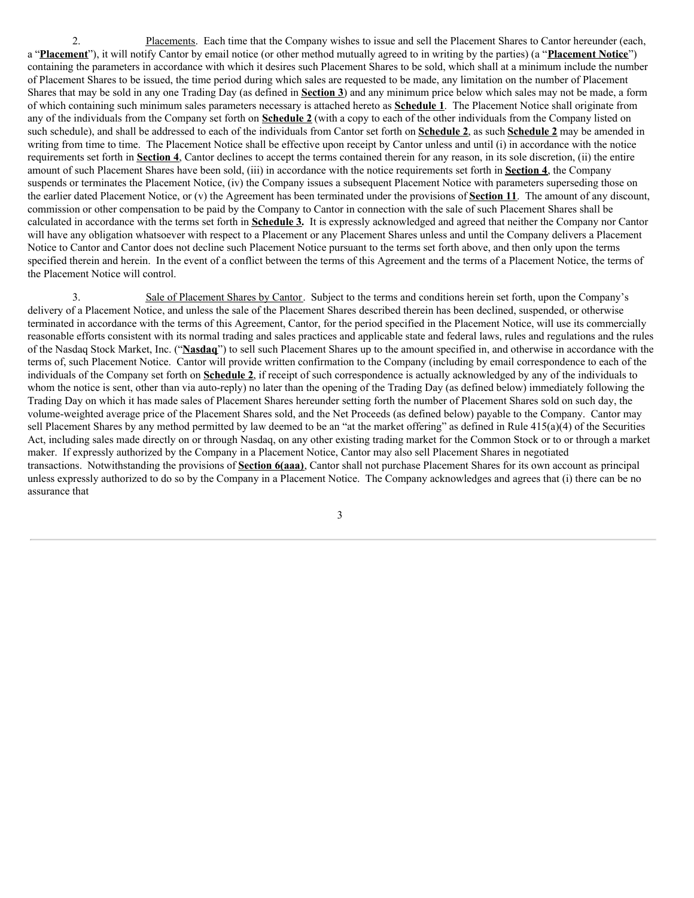2. Placements. Each time that the Company wishes to issue and sell the Placement Shares to Cantor hereunder (each, a "**Placement**"), it will notify Cantor by email notice (or other method mutually agreed to in writing by the parties) (a "**Placement Notice**") containing the parameters in accordance with which it desires such Placement Shares to be sold, which shall at a minimum include the number of Placement Shares to be issued, the time period during which sales are requested to be made, any limitation on the number of Placement Shares that may be sold in any one Trading Day (as defined in **Section 3**) and any minimum price below which sales may not be made, a form of which containing such minimum sales parameters necessary is attached hereto as **Schedule 1**. The Placement Notice shall originate from any of the individuals from the Company set forth on **Schedule 2** (with a copy to each of the other individuals from the Company listed on such schedule), and shall be addressed to each of the individuals from Cantor set forth on **Schedule 2**, as such **Schedule 2** may be amended in writing from time to time. The Placement Notice shall be effective upon receipt by Cantor unless and until (i) in accordance with the notice requirements set forth in **Section 4**, Cantor declines to accept the terms contained therein for any reason, in its sole discretion, (ii) the entire amount of such Placement Shares have been sold, (iii) in accordance with the notice requirements set forth in **Section 4**, the Company suspends or terminates the Placement Notice, (iv) the Company issues a subsequent Placement Notice with parameters superseding those on the earlier dated Placement Notice, or (v) the Agreement has been terminated under the provisions of **Section 11**. The amount of any discount, commission or other compensation to be paid by the Company to Cantor in connection with the sale of such Placement Shares shall be calculated in accordance with the terms set forth in **Schedule 3.** It is expressly acknowledged and agreed that neither the Company nor Cantor will have any obligation whatsoever with respect to a Placement or any Placement Shares unless and until the Company delivers a Placement Notice to Cantor and Cantor does not decline such Placement Notice pursuant to the terms set forth above, and then only upon the terms specified therein and herein. In the event of a conflict between the terms of this Agreement and the terms of a Placement Notice, the terms of the Placement Notice will control.

3. Sale of Placement Shares by Cantor. Subject to the terms and conditions herein set forth, upon the Company's delivery of a Placement Notice, and unless the sale of the Placement Shares described therein has been declined, suspended, or otherwise terminated in accordance with the terms of this Agreement, Cantor, for the period specified in the Placement Notice, will use its commercially reasonable efforts consistent with its normal trading and sales practices and applicable state and federal laws, rules and regulations and the rules of the Nasdaq Stock Market, Inc. ("**Nasdaq**") to sell such Placement Shares up to the amount specified in, and otherwise in accordance with the terms of, such Placement Notice. Cantor will provide written confirmation to the Company (including by email correspondence to each of the individuals of the Company set forth on **Schedule 2**, if receipt of such correspondence is actually acknowledged by any of the individuals to whom the notice is sent, other than via auto-reply) no later than the opening of the Trading Day (as defined below) immediately following the Trading Day on which it has made sales of Placement Shares hereunder setting forth the number of Placement Shares sold on such day, the volume-weighted average price of the Placement Shares sold, and the Net Proceeds (as defined below) payable to the Company. Cantor may sell Placement Shares by any method permitted by law deemed to be an "at the market offering" as defined in Rule 415(a)(4) of the Securities Act, including sales made directly on or through Nasdaq, on any other existing trading market for the Common Stock or to or through a market maker. If expressly authorized by the Company in a Placement Notice, Cantor may also sell Placement Shares in negotiated transactions. Notwithstanding the provisions of **Section 6(aaa)**, Cantor shall not purchase Placement Shares for its own account as principal unless expressly authorized to do so by the Company in a Placement Notice. The Company acknowledges and agrees that (i) there can be no assurance that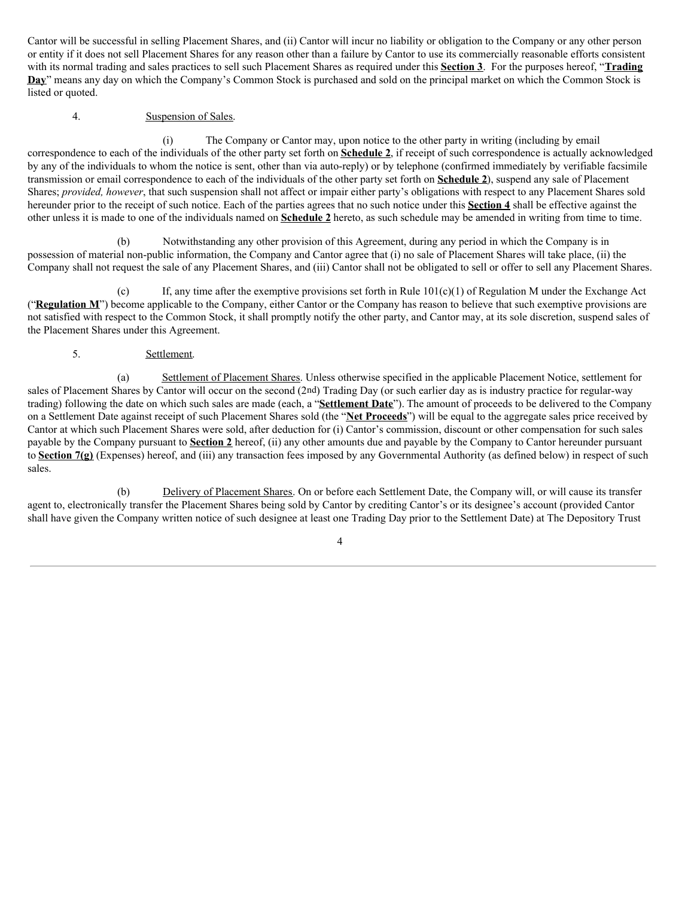Cantor will be successful in selling Placement Shares, and (ii) Cantor will incur no liability or obligation to the Company or any other person or entity if it does not sell Placement Shares for any reason other than a failure by Cantor to use its commercially reasonable efforts consistent with its normal trading and sales practices to sell such Placement Shares as required under this **Section 3**. For the purposes hereof, "**Trading Day**" means any day on which the Company's Common Stock is purchased and sold on the principal market on which the Common Stock is listed or quoted.

# 4. Suspension of Sales.

(i) The Company or Cantor may, upon notice to the other party in writing (including by email correspondence to each of the individuals of the other party set forth on **Schedule 2**, if receipt of such correspondence is actually acknowledged by any of the individuals to whom the notice is sent, other than via auto-reply) or by telephone (confirmed immediately by verifiable facsimile transmission or email correspondence to each of the individuals of the other party set forth on **Schedule 2**), suspend any sale of Placement Shares; *provided, however*, that such suspension shall not affect or impair either party's obligations with respect to any Placement Shares sold hereunder prior to the receipt of such notice. Each of the parties agrees that no such notice under this **Section 4** shall be effective against the other unless it is made to one of the individuals named on **Schedule 2** hereto, as such schedule may be amended in writing from time to time.

(b) Notwithstanding any other provision of this Agreement, during any period in which the Company is in possession of material non-public information, the Company and Cantor agree that (i) no sale of Placement Shares will take place, (ii) the Company shall not request the sale of any Placement Shares, and (iii) Cantor shall not be obligated to sell or offer to sell any Placement Shares.

(c) If, any time after the exemptive provisions set forth in Rule  $101(c)(1)$  of Regulation M under the Exchange Act ("**Regulation M**") become applicable to the Company, either Cantor or the Company has reason to believe that such exemptive provisions are not satisfied with respect to the Common Stock, it shall promptly notify the other party, and Cantor may, at its sole discretion, suspend sales of the Placement Shares under this Agreement.

# 5. Settlement.

(a) Settlement of Placement Shares. Unless otherwise specified in the applicable Placement Notice, settlement for sales of Placement Shares by Cantor will occur on the second (2nd) Trading Day (or such earlier day as is industry practice for regular-way trading) following the date on which such sales are made (each, a "**Settlement Date**"). The amount of proceeds to be delivered to the Company on a Settlement Date against receipt of such Placement Shares sold (the "**Net Proceeds**") will be equal to the aggregate sales price received by Cantor at which such Placement Shares were sold, after deduction for (i) Cantor's commission, discount or other compensation for such sales payable by the Company pursuant to **Section 2** hereof, (ii) any other amounts due and payable by the Company to Cantor hereunder pursuant to **Section 7(g)** (Expenses) hereof, and (iii) any transaction fees imposed by any Governmental Authority (as defined below) in respect of such sales.

(b) Delivery of Placement Shares. On or before each Settlement Date, the Company will, or will cause its transfer agent to, electronically transfer the Placement Shares being sold by Cantor by crediting Cantor's or its designee's account (provided Cantor shall have given the Company written notice of such designee at least one Trading Day prior to the Settlement Date) at The Depository Trust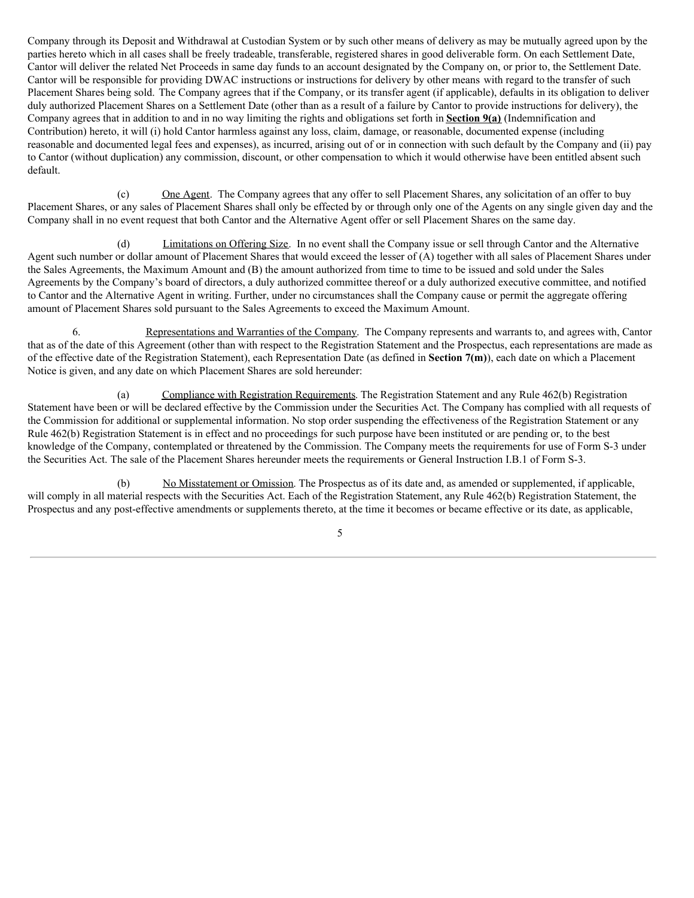Company through its Deposit and Withdrawal at Custodian System or by such other means of delivery as may be mutually agreed upon by the parties hereto which in all cases shall be freely tradeable, transferable, registered shares in good deliverable form. On each Settlement Date, Cantor will deliver the related Net Proceeds in same day funds to an account designated by the Company on, or prior to, the Settlement Date. Cantor will be responsible for providing DWAC instructions or instructions for delivery by other means with regard to the transfer of such Placement Shares being sold. The Company agrees that if the Company, or its transfer agent (if applicable), defaults in its obligation to deliver duly authorized Placement Shares on a Settlement Date (other than as a result of a failure by Cantor to provide instructions for delivery), the Company agrees that in addition to and in no way limiting the rights and obligations set forth in **Section 9(a)** (Indemnification and Contribution) hereto, it will (i) hold Cantor harmless against any loss, claim, damage, or reasonable, documented expense (including reasonable and documented legal fees and expenses), as incurred, arising out of or in connection with such default by the Company and (ii) pay to Cantor (without duplication) any commission, discount, or other compensation to which it would otherwise have been entitled absent such default.

(c) One Agent. The Company agrees that any offer to sell Placement Shares, any solicitation of an offer to buy Placement Shares, or any sales of Placement Shares shall only be effected by or through only one of the Agents on any single given day and the Company shall in no event request that both Cantor and the Alternative Agent offer or sell Placement Shares on the same day.

(d) Limitations on Offering Size. In no event shall the Company issue or sell through Cantor and the Alternative Agent such number or dollar amount of Placement Shares that would exceed the lesser of (A) together with all sales of Placement Shares under the Sales Agreements, the Maximum Amount and (B) the amount authorized from time to time to be issued and sold under the Sales Agreements by the Company's board of directors, a duly authorized committee thereof or a duly authorized executive committee, and notified to Cantor and the Alternative Agent in writing. Further, under no circumstances shall the Company cause or permit the aggregate offering amount of Placement Shares sold pursuant to the Sales Agreements to exceed the Maximum Amount.

6. Representations and Warranties of the Company. The Company represents and warrants to, and agrees with, Cantor that as of the date of this Agreement (other than with respect to the Registration Statement and the Prospectus, each representations are made as of the effective date of the Registration Statement), each Representation Date (as defined in **Section 7(m)**), each date on which a Placement Notice is given, and any date on which Placement Shares are sold hereunder:

(a) Compliance with Registration Requirements. The Registration Statement and any Rule 462(b) Registration Statement have been or will be declared effective by the Commission under the Securities Act. The Company has complied with all requests of the Commission for additional or supplemental information. No stop order suspending the effectiveness of the Registration Statement or any Rule 462(b) Registration Statement is in effect and no proceedings for such purpose have been instituted or are pending or, to the best knowledge of the Company, contemplated or threatened by the Commission. The Company meets the requirements for use of Form S-3 under the Securities Act. The sale of the Placement Shares hereunder meets the requirements or General Instruction I.B.1 of Form S-3.

(b) No Misstatement or Omission. The Prospectus as of its date and, as amended or supplemented, if applicable, will comply in all material respects with the Securities Act. Each of the Registration Statement, any Rule 462(b) Registration Statement, the Prospectus and any post-effective amendments or supplements thereto, at the time it becomes or became effective or its date, as applicable,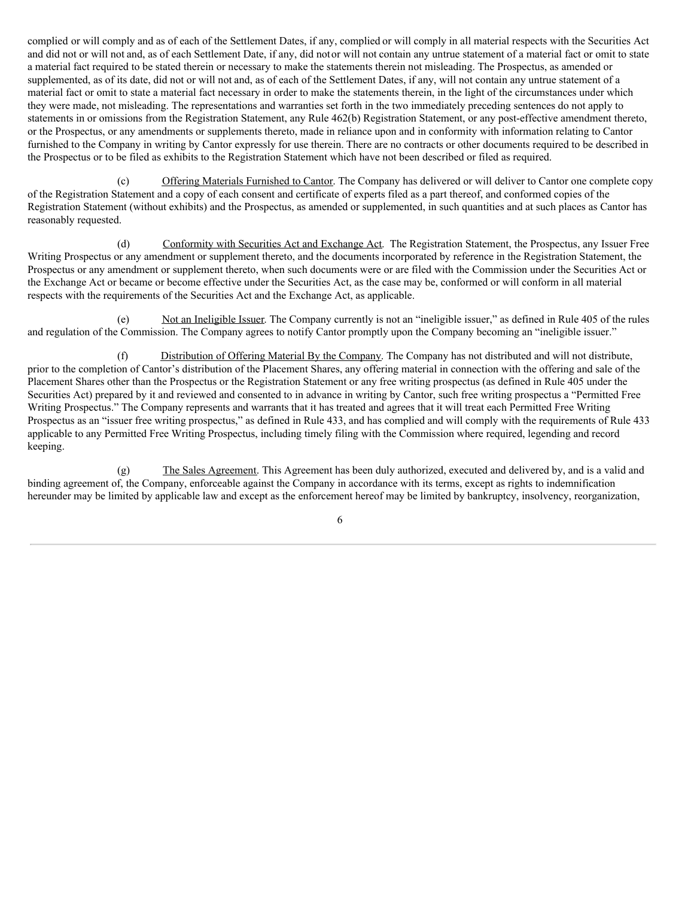complied or will comply and as of each of the Settlement Dates, if any, complied or will comply in all material respects with the Securities Act and did not or will not and, as of each Settlement Date, if any, did notor will not contain any untrue statement of a material fact or omit to state a material fact required to be stated therein or necessary to make the statements therein not misleading. The Prospectus, as amended or supplemented, as of its date, did not or will not and, as of each of the Settlement Dates, if any, will not contain any untrue statement of a material fact or omit to state a material fact necessary in order to make the statements therein, in the light of the circumstances under which they were made, not misleading. The representations and warranties set forth in the two immediately preceding sentences do not apply to statements in or omissions from the Registration Statement, any Rule 462(b) Registration Statement, or any post-effective amendment thereto, or the Prospectus, or any amendments or supplements thereto, made in reliance upon and in conformity with information relating to Cantor furnished to the Company in writing by Cantor expressly for use therein. There are no contracts or other documents required to be described in the Prospectus or to be filed as exhibits to the Registration Statement which have not been described or filed as required.

(c) Offering Materials Furnished to Cantor. The Company has delivered or will deliver to Cantor one complete copy of the Registration Statement and a copy of each consent and certificate of experts filed as a part thereof, and conformed copies of the Registration Statement (without exhibits) and the Prospectus, as amended or supplemented, in such quantities and at such places as Cantor has reasonably requested.

(d) Conformity with Securities Act and Exchange Act. The Registration Statement, the Prospectus, any Issuer Free Writing Prospectus or any amendment or supplement thereto, and the documents incorporated by reference in the Registration Statement, the Prospectus or any amendment or supplement thereto, when such documents were or are filed with the Commission under the Securities Act or the Exchange Act or became or become effective under the Securities Act, as the case may be, conformed or will conform in all material respects with the requirements of the Securities Act and the Exchange Act, as applicable.

(e) Not an Ineligible Issuer. The Company currently is not an "ineligible issuer," as defined in Rule 405 of the rules and regulation of the Commission. The Company agrees to notify Cantor promptly upon the Company becoming an "ineligible issuer."

(f) Distribution of Offering Material By the Company. The Company has not distributed and will not distribute, prior to the completion of Cantor's distribution of the Placement Shares, any offering material in connection with the offering and sale of the Placement Shares other than the Prospectus or the Registration Statement or any free writing prospectus (as defined in Rule 405 under the Securities Act) prepared by it and reviewed and consented to in advance in writing by Cantor, such free writing prospectus a "Permitted Free Writing Prospectus." The Company represents and warrants that it has treated and agrees that it will treat each Permitted Free Writing Prospectus as an "issuer free writing prospectus," as defined in Rule 433, and has complied and will comply with the requirements of Rule 433 applicable to any Permitted Free Writing Prospectus, including timely filing with the Commission where required, legending and record keeping.

(g) The Sales Agreement. This Agreement has been duly authorized, executed and delivered by, and is a valid and binding agreement of, the Company, enforceable against the Company in accordance with its terms, except as rights to indemnification hereunder may be limited by applicable law and except as the enforcement hereof may be limited by bankruptcy, insolvency, reorganization,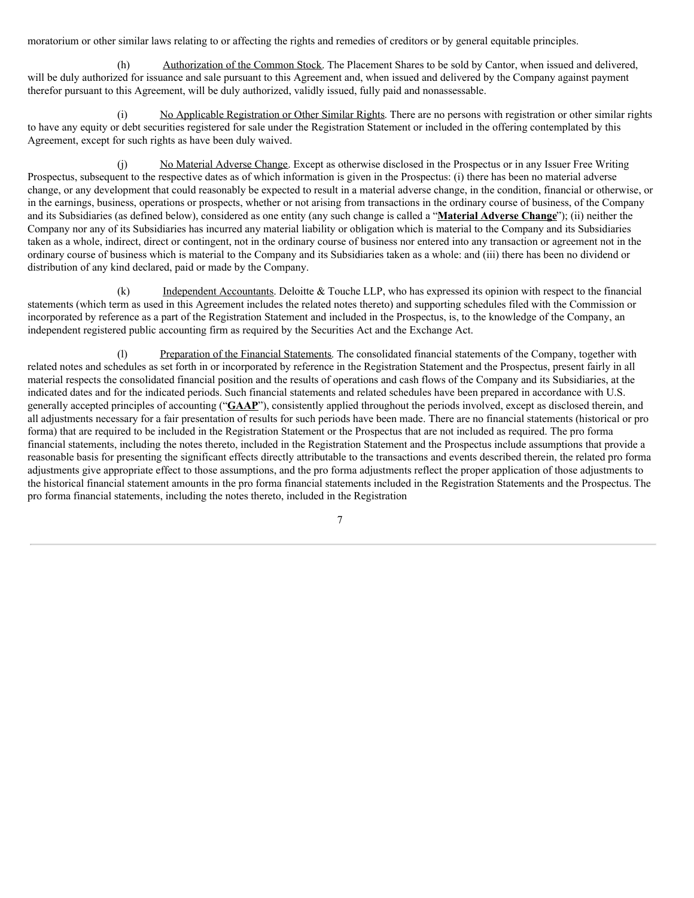moratorium or other similar laws relating to or affecting the rights and remedies of creditors or by general equitable principles.

(h) Authorization of the Common Stock. The Placement Shares to be sold by Cantor, when issued and delivered, will be duly authorized for issuance and sale pursuant to this Agreement and, when issued and delivered by the Company against payment therefor pursuant to this Agreement, will be duly authorized, validly issued, fully paid and nonassessable.

(i) No Applicable Registration or Other Similar Rights. There are no persons with registration or other similar rights to have any equity or debt securities registered for sale under the Registration Statement or included in the offering contemplated by this Agreement, except for such rights as have been duly waived.

No Material Adverse Change. Except as otherwise disclosed in the Prospectus or in any Issuer Free Writing Prospectus, subsequent to the respective dates as of which information is given in the Prospectus: (i) there has been no material adverse change, or any development that could reasonably be expected to result in a material adverse change, in the condition, financial or otherwise, or in the earnings, business, operations or prospects, whether or not arising from transactions in the ordinary course of business, of the Company and its Subsidiaries (as defined below), considered as one entity (any such change is called a "**Material Adverse Change**"); (ii) neither the Company nor any of its Subsidiaries has incurred any material liability or obligation which is material to the Company and its Subsidiaries taken as a whole, indirect, direct or contingent, not in the ordinary course of business nor entered into any transaction or agreement not in the ordinary course of business which is material to the Company and its Subsidiaries taken as a whole: and (iii) there has been no dividend or distribution of any kind declared, paid or made by the Company.

(k) Independent Accountants. Deloitte & Touche LLP, who has expressed its opinion with respect to the financial statements (which term as used in this Agreement includes the related notes thereto) and supporting schedules filed with the Commission or incorporated by reference as a part of the Registration Statement and included in the Prospectus, is, to the knowledge of the Company, an independent registered public accounting firm as required by the Securities Act and the Exchange Act.

(l) Preparation of the Financial Statements. The consolidated financial statements of the Company, together with related notes and schedules as set forth in or incorporated by reference in the Registration Statement and the Prospectus, present fairly in all material respects the consolidated financial position and the results of operations and cash flows of the Company and its Subsidiaries, at the indicated dates and for the indicated periods. Such financial statements and related schedules have been prepared in accordance with U.S. generally accepted principles of accounting ("**GAAP**"), consistently applied throughout the periods involved, except as disclosed therein, and all adjustments necessary for a fair presentation of results for such periods have been made. There are no financial statements (historical or pro forma) that are required to be included in the Registration Statement or the Prospectus that are not included as required. The pro forma financial statements, including the notes thereto, included in the Registration Statement and the Prospectus include assumptions that provide a reasonable basis for presenting the significant effects directly attributable to the transactions and events described therein, the related pro forma adjustments give appropriate effect to those assumptions, and the pro forma adjustments reflect the proper application of those adjustments to the historical financial statement amounts in the pro forma financial statements included in the Registration Statements and the Prospectus. The pro forma financial statements, including the notes thereto, included in the Registration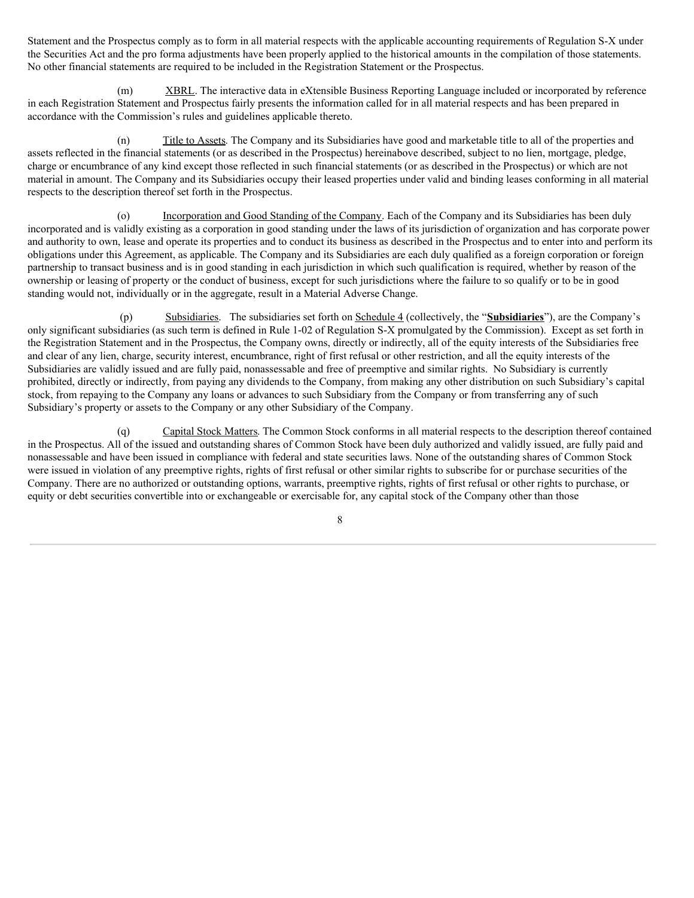Statement and the Prospectus comply as to form in all material respects with the applicable accounting requirements of Regulation S-X under the Securities Act and the pro forma adjustments have been properly applied to the historical amounts in the compilation of those statements. No other financial statements are required to be included in the Registration Statement or the Prospectus.

(m) XBRL. The interactive data in eXtensible Business Reporting Language included or incorporated by reference in each Registration Statement and Prospectus fairly presents the information called for in all material respects and has been prepared in accordance with the Commission's rules and guidelines applicable thereto.

(n) Title to Assets. The Company and its Subsidiaries have good and marketable title to all of the properties and assets reflected in the financial statements (or as described in the Prospectus) hereinabove described, subject to no lien, mortgage, pledge, charge or encumbrance of any kind except those reflected in such financial statements (or as described in the Prospectus) or which are not material in amount. The Company and its Subsidiaries occupy their leased properties under valid and binding leases conforming in all material respects to the description thereof set forth in the Prospectus.

(o) Incorporation and Good Standing of the Company. Each of the Company and its Subsidiaries has been duly incorporated and is validly existing as a corporation in good standing under the laws of its jurisdiction of organization and has corporate power and authority to own, lease and operate its properties and to conduct its business as described in the Prospectus and to enter into and perform its obligations under this Agreement, as applicable. The Company and its Subsidiaries are each duly qualified as a foreign corporation or foreign partnership to transact business and is in good standing in each jurisdiction in which such qualification is required, whether by reason of the ownership or leasing of property or the conduct of business, except for such jurisdictions where the failure to so qualify or to be in good standing would not, individually or in the aggregate, result in a Material Adverse Change.

(p) Subsidiaries. The subsidiaries set forth on Schedule 4 (collectively, the "**Subsidiaries**"), are the Company's only significant subsidiaries (as such term is defined in Rule 1‑02 of Regulation S‑X promulgated by the Commission). Except as set forth in the Registration Statement and in the Prospectus, the Company owns, directly or indirectly, all of the equity interests of the Subsidiaries free and clear of any lien, charge, security interest, encumbrance, right of first refusal or other restriction, and all the equity interests of the Subsidiaries are validly issued and are fully paid, nonassessable and free of preemptive and similar rights. No Subsidiary is currently prohibited, directly or indirectly, from paying any dividends to the Company, from making any other distribution on such Subsidiary's capital stock, from repaying to the Company any loans or advances to such Subsidiary from the Company or from transferring any of such Subsidiary's property or assets to the Company or any other Subsidiary of the Company.

(q) Capital Stock Matters. The Common Stock conforms in all material respects to the description thereof contained in the Prospectus. All of the issued and outstanding shares of Common Stock have been duly authorized and validly issued, are fully paid and nonassessable and have been issued in compliance with federal and state securities laws. None of the outstanding shares of Common Stock were issued in violation of any preemptive rights, rights of first refusal or other similar rights to subscribe for or purchase securities of the Company. There are no authorized or outstanding options, warrants, preemptive rights, rights of first refusal or other rights to purchase, or equity or debt securities convertible into or exchangeable or exercisable for, any capital stock of the Company other than those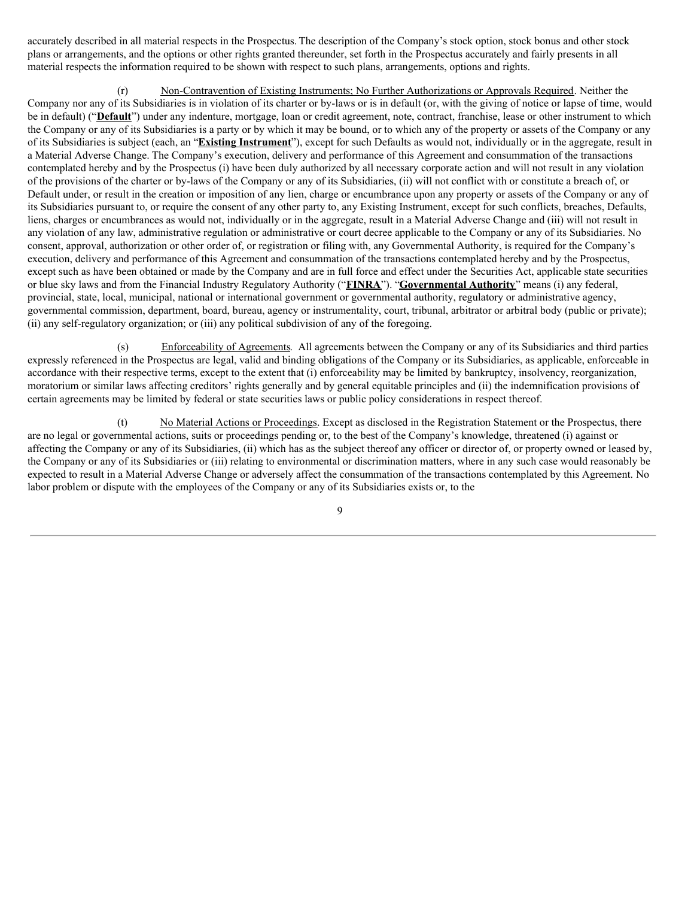accurately described in all material respects in the Prospectus. The description of the Company's stock option, stock bonus and other stock plans or arrangements, and the options or other rights granted thereunder, set forth in the Prospectus accurately and fairly presents in all material respects the information required to be shown with respect to such plans, arrangements, options and rights.

(r) Non-Contravention of Existing Instruments; No Further Authorizations or Approvals Required. Neither the Company nor any of its Subsidiaries is in violation of its charter or by-laws or is in default (or, with the giving of notice or lapse of time, would be in default) ("**Default**") under any indenture, mortgage, loan or credit agreement, note, contract, franchise, lease or other instrument to which the Company or any of its Subsidiaries is a party or by which it may be bound, or to which any of the property or assets of the Company or any of its Subsidiaries is subject (each, an "**Existing Instrument**"), except for such Defaults as would not, individually or in the aggregate, result in a Material Adverse Change. The Company's execution, delivery and performance of this Agreement and consummation of the transactions contemplated hereby and by the Prospectus (i) have been duly authorized by all necessary corporate action and will not result in any violation of the provisions of the charter or by-laws of the Company or any of its Subsidiaries, (ii) will not conflict with or constitute a breach of, or Default under, or result in the creation or imposition of any lien, charge or encumbrance upon any property or assets of the Company or any of its Subsidiaries pursuant to, or require the consent of any other party to, any Existing Instrument, except for such conflicts, breaches, Defaults, liens, charges or encumbrances as would not, individually or in the aggregate, result in a Material Adverse Change and (iii) will not result in any violation of any law, administrative regulation or administrative or court decree applicable to the Company or any of its Subsidiaries. No consent, approval, authorization or other order of, or registration or filing with, any Governmental Authority, is required for the Company's execution, delivery and performance of this Agreement and consummation of the transactions contemplated hereby and by the Prospectus, except such as have been obtained or made by the Company and are in full force and effect under the Securities Act, applicable state securities or blue sky laws and from the Financial Industry Regulatory Authority ("**FINRA**"). "**Governmental Authority**" means (i) any federal, provincial, state, local, municipal, national or international government or governmental authority, regulatory or administrative agency, governmental commission, department, board, bureau, agency or instrumentality, court, tribunal, arbitrator or arbitral body (public or private); (ii) any self-regulatory organization; or (iii) any political subdivision of any of the foregoing.

(s) Enforceability of Agreements. All agreements between the Company or any of its Subsidiaries and third parties expressly referenced in the Prospectus are legal, valid and binding obligations of the Company or its Subsidiaries, as applicable, enforceable in accordance with their respective terms, except to the extent that (i) enforceability may be limited by bankruptcy, insolvency, reorganization, moratorium or similar laws affecting creditors' rights generally and by general equitable principles and (ii) the indemnification provisions of certain agreements may be limited by federal or state securities laws or public policy considerations in respect thereof.

(t) No Material Actions or Proceedings. Except as disclosed in the Registration Statement or the Prospectus, there are no legal or governmental actions, suits or proceedings pending or, to the best of the Company's knowledge, threatened (i) against or affecting the Company or any of its Subsidiaries, (ii) which has as the subject thereof any officer or director of, or property owned or leased by, the Company or any of its Subsidiaries or (iii) relating to environmental or discrimination matters, where in any such case would reasonably be expected to result in a Material Adverse Change or adversely affect the consummation of the transactions contemplated by this Agreement. No labor problem or dispute with the employees of the Company or any of its Subsidiaries exists or, to the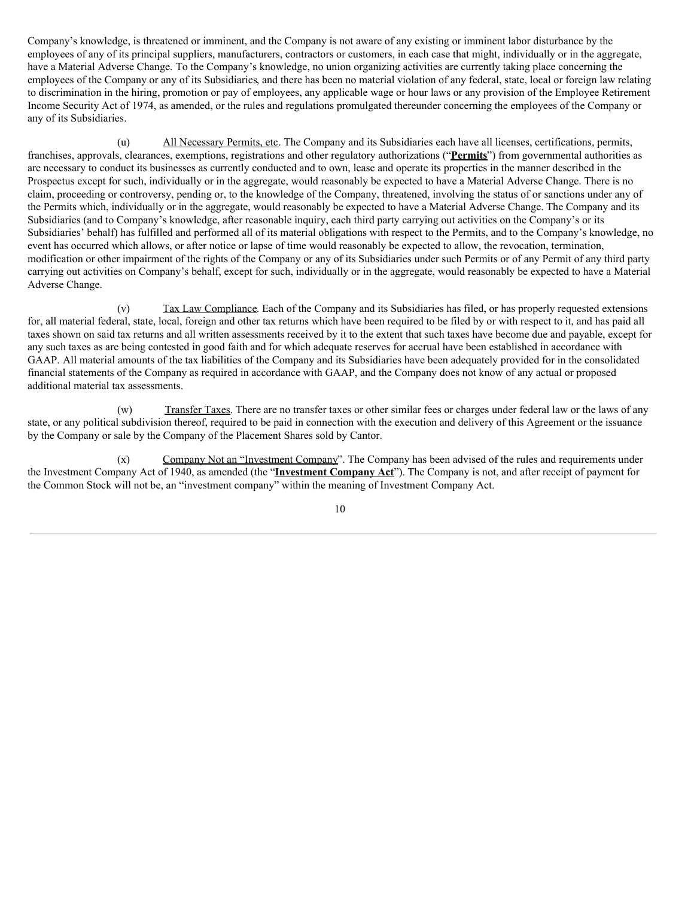Company's knowledge, is threatened or imminent, and the Company is not aware of any existing or imminent labor disturbance by the employees of any of its principal suppliers, manufacturers, contractors or customers, in each case that might, individually or in the aggregate, have a Material Adverse Change. To the Company's knowledge, no union organizing activities are currently taking place concerning the employees of the Company or any of its Subsidiaries, and there has been no material violation of any federal, state, local or foreign law relating to discrimination in the hiring, promotion or pay of employees, any applicable wage or hour laws or any provision of the Employee Retirement Income Security Act of 1974, as amended, or the rules and regulations promulgated thereunder concerning the employees of the Company or any of its Subsidiaries.

(u) All Necessary Permits, etc. The Company and its Subsidiaries each have all licenses, certifications, permits, franchises, approvals, clearances, exemptions, registrations and other regulatory authorizations ("**Permits**") from governmental authorities as are necessary to conduct its businesses as currently conducted and to own, lease and operate its properties in the manner described in the Prospectus except for such, individually or in the aggregate, would reasonably be expected to have a Material Adverse Change. There is no claim, proceeding or controversy, pending or, to the knowledge of the Company, threatened, involving the status of or sanctions under any of the Permits which, individually or in the aggregate, would reasonably be expected to have a Material Adverse Change. The Company and its Subsidiaries (and to Company's knowledge, after reasonable inquiry, each third party carrying out activities on the Company's or its Subsidiaries' behalf) has fulfilled and performed all of its material obligations with respect to the Permits, and to the Company's knowledge, no event has occurred which allows, or after notice or lapse of time would reasonably be expected to allow, the revocation, termination, modification or other impairment of the rights of the Company or any of its Subsidiaries under such Permits or of any Permit of any third party carrying out activities on Company's behalf, except for such, individually or in the aggregate, would reasonably be expected to have a Material Adverse Change.

(v) Tax Law Compliance. Each of the Company and its Subsidiaries has filed, or has properly requested extensions for, all material federal, state, local, foreign and other tax returns which have been required to be filed by or with respect to it, and has paid all taxes shown on said tax returns and all written assessments received by it to the extent that such taxes have become due and payable, except for any such taxes as are being contested in good faith and for which adequate reserves for accrual have been established in accordance with GAAP. All material amounts of the tax liabilities of the Company and its Subsidiaries have been adequately provided for in the consolidated financial statements of the Company as required in accordance with GAAP, and the Company does not know of any actual or proposed additional material tax assessments.

(w) Transfer Taxes. There are no transfer taxes or other similar fees or charges under federal law or the laws of any state, or any political subdivision thereof, required to be paid in connection with the execution and delivery of this Agreement or the issuance by the Company or sale by the Company of the Placement Shares sold by Cantor.

(x) Company Not an "Investment Company". The Company has been advised of the rules and requirements under the Investment Company Act of 1940, as amended (the "**Investment Company Act**"). The Company is not, and after receipt of payment for the Common Stock will not be, an "investment company" within the meaning of Investment Company Act.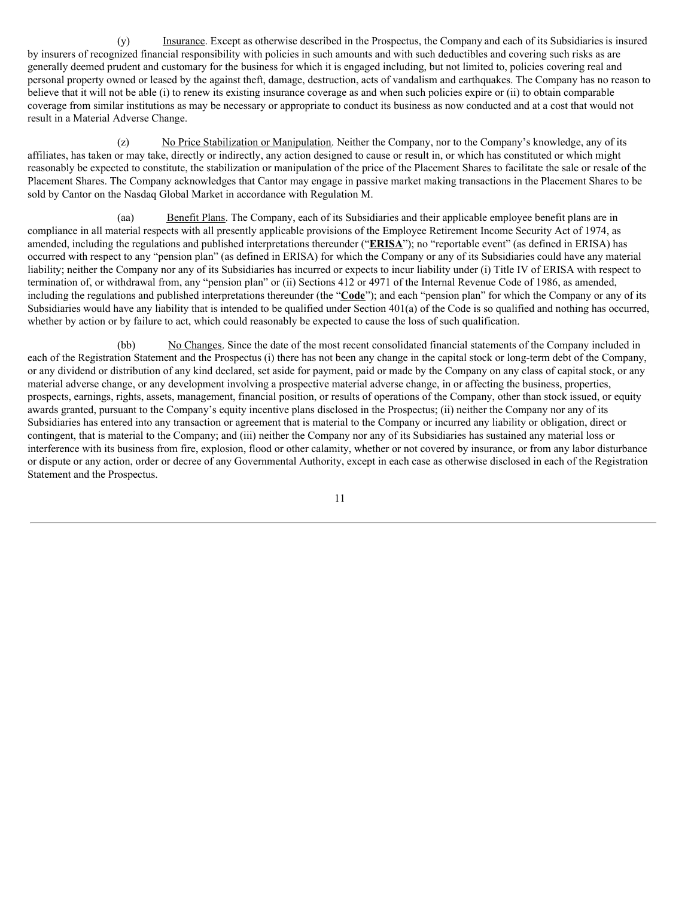(y) Insurance. Except as otherwise described in the Prospectus, the Company and each of its Subsidiaries is insured by insurers of recognized financial responsibility with policies in such amounts and with such deductibles and covering such risks as are generally deemed prudent and customary for the business for which it is engaged including, but not limited to, policies covering real and personal property owned or leased by the against theft, damage, destruction, acts of vandalism and earthquakes. The Company has no reason to believe that it will not be able (i) to renew its existing insurance coverage as and when such policies expire or (ii) to obtain comparable coverage from similar institutions as may be necessary or appropriate to conduct its business as now conducted and at a cost that would not result in a Material Adverse Change.

(z) No Price Stabilization or Manipulation. Neither the Company, nor to the Company's knowledge, any of its affiliates, has taken or may take, directly or indirectly, any action designed to cause or result in, or which has constituted or which might reasonably be expected to constitute, the stabilization or manipulation of the price of the Placement Shares to facilitate the sale or resale of the Placement Shares. The Company acknowledges that Cantor may engage in passive market making transactions in the Placement Shares to be sold by Cantor on the Nasdaq Global Market in accordance with Regulation M.

(aa) Benefit Plans. The Company, each of its Subsidiaries and their applicable employee benefit plans are in compliance in all material respects with all presently applicable provisions of the Employee Retirement Income Security Act of 1974, as amended, including the regulations and published interpretations thereunder ("**ERISA**"); no "reportable event" (as defined in ERISA) has occurred with respect to any "pension plan" (as defined in ERISA) for which the Company or any of its Subsidiaries could have any material liability; neither the Company nor any of its Subsidiaries has incurred or expects to incur liability under (i) Title IV of ERISA with respect to termination of, or withdrawal from, any "pension plan" or (ii) Sections 412 or 4971 of the Internal Revenue Code of 1986, as amended, including the regulations and published interpretations thereunder (the "**Code**"); and each "pension plan" for which the Company or any of its Subsidiaries would have any liability that is intended to be qualified under Section 401(a) of the Code is so qualified and nothing has occurred, whether by action or by failure to act, which could reasonably be expected to cause the loss of such qualification.

(bb) No Changes. Since the date of the most recent consolidated financial statements of the Company included in each of the Registration Statement and the Prospectus (i) there has not been any change in the capital stock or long-term debt of the Company, or any dividend or distribution of any kind declared, set aside for payment, paid or made by the Company on any class of capital stock, or any material adverse change, or any development involving a prospective material adverse change, in or affecting the business, properties, prospects, earnings, rights, assets, management, financial position, or results of operations of the Company, other than stock issued, or equity awards granted, pursuant to the Company's equity incentive plans disclosed in the Prospectus; (ii) neither the Company nor any of its Subsidiaries has entered into any transaction or agreement that is material to the Company or incurred any liability or obligation, direct or contingent, that is material to the Company; and (iii) neither the Company nor any of its Subsidiaries has sustained any material loss or interference with its business from fire, explosion, flood or other calamity, whether or not covered by insurance, or from any labor disturbance or dispute or any action, order or decree of any Governmental Authority, except in each case as otherwise disclosed in each of the Registration Statement and the Prospectus.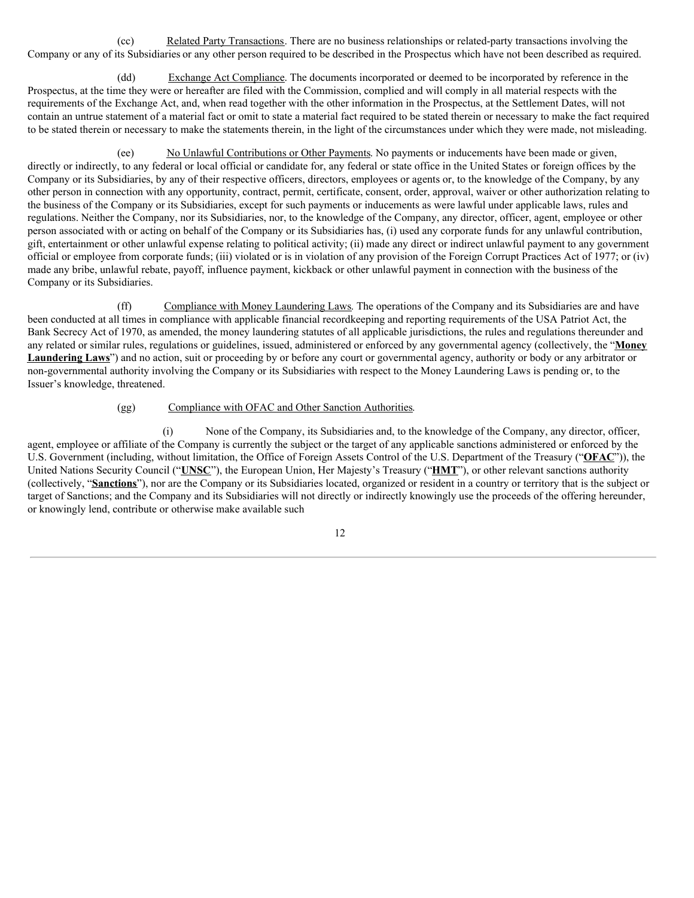(cc) Related Party Transactions. There are no business relationships or related-party transactions involving the Company or any of its Subsidiaries or any other person required to be described in the Prospectus which have not been described as required.

(dd) Exchange Act Compliance. The documents incorporated or deemed to be incorporated by reference in the Prospectus, at the time they were or hereafter are filed with the Commission, complied and will comply in all material respects with the requirements of the Exchange Act, and, when read together with the other information in the Prospectus, at the Settlement Dates, will not contain an untrue statement of a material fact or omit to state a material fact required to be stated therein or necessary to make the fact required to be stated therein or necessary to make the statements therein, in the light of the circumstances under which they were made, not misleading.

(ee) No Unlawful Contributions or Other Payments. No payments or inducements have been made or given, directly or indirectly, to any federal or local official or candidate for, any federal or state office in the United States or foreign offices by the Company or its Subsidiaries, by any of their respective officers, directors, employees or agents or, to the knowledge of the Company, by any other person in connection with any opportunity, contract, permit, certificate, consent, order, approval, waiver or other authorization relating to the business of the Company or its Subsidiaries, except for such payments or inducements as were lawful under applicable laws, rules and regulations. Neither the Company, nor its Subsidiaries, nor, to the knowledge of the Company, any director, officer, agent, employee or other person associated with or acting on behalf of the Company or its Subsidiaries has, (i) used any corporate funds for any unlawful contribution, gift, entertainment or other unlawful expense relating to political activity; (ii) made any direct or indirect unlawful payment to any government official or employee from corporate funds; (iii) violated or is in violation of any provision of the Foreign Corrupt Practices Act of 1977; or (iv) made any bribe, unlawful rebate, payoff, influence payment, kickback or other unlawful payment in connection with the business of the Company or its Subsidiaries.

(ff) Compliance with Money Laundering Laws. The operations of the Company and its Subsidiaries are and have been conducted at all times in compliance with applicable financial recordkeeping and reporting requirements of the USA Patriot Act, the Bank Secrecy Act of 1970, as amended, the money laundering statutes of all applicable jurisdictions, the rules and regulations thereunder and any related or similar rules, regulations or guidelines, issued, administered or enforced by any governmental agency (collectively, the "**Money Laundering Laws**") and no action, suit or proceeding by or before any court or governmental agency, authority or body or any arbitrator or non-governmental authority involving the Company or its Subsidiaries with respect to the Money Laundering Laws is pending or, to the Issuer's knowledge, threatened.

# (gg) Compliance with OFAC and Other Sanction Authorities.

(i) None of the Company, its Subsidiaries and, to the knowledge of the Company, any director, officer, agent, employee or affiliate of the Company is currently the subject or the target of any applicable sanctions administered or enforced by the U.S. Government (including, without limitation, the Office of Foreign Assets Control of the U.S. Department of the Treasury ("**OFAC**")), the United Nations Security Council ("**UNSC**"), the European Union, Her Majesty's Treasury ("**HMT**"), or other relevant sanctions authority (collectively, "**Sanctions**"), nor are the Company or its Subsidiaries located, organized or resident in a country or territory that is the subject or target of Sanctions; and the Company and its Subsidiaries will not directly or indirectly knowingly use the proceeds of the offering hereunder, or knowingly lend, contribute or otherwise make available such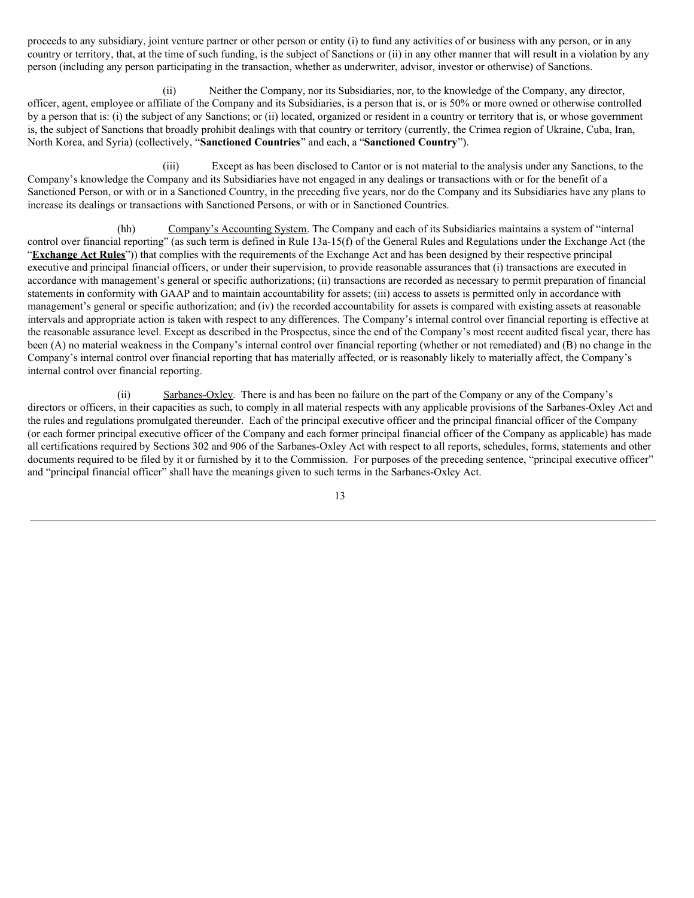proceeds to any subsidiary, joint venture partner or other person or entity (i) to fund any activities of or business with any person, or in any country or territory, that, at the time of such funding, is the subject of Sanctions or (ii) in any other manner that will result in a violation by any person (including any person participating in the transaction, whether as underwriter, advisor, investor or otherwise) of Sanctions.

(ii) Neither the Company, nor its Subsidiaries, nor, to the knowledge of the Company, any director, officer, agent, employee or affiliate of the Company and its Subsidiaries, is a person that is, or is 50% or more owned or otherwise controlled by a person that is: (i) the subject of any Sanctions; or (ii) located, organized or resident in a country or territory that is, or whose government is, the subject of Sanctions that broadly prohibit dealings with that country or territory (currently, the Crimea region of Ukraine, Cuba, Iran, North Korea, and Syria) (collectively, "**Sanctioned Countries**" and each, a "**Sanctioned Country**").

(iii) Except as has been disclosed to Cantor or is not material to the analysis under any Sanctions, to the Company's knowledge the Company and its Subsidiaries have not engaged in any dealings or transactions with or for the benefit of a Sanctioned Person, or with or in a Sanctioned Country, in the preceding five years, nor do the Company and its Subsidiaries have any plans to increase its dealings or transactions with Sanctioned Persons, or with or in Sanctioned Countries.

(hh) Company's Accounting System. The Company and each of its Subsidiaries maintains a system of "internal" control over financial reporting" (as such term is defined in Rule 13a-15(f) of the General Rules and Regulations under the Exchange Act (the "**Exchange Act Rules**")) that complies with the requirements of the Exchange Act and has been designed by their respective principal executive and principal financial officers, or under their supervision, to provide reasonable assurances that (i) transactions are executed in accordance with management's general or specific authorizations; (ii) transactions are recorded as necessary to permit preparation of financial statements in conformity with GAAP and to maintain accountability for assets; (iii) access to assets is permitted only in accordance with management's general or specific authorization; and (iv) the recorded accountability for assets is compared with existing assets at reasonable intervals and appropriate action is taken with respect to any differences. The Company's internal control over financial reporting is effective at the reasonable assurance level. Except as described in the Prospectus, since the end of the Company's most recent audited fiscal year, there has been (A) no material weakness in the Company's internal control over financial reporting (whether or not remediated) and (B) no change in the Company's internal control over financial reporting that has materially affected, or is reasonably likely to materially affect, the Company's internal control over financial reporting.

(ii) Sarbanes-Oxley. There is and has been no failure on the part of the Company or any of the Company's directors or officers, in their capacities as such, to comply in all material respects with any applicable provisions of the Sarbanes-Oxley Act and the rules and regulations promulgated thereunder. Each of the principal executive officer and the principal financial officer of the Company (or each former principal executive officer of the Company and each former principal financial officer of the Company as applicable) has made all certifications required by Sections 302 and 906 of the Sarbanes-Oxley Act with respect to all reports, schedules, forms, statements and other documents required to be filed by it or furnished by it to the Commission. For purposes of the preceding sentence, "principal executive officer" and "principal financial officer" shall have the meanings given to such terms in the Sarbanes-Oxley Act.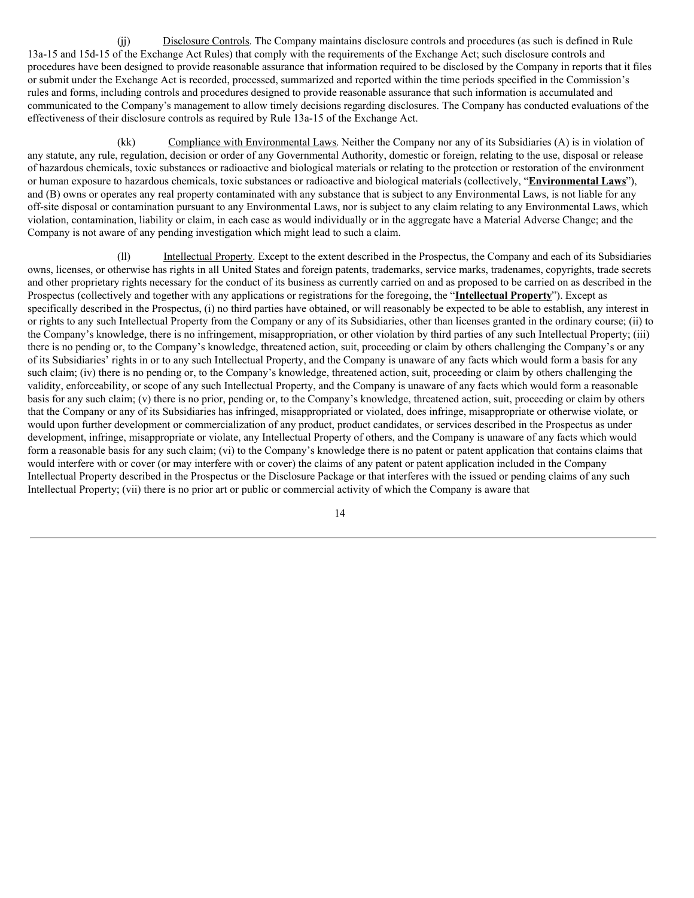(jj) Disclosure Controls. The Company maintains disclosure controls and procedures (as such is defined in Rule 13a-15 and 15d-15 of the Exchange Act Rules) that comply with the requirements of the Exchange Act; such disclosure controls and procedures have been designed to provide reasonable assurance that information required to be disclosed by the Company in reports that it files or submit under the Exchange Act is recorded, processed, summarized and reported within the time periods specified in the Commission's rules and forms, including controls and procedures designed to provide reasonable assurance that such information is accumulated and communicated to the Company's management to allow timely decisions regarding disclosures. The Company has conducted evaluations of the effectiveness of their disclosure controls as required by Rule 13a-15 of the Exchange Act.

(kk) Compliance with Environmental Laws. Neither the Company nor any of its Subsidiaries (A) is in violation of any statute, any rule, regulation, decision or order of any Governmental Authority, domestic or foreign, relating to the use, disposal or release of hazardous chemicals, toxic substances or radioactive and biological materials or relating to the protection or restoration of the environment or human exposure to hazardous chemicals, toxic substances or radioactive and biological materials (collectively, "**Environmental Laws**"), and (B) owns or operates any real property contaminated with any substance that is subject to any Environmental Laws, is not liable for any off-site disposal or contamination pursuant to any Environmental Laws, nor is subject to any claim relating to any Environmental Laws, which violation, contamination, liability or claim, in each case as would individually or in the aggregate have a Material Adverse Change; and the Company is not aware of any pending investigation which might lead to such a claim.

(ll) Intellectual Property. Except to the extent described in the Prospectus, the Company and each of its Subsidiaries owns, licenses, or otherwise has rights in all United States and foreign patents, trademarks, service marks, tradenames, copyrights, trade secrets and other proprietary rights necessary for the conduct of its business as currently carried on and as proposed to be carried on as described in the Prospectus (collectively and together with any applications or registrations for the foregoing, the "**Intellectual Property**"). Except as specifically described in the Prospectus, (i) no third parties have obtained, or will reasonably be expected to be able to establish, any interest in or rights to any such Intellectual Property from the Company or any of its Subsidiaries, other than licenses granted in the ordinary course; (ii) to the Company's knowledge, there is no infringement, misappropriation, or other violation by third parties of any such Intellectual Property; (iii) there is no pending or, to the Company's knowledge, threatened action, suit, proceeding or claim by others challenging the Company's or any of its Subsidiaries' rights in or to any such Intellectual Property, and the Company is unaware of any facts which would form a basis for any such claim; (iv) there is no pending or, to the Company's knowledge, threatened action, suit, proceeding or claim by others challenging the validity, enforceability, or scope of any such Intellectual Property, and the Company is unaware of any facts which would form a reasonable basis for any such claim; (v) there is no prior, pending or, to the Company's knowledge, threatened action, suit, proceeding or claim by others that the Company or any of its Subsidiaries has infringed, misappropriated or violated, does infringe, misappropriate or otherwise violate, or would upon further development or commercialization of any product, product candidates, or services described in the Prospectus as under development, infringe, misappropriate or violate, any Intellectual Property of others, and the Company is unaware of any facts which would form a reasonable basis for any such claim; (vi) to the Company's knowledge there is no patent or patent application that contains claims that would interfere with or cover (or may interfere with or cover) the claims of any patent or patent application included in the Company Intellectual Property described in the Prospectus or the Disclosure Package or that interferes with the issued or pending claims of any such Intellectual Property; (vii) there is no prior art or public or commercial activity of which the Company is aware that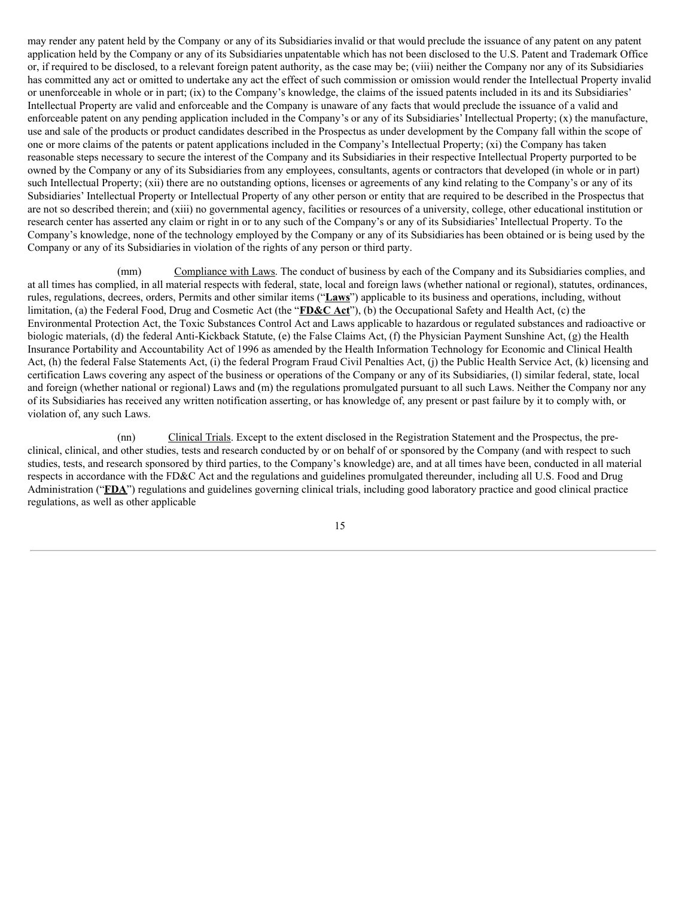may render any patent held by the Company or any of its Subsidiariesinvalid or that would preclude the issuance of any patent on any patent application held by the Company or any of its Subsidiaries unpatentable which has not been disclosed to the U.S. Patent and Trademark Office or, if required to be disclosed, to a relevant foreign patent authority, as the case may be; (viii) neither the Company nor any of its Subsidiaries has committed any act or omitted to undertake any act the effect of such commission or omission would render the Intellectual Property invalid or unenforceable in whole or in part; (ix) to the Company's knowledge, the claims of the issued patents included in its and its Subsidiaries' Intellectual Property are valid and enforceable and the Company is unaware of any facts that would preclude the issuance of a valid and enforceable patent on any pending application included in the Company's or any of its Subsidiaries' Intellectual Property; (x) the manufacture, use and sale of the products or product candidates described in the Prospectus as under development by the Company fall within the scope of one or more claims of the patents or patent applications included in the Company's Intellectual Property; (xi) the Company has taken reasonable steps necessary to secure the interest of the Company and its Subsidiaries in their respective Intellectual Property purported to be owned by the Company or any of its Subsidiariesfrom any employees, consultants, agents or contractors that developed (in whole or in part) such Intellectual Property; (xii) there are no outstanding options, licenses or agreements of any kind relating to the Company's or any of its Subsidiaries' Intellectual Property or Intellectual Property of any other person or entity that are required to be described in the Prospectus that are not so described therein; and (xiii) no governmental agency, facilities or resources of a university, college, other educational institution or research center has asserted any claim or right in or to any such of the Company's or any of its Subsidiaries' Intellectual Property. To the Company's knowledge, none of the technology employed by the Company or any of its Subsidiaries has been obtained or is being used by the Company or any of its Subsidiariesin violation of the rights of any person or third party.

(mm) Compliance with Laws. The conduct of business by each of the Company and its Subsidiaries complies, and at all times has complied, in all material respects with federal, state, local and foreign laws (whether national or regional), statutes, ordinances, rules, regulations, decrees, orders, Permits and other similar items ("**Laws**") applicable to its business and operations, including, without limitation, (a) the Federal Food, Drug and Cosmetic Act (the "**FD&C Act**"), (b) the Occupational Safety and Health Act, (c) the Environmental Protection Act, the Toxic Substances Control Act and Laws applicable to hazardous or regulated substances and radioactive or biologic materials, (d) the federal Anti-Kickback Statute, (e) the False Claims Act, (f) the Physician Payment Sunshine Act, (g) the Health Insurance Portability and Accountability Act of 1996 as amended by the Health Information Technology for Economic and Clinical Health Act, (h) the federal False Statements Act, (i) the federal Program Fraud Civil Penalties Act, (j) the Public Health Service Act, (k) licensing and certification Laws covering any aspect of the business or operations of the Company or any of its Subsidiaries, (l) similar federal, state, local and foreign (whether national or regional) Laws and (m) the regulations promulgated pursuant to all such Laws. Neither the Company nor any of its Subsidiaries has received any written notification asserting, or has knowledge of, any present or past failure by it to comply with, or violation of, any such Laws.

(nn) Clinical Trials. Except to the extent disclosed in the Registration Statement and the Prospectus, the preclinical, clinical, and other studies, tests and research conducted by or on behalf of or sponsored by the Company (and with respect to such studies, tests, and research sponsored by third parties, to the Company's knowledge) are, and at all times have been, conducted in all material respects in accordance with the FD&C Act and the regulations and guidelines promulgated thereunder, including all U.S. Food and Drug Administration ("**FDA**") regulations and guidelines governing clinical trials, including good laboratory practice and good clinical practice regulations, as well as other applicable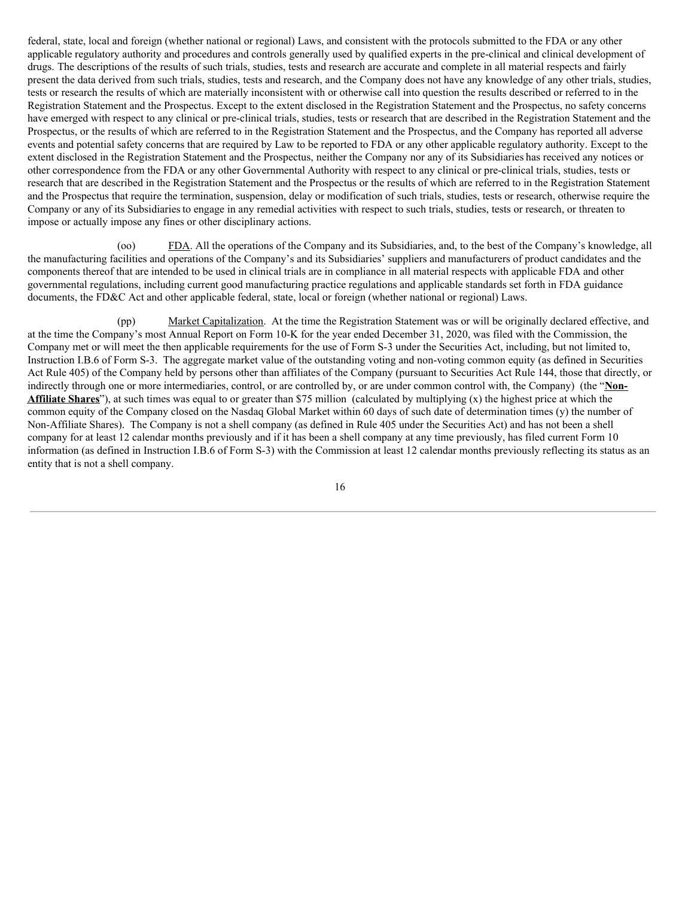federal, state, local and foreign (whether national or regional) Laws, and consistent with the protocols submitted to the FDA or any other applicable regulatory authority and procedures and controls generally used by qualified experts in the pre-clinical and clinical development of drugs. The descriptions of the results of such trials, studies, tests and research are accurate and complete in all material respects and fairly present the data derived from such trials, studies, tests and research, and the Company does not have any knowledge of any other trials, studies, tests or research the results of which are materially inconsistent with or otherwise call into question the results described or referred to in the Registration Statement and the Prospectus. Except to the extent disclosed in the Registration Statement and the Prospectus, no safety concerns have emerged with respect to any clinical or pre-clinical trials, studies, tests or research that are described in the Registration Statement and the Prospectus, or the results of which are referred to in the Registration Statement and the Prospectus, and the Company has reported all adverse events and potential safety concerns that are required by Law to be reported to FDA or any other applicable regulatory authority. Except to the extent disclosed in the Registration Statement and the Prospectus, neither the Company nor any of its Subsidiaries has received any notices or other correspondence from the FDA or any other Governmental Authority with respect to any clinical or pre-clinical trials, studies, tests or research that are described in the Registration Statement and the Prospectus or the results of which are referred to in the Registration Statement and the Prospectus that require the termination, suspension, delay or modification of such trials, studies, tests or research, otherwise require the Company or any of its Subsidiariesto engage in any remedial activities with respect to such trials, studies, tests or research, or threaten to impose or actually impose any fines or other disciplinary actions.

(oo) FDA. All the operations of the Company and its Subsidiaries, and, to the best of the Company's knowledge, all the manufacturing facilities and operations of the Company's and its Subsidiaries' suppliers and manufacturers of product candidates and the components thereof that are intended to be used in clinical trials are in compliance in all material respects with applicable FDA and other governmental regulations, including current good manufacturing practice regulations and applicable standards set forth in FDA guidance documents, the FD&C Act and other applicable federal, state, local or foreign (whether national or regional) Laws.

(pp) Market Capitalization. At the time the Registration Statement was or will be originally declared effective, and at the time the Company's most Annual Report on Form 10-K for the year ended December 31, 2020, was filed with the Commission, the Company met or will meet the then applicable requirements for the use of Form S-3 under the Securities Act, including, but not limited to, Instruction I.B.6 of Form S-3. The aggregate market value of the outstanding voting and non-voting common equity (as defined in Securities Act Rule 405) of the Company held by persons other than affiliates of the Company (pursuant to Securities Act Rule 144, those that directly, or indirectly through one or more intermediaries, control, or are controlled by, or are under common control with, the Company) (the "**Non-Affiliate Shares**"), at such times was equal to or greater than \$75 million (calculated by multiplying (x) the highest price at which the common equity of the Company closed on the Nasdaq Global Market within 60 days of such date of determination times (y) the number of Non-Affiliate Shares). The Company is not a shell company (as defined in Rule 405 under the Securities Act) and has not been a shell company for at least 12 calendar months previously and if it has been a shell company at any time previously, has filed current Form 10 information (as defined in Instruction I.B.6 of Form S-3) with the Commission at least 12 calendar months previously reflecting its status as an entity that is not a shell company.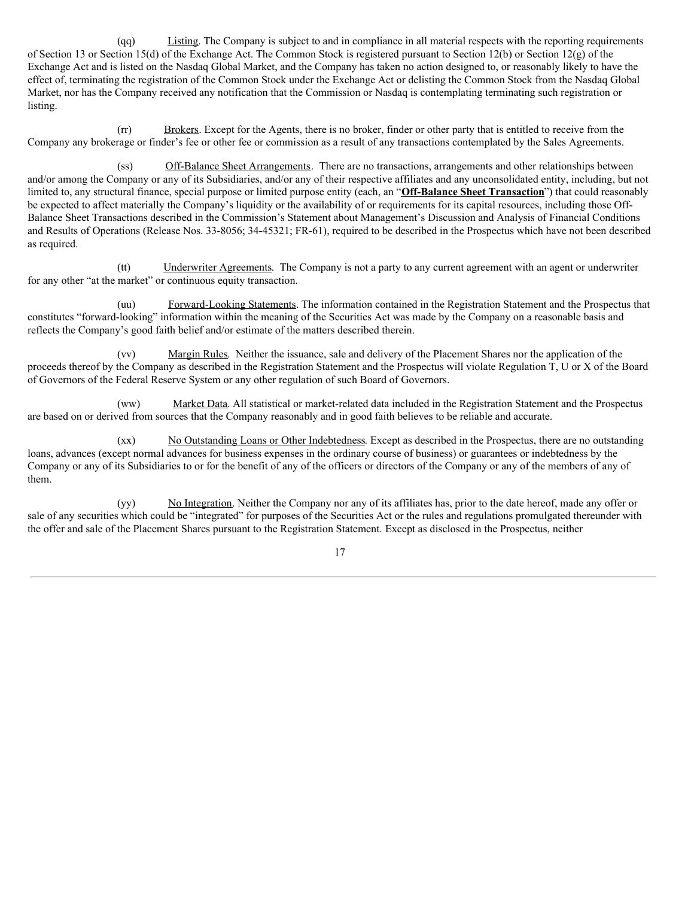(qq) Listing. The Company is subject to and in compliance in all material respects with the reporting requirements of Section 13 or Section 15(d) of the Exchange Act. The Common Stock is registered pursuant to Section 12(b) or Section 12(g) of the Exchange Act and is listed on the Nasdaq Global Market, and the Company has taken no action designed to, or reasonably likely to have the effect of, terminating the registration of the Common Stock under the Exchange Act or delisting the Common Stock from the Nasdaq Global Market, nor has the Company received any notification that the Commission or Nasdaq is contemplating terminating such registration or listing.

(rr) Brokers. Except for the Agents, there is no broker, finder or other party that is entitled to receive from the Company any brokerage or finder's fee or other fee or commission as a result of any transactions contemplated by the Sales Agreements.

(ss) Off-Balance Sheet Arrangements. There are no transactions, arrangements and other relationships between and/or among the Company or any of its Subsidiaries, and/or any of their respective affiliates and any unconsolidated entity, including, but not limited to, any structural finance, special purpose or limited purpose entity (each, an "**Off-Balance Sheet Transaction**") that could reasonably be expected to affect materially the Company's liquidity or the availability of or requirements for its capital resources, including those Off-Balance Sheet Transactions described in the Commission's Statement about Management's Discussion and Analysis of Financial Conditions and Results of Operations (Release Nos. 33‑8056; 34‑45321; FR‑61), required to be described in the Prospectus which have not been described as required.

(tt) Underwriter Agreements. The Company is not a party to any current agreement with an agent or underwriter for any other "at the market" or continuous equity transaction.

(uu) Forward-Looking Statements. The information contained in the Registration Statement and the Prospectus that constitutes "forward-looking" information within the meaning of the Securities Act was made by the Company on a reasonable basis and reflects the Company's good faith belief and/or estimate of the matters described therein.

(vv) Margin Rules. Neither the issuance, sale and delivery of the Placement Shares nor the application of the proceeds thereof by the Company as described in the Registration Statement and the Prospectus will violate Regulation T, U or X of the Board of Governors of the Federal Reserve System or any other regulation of such Board of Governors.

(ww) Market Data. All statistical or market-related data included in the Registration Statement and the Prospectus are based on or derived from sources that the Company reasonably and in good faith believes to be reliable and accurate.

(xx) No Outstanding Loans or Other Indebtedness. Except as described in the Prospectus, there are no outstanding loans, advances (except normal advances for business expenses in the ordinary course of business) or guarantees or indebtedness by the Company or any of its Subsidiaries to or for the benefit of any of the officers or directors of the Company or any of the members of any of them.

(yy) No Integration. Neither the Company nor any of its affiliates has, prior to the date hereof, made any offer or sale of any securities which could be "integrated" for purposes of the Securities Act or the rules and regulations promulgated thereunder with the offer and sale of the Placement Shares pursuant to the Registration Statement. Except as disclosed in the Prospectus, neither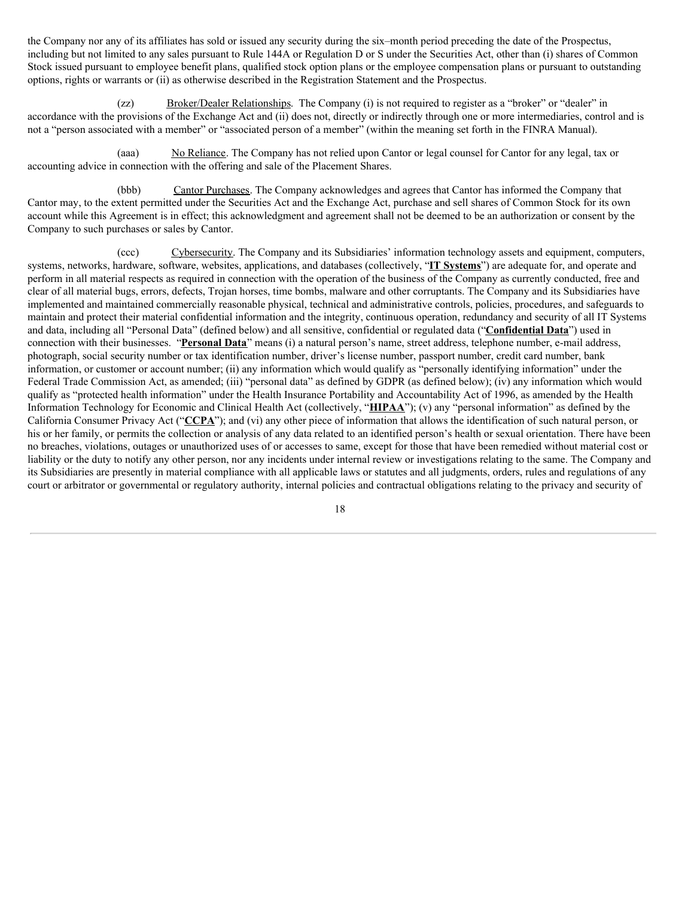the Company nor any of its affiliates has sold or issued any security during the six–month period preceding the date of the Prospectus, including but not limited to any sales pursuant to Rule 144A or Regulation D or S under the Securities Act, other than (i) shares of Common Stock issued pursuant to employee benefit plans, qualified stock option plans or the employee compensation plans or pursuant to outstanding options, rights or warrants or (ii) as otherwise described in the Registration Statement and the Prospectus.

(zz) Broker/Dealer Relationships. The Company (i) is not required to register as a "broker" or "dealer" in accordance with the provisions of the Exchange Act and (ii) does not, directly or indirectly through one or more intermediaries, control and is not a "person associated with a member" or "associated person of a member" (within the meaning set forth in the FINRA Manual).

(aaa) No Reliance. The Company has not relied upon Cantor or legal counsel for Cantor for any legal, tax or accounting advice in connection with the offering and sale of the Placement Shares.

(bbb) Cantor Purchases. The Company acknowledges and agrees that Cantor has informed the Company that Cantor may, to the extent permitted under the Securities Act and the Exchange Act, purchase and sell shares of Common Stock for its own account while this Agreement is in effect; this acknowledgment and agreement shall not be deemed to be an authorization or consent by the Company to such purchases or sales by Cantor.

(ccc) Cybersecurity. The Company and its Subsidiaries' information technology assets and equipment, computers, systems, networks, hardware, software, websites, applications, and databases (collectively, "**IT Systems**") are adequate for, and operate and perform in all material respects as required in connection with the operation of the business of the Company as currently conducted, free and clear of all material bugs, errors, defects, Trojan horses, time bombs, malware and other corruptants. The Company and its Subsidiaries have implemented and maintained commercially reasonable physical, technical and administrative controls, policies, procedures, and safeguards to maintain and protect their material confidential information and the integrity, continuous operation, redundancy and security of all IT Systems and data, including all "Personal Data" (defined below) and all sensitive, confidential or regulated data ("**Confidential Data**") used in connection with their businesses. "**Personal Data**" means (i) a natural person's name, street address, telephone number, e-mail address, photograph, social security number or tax identification number, driver's license number, passport number, credit card number, bank information, or customer or account number; (ii) any information which would qualify as "personally identifying information" under the Federal Trade Commission Act, as amended; (iii) "personal data" as defined by GDPR (as defined below); (iv) any information which would qualify as "protected health information" under the Health Insurance Portability and Accountability Act of 1996, as amended by the Health Information Technology for Economic and Clinical Health Act (collectively, "**HIPAA**"); (v) any "personal information" as defined by the California Consumer Privacy Act ("**CCPA**"); and (vi) any other piece of information that allows the identification of such natural person, or his or her family, or permits the collection or analysis of any data related to an identified person's health or sexual orientation. There have been no breaches, violations, outages or unauthorized uses of or accesses to same, except for those that have been remedied without material cost or liability or the duty to notify any other person, nor any incidents under internal review or investigations relating to the same. The Company and its Subsidiaries are presently in material compliance with all applicable laws or statutes and all judgments, orders, rules and regulations of any court or arbitrator or governmental or regulatory authority, internal policies and contractual obligations relating to the privacy and security of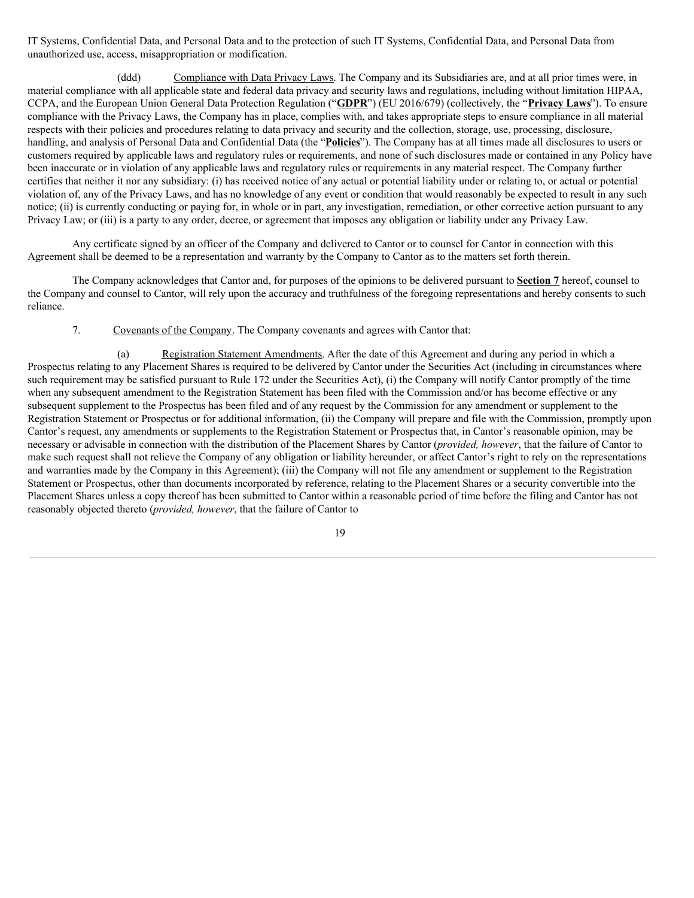IT Systems, Confidential Data, and Personal Data and to the protection of such IT Systems, Confidential Data, and Personal Data from unauthorized use, access, misappropriation or modification.

(ddd) Compliance with Data Privacy Laws. The Company and its Subsidiaries are, and at all prior times were, in material compliance with all applicable state and federal data privacy and security laws and regulations, including without limitation HIPAA, CCPA, and the European Union General Data Protection Regulation ("**GDPR**") (EU 2016/679) (collectively, the "**Privacy Laws**"). To ensure compliance with the Privacy Laws, the Company has in place, complies with, and takes appropriate steps to ensure compliance in all material respects with their policies and procedures relating to data privacy and security and the collection, storage, use, processing, disclosure, handling, and analysis of Personal Data and Confidential Data (the "**Policies**"). The Company has at all times made all disclosures to users or customers required by applicable laws and regulatory rules or requirements, and none of such disclosures made or contained in any Policy have been inaccurate or in violation of any applicable laws and regulatory rules or requirements in any material respect. The Company further certifies that neither it nor any subsidiary: (i) has received notice of any actual or potential liability under or relating to, or actual or potential violation of, any of the Privacy Laws, and has no knowledge of any event or condition that would reasonably be expected to result in any such notice; (ii) is currently conducting or paying for, in whole or in part, any investigation, remediation, or other corrective action pursuant to any Privacy Law; or (iii) is a party to any order, decree, or agreement that imposes any obligation or liability under any Privacy Law.

Any certificate signed by an officer of the Company and delivered to Cantor or to counsel for Cantor in connection with this Agreement shall be deemed to be a representation and warranty by the Company to Cantor as to the matters set forth therein.

The Company acknowledges that Cantor and, for purposes of the opinions to be delivered pursuant to **Section 7** hereof, counsel to the Company and counsel to Cantor, will rely upon the accuracy and truthfulness of the foregoing representations and hereby consents to such reliance.

7. Covenants of the Company. The Company covenants and agrees with Cantor that:

(a) Registration Statement Amendments. After the date of this Agreement and during any period in which a Prospectus relating to any Placement Shares is required to be delivered by Cantor under the Securities Act (including in circumstances where such requirement may be satisfied pursuant to Rule 172 under the Securities Act), (i) the Company will notify Cantor promptly of the time when any subsequent amendment to the Registration Statement has been filed with the Commission and/or has become effective or any subsequent supplement to the Prospectus has been filed and of any request by the Commission for any amendment or supplement to the Registration Statement or Prospectus or for additional information, (ii) the Company will prepare and file with the Commission, promptly upon Cantor's request, any amendments or supplements to the Registration Statement or Prospectus that, in Cantor's reasonable opinion, may be necessary or advisable in connection with the distribution of the Placement Shares by Cantor (*provided, however*, that the failure of Cantor to make such request shall not relieve the Company of any obligation or liability hereunder, or affect Cantor's right to rely on the representations and warranties made by the Company in this Agreement); (iii) the Company will not file any amendment or supplement to the Registration Statement or Prospectus, other than documents incorporated by reference, relating to the Placement Shares or a security convertible into the Placement Shares unless a copy thereof has been submitted to Cantor within a reasonable period of time before the filing and Cantor has not reasonably objected thereto (*provided, however*, that the failure of Cantor to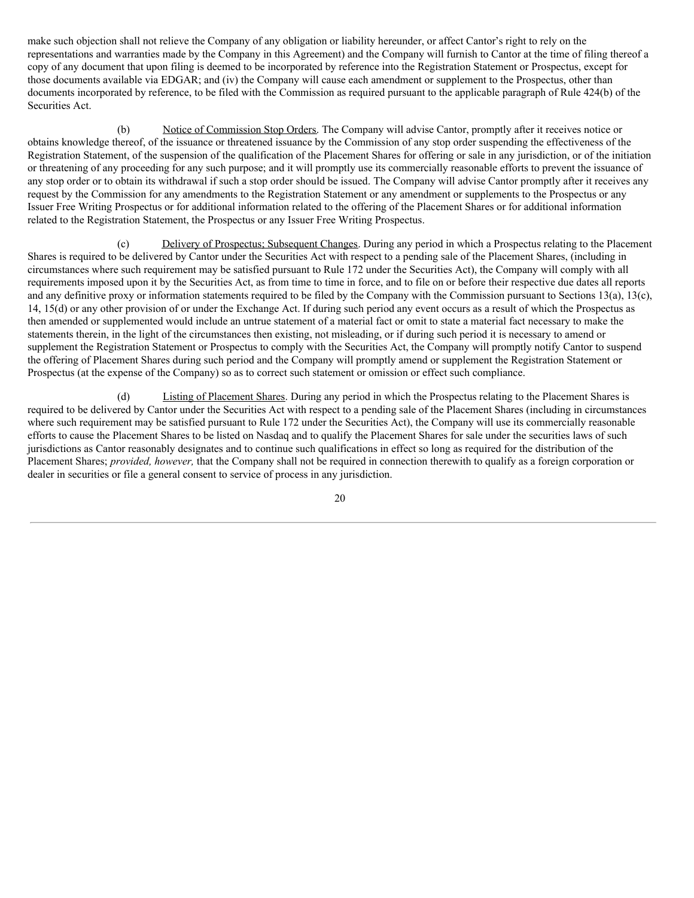<span id="page-22-0"></span>make such objection shall not relieve the Company of any obligation or liability hereunder, or affect Cantor's right to rely on the representations and warranties made by the Company in this Agreement) and the Company will furnish to Cantor at the time of filing thereof a copy of any document that upon filing is deemed to be incorporated by reference into the Registration Statement or Prospectus, except for those documents available via EDGAR; and (iv) the Company will cause each amendment or supplement to the Prospectus, other than documents incorporated by reference, to be filed with the Commission as required pursuant to the applicable paragraph of Rule 424(b) of the Securities Act.

(b) Notice of Commission Stop Orders. The Company will advise Cantor, promptly after it receives notice or obtains knowledge thereof, of the issuance or threatened issuance by the Commission of any stop order suspending the effectiveness of the Registration Statement, of the suspension of the qualification of the Placement Shares for offering or sale in any jurisdiction, or of the initiation or threatening of any proceeding for any such purpose; and it will promptly use its commercially reasonable efforts to prevent the issuance of any stop order or to obtain its withdrawal if such a stop order should be issued. The Company will advise Cantor promptly after it receives any request by the Commission for any amendments to the Registration Statement or any amendment or supplements to the Prospectus or any Issuer Free Writing Prospectus or for additional information related to the offering of the Placement Shares or for additional information related to the Registration Statement, the Prospectus or any Issuer Free Writing Prospectus.

(c) Delivery of Prospectus; Subsequent Changes. During any period in which a Prospectus relating to the Placement Shares is required to be delivered by Cantor under the Securities Act with respect to a pending sale of the Placement Shares, (including in circumstances where such requirement may be satisfied pursuant to Rule 172 under the Securities Act), the Company will comply with all requirements imposed upon it by the Securities Act, as from time to time in force, and to file on or before their respective due dates all reports and any definitive proxy or information statements required to be filed by the Company with the Commission pursuant to Sections 13(a), 13(c), 14, 15(d) or any other provision of or under the Exchange Act. If during such period any event occurs as a result of which the Prospectus as then amended or supplemented would include an untrue statement of a material fact or omit to state a material fact necessary to make the statements therein, in the light of the circumstances then existing, not misleading, or if during such period it is necessary to amend or supplement the Registration Statement or Prospectus to comply with the Securities Act, the Company will promptly notify Cantor to suspend the offering of Placement Shares during such period and the Company will promptly amend or supplement the Registration Statement or Prospectus (at the expense of the Company) so as to correct such statement or omission or effect such compliance.

(d) Listing of Placement Shares. During any period in which the Prospectus relating to the Placement Shares is required to be delivered by Cantor under the Securities Act with respect to a pending sale of the Placement Shares (including in circumstances where such requirement may be satisfied pursuant to Rule 172 under the Securities Act), the Company will use its commercially reasonable efforts to cause the Placement Shares to be listed on Nasdaq and to qualify the Placement Shares for sale under the securities laws of such jurisdictions as Cantor reasonably designates and to continue such qualifications in effect so long as required for the distribution of the Placement Shares; *provided, however,* that the Company shall not be required in connection therewith to qualify as a foreign corporation or dealer in securities or file a general consent to service of process in any jurisdiction.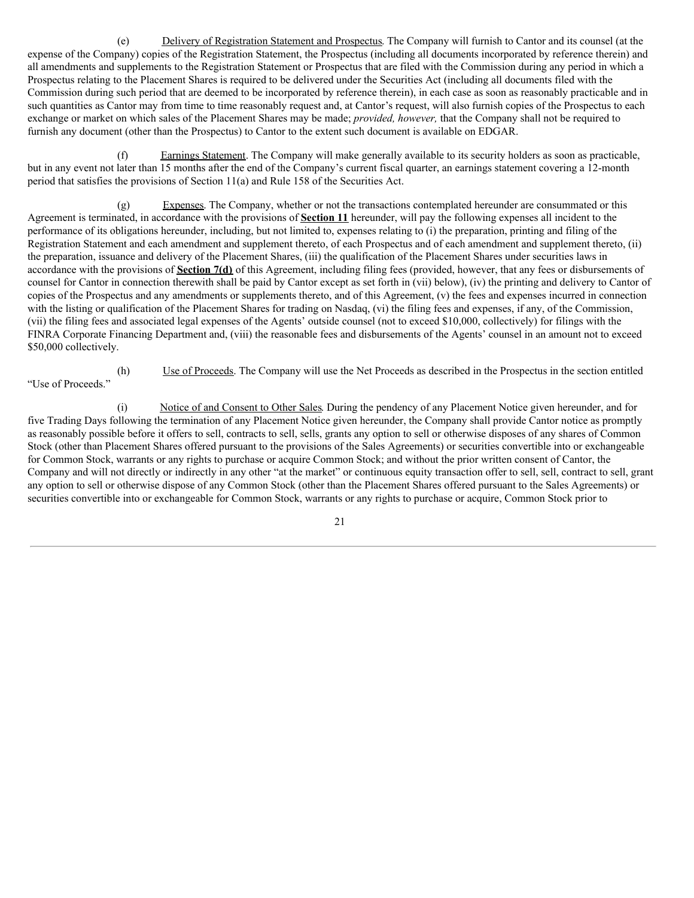(e) Delivery of Registration Statement and Prospectus. The Company will furnish to Cantor and its counsel (at the expense of the Company) copies of the Registration Statement, the Prospectus (including all documents incorporated by reference therein) and all amendments and supplements to the Registration Statement or Prospectus that are filed with the Commission during any period in which a Prospectus relating to the Placement Shares is required to be delivered under the Securities Act (including all documents filed with the Commission during such period that are deemed to be incorporated by reference therein), in each case as soon as reasonably practicable and in such quantities as Cantor may from time to time reasonably request and, at Cantor's request, will also furnish copies of the Prospectus to each exchange or market on which sales of the Placement Shares may be made; *provided, however,* that the Company shall not be required to furnish any document (other than the Prospectus) to Cantor to the extent such document is available on EDGAR.

(f) Earnings Statement. The Company will make generally available to its security holders as soon as practicable, but in any event not later than 15 months after the end of the Company's current fiscal quarter, an earnings statement covering a 12-month period that satisfies the provisions of Section 11(a) and Rule 158 of the Securities Act.

(g) Expenses. The Company, whether or not the transactions contemplated hereunder are consummated or this Agreement is terminated, in accordance with the provisions of **Section 11** hereunder, will pay the following expenses all incident to the performance of its obligations hereunder, including, but not limited to, expenses relating to (i) the preparation, printing and filing of the Registration Statement and each amendment and supplement thereto, of each Prospectus and of each amendment and supplement thereto, (ii) the preparation, issuance and delivery of the Placement Shares, (iii) the qualification of the Placement Shares under securities laws in accordance with the provisions of **Section 7(d)** of this Agreement, including filing fees (provided, however, that any fees or disbursements of counsel for Cantor in connection therewith shall be paid by Cantor except as set forth in (vii) below), (iv) the printing and delivery to Cantor of copies of the Prospectus and any amendments or supplements thereto, and of this Agreement, (v) the fees and expenses incurred in connection with the listing or qualification of the Placement Shares for trading on Nasdaq, (vi) the filing fees and expenses, if any, of the Commission, (vii) the filing fees and associated legal expenses of the Agents' outside counsel (not to exceed \$10,000, collectively) for filings with the FINRA Corporate Financing Department and, (viii) the reasonable fees and disbursements of the Agents' counsel in an amount not to exceed \$50,000 collectively.

(h) Use of Proceeds. The Company will use the Net Proceeds as described in the Prospectus in the section entitled "Use of Proceeds."

(i) Notice of and Consent to Other Sales. During the pendency of any Placement Notice given hereunder, and for five Trading Days following the termination of any Placement Notice given hereunder, the Company shall provide Cantor notice as promptly as reasonably possible before it offers to sell, contracts to sell, sells, grants any option to sell or otherwise disposes of any shares of Common Stock (other than Placement Shares offered pursuant to the provisions of the Sales Agreements) or securities convertible into or exchangeable for Common Stock, warrants or any rights to purchase or acquire Common Stock; and without the prior written consent of Cantor, the Company and will not directly or indirectly in any other "at the market" or continuous equity transaction offer to sell, sell, contract to sell, grant any option to sell or otherwise dispose of any Common Stock (other than the Placement Shares offered pursuant to the Sales Agreements) or securities convertible into or exchangeable for Common Stock, warrants or any rights to purchase or acquire, Common Stock prior to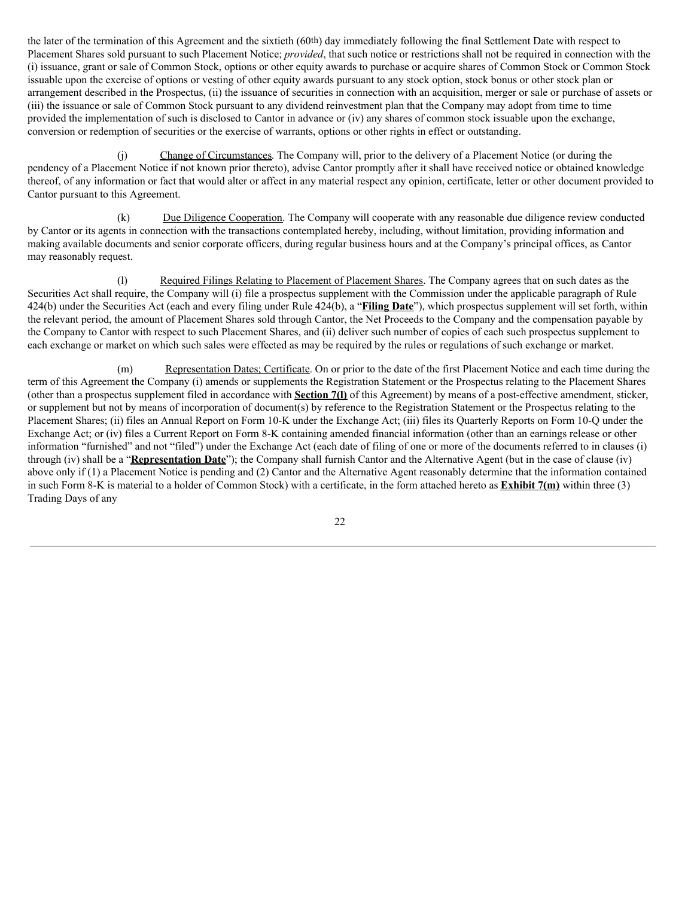the later of the termination of this Agreement and the sixtieth (60th) day immediately following the final Settlement Date with respect to Placement Shares sold pursuant to such Placement Notice; *provided*, that such notice or restrictions shall not be required in connection with the (i) issuance, grant or sale of Common Stock, options or other equity awards to purchase or acquire shares of Common Stock or Common Stock issuable upon the exercise of options or vesting of other equity awards pursuant to any stock option, stock bonus or other stock plan or arrangement described in the Prospectus, (ii) the issuance of securities in connection with an acquisition, merger or sale or purchase of assets or (iii) the issuance or sale of Common Stock pursuant to any dividend reinvestment plan that the Company may adopt from time to time provided the implementation of such is disclosed to Cantor in advance or (iv) any shares of common stock issuable upon the exchange, conversion or redemption of securities or the exercise of warrants, options or other rights in effect or outstanding.

(j) Change of Circumstances. The Company will, prior to the delivery of a Placement Notice (or during the pendency of a Placement Notice if not known prior thereto), advise Cantor promptly after it shall have received notice or obtained knowledge thereof, of any information or fact that would alter or affect in any material respect any opinion, certificate, letter or other document provided to Cantor pursuant to this Agreement.

(k) Due Diligence Cooperation. The Company will cooperate with any reasonable due diligence review conducted by Cantor or its agents in connection with the transactions contemplated hereby, including, without limitation, providing information and making available documents and senior corporate officers, during regular business hours and at the Company's principal offices, as Cantor may reasonably request.

(l) Required Filings Relating to Placement of Placement Shares. The Company agrees that on such dates as the Securities Act shall require, the Company will (i) file a prospectus supplement with the Commission under the applicable paragraph of Rule 424(b) under the Securities Act (each and every filing under Rule 424(b), a "**Filing Date**"), which prospectus supplement will set forth, within the relevant period, the amount of Placement Shares sold through Cantor, the Net Proceeds to the Company and the compensation payable by the Company to Cantor with respect to such Placement Shares, and (ii) deliver such number of copies of each such prospectus supplement to each exchange or market on which such sales were effected as may be required by the rules or regulations of such exchange or market.

(m) Representation Dates; Certificate. On or prior to the date of the first Placement Notice and each time during the term of this Agreement the Company (i) amends or supplements the Registration Statement or the Prospectus relating to the Placement Shares (other than a prospectus supplement filed in accordance with **Section 7(l)** of this Agreement) by means of a post-effective amendment, sticker, or supplement but not by means of incorporation of document(s) by reference to the Registration Statement or the Prospectus relating to the Placement Shares; (ii) files an Annual Report on Form 10-K under the Exchange Act; (iii) files its Quarterly Reports on Form 10-Q under the Exchange Act; or (iv) files a Current Report on Form 8-K containing amended financial information (other than an earnings release or other information "furnished" and not "filed") under the Exchange Act (each date of filing of one or more of the documents referred to in clauses (i) through (iv) shall be a "**Representation Date**"); the Company shall furnish Cantor and the Alternative Agent (but in the case of clause (iv) above only if (1) a Placement Notice is pending and (2) Cantor and the Alternative Agent reasonably determine that the information contained in such Form 8-K is material to a holder of Common Stock) with a certificate, in the form attached hereto as **Exhibit 7(m)** within three (3) Trading Days of any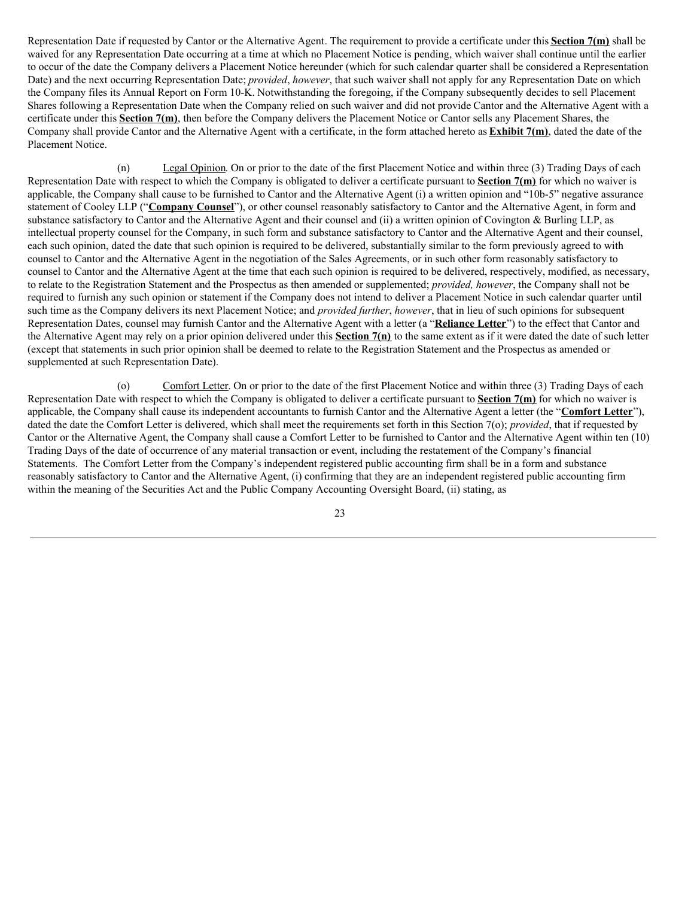Representation Date if requested by Cantor or the Alternative Agent. The requirement to provide a certificate under this **Section 7(m)** shall be waived for any Representation Date occurring at a time at which no Placement Notice is pending, which waiver shall continue until the earlier to occur of the date the Company delivers a Placement Notice hereunder (which for such calendar quarter shall be considered a Representation Date) and the next occurring Representation Date; *provided*, *however*, that such waiver shall not apply for any Representation Date on which the Company files its Annual Report on Form 10-K. Notwithstanding the foregoing, if the Company subsequently decides to sell Placement Shares following a Representation Date when the Company relied on such waiver and did not provide Cantor and the Alternative Agent with a certificate under this **Section 7(m)**, then before the Company delivers the Placement Notice or Cantor sells any Placement Shares, the Company shall provide Cantor and the Alternative Agent with a certificate, in the form attached hereto as **Exhibit 7(m)**, dated the date of the Placement Notice.

(n) Legal Opinion. On or prior to the date of the first Placement Notice and within three (3) Trading Days of each Representation Date with respect to which the Company is obligated to deliver a certificate pursuant to **Section 7(m)** for which no waiver is applicable, the Company shall cause to be furnished to Cantor and the Alternative Agent (i) a written opinion and "10b-5" negative assurance statement of Cooley LLP ("**Company Counsel**"), or other counsel reasonably satisfactory to Cantor and the Alternative Agent, in form and substance satisfactory to Cantor and the Alternative Agent and their counsel and (ii) a written opinion of Covington & Burling LLP, as intellectual property counsel for the Company, in such form and substance satisfactory to Cantor and the Alternative Agent and their counsel, each such opinion, dated the date that such opinion is required to be delivered, substantially similar to the form previously agreed to with counsel to Cantor and the Alternative Agent in the negotiation of the Sales Agreements, or in such other form reasonably satisfactory to counsel to Cantor and the Alternative Agent at the time that each such opinion is required to be delivered, respectively, modified, as necessary, to relate to the Registration Statement and the Prospectus as then amended or supplemented; *provided, however*, the Company shall not be required to furnish any such opinion or statement if the Company does not intend to deliver a Placement Notice in such calendar quarter until such time as the Company delivers its next Placement Notice; and *provided further*, *however*, that in lieu of such opinions for subsequent Representation Dates, counsel may furnish Cantor and the Alternative Agent with a letter (a "**Reliance Letter**") to the effect that Cantor and the Alternative Agent may rely on a prior opinion delivered under this **Section 7(n)** to the same extent as if it were dated the date of such letter (except that statements in such prior opinion shall be deemed to relate to the Registration Statement and the Prospectus as amended or supplemented at such Representation Date).

(o) Comfort Letter. On or prior to the date of the first Placement Notice and within three (3) Trading Days of each Representation Date with respect to which the Company is obligated to deliver a certificate pursuant to **Section 7(m)** for which no waiver is applicable, the Company shall cause its independent accountants to furnish Cantor and the Alternative Agent a letter (the "**Comfort Letter**"), dated the date the Comfort Letter is delivered, which shall meet the requirements set forth in this Section 7(o); *provided*, that if requested by Cantor or the Alternative Agent, the Company shall cause a Comfort Letter to be furnished to Cantor and the Alternative Agent within ten (10) Trading Days of the date of occurrence of any material transaction or event, including the restatement of the Company's financial Statements. The Comfort Letter from the Company's independent registered public accounting firm shall be in a form and substance reasonably satisfactory to Cantor and the Alternative Agent, (i) confirming that they are an independent registered public accounting firm within the meaning of the Securities Act and the Public Company Accounting Oversight Board, (ii) stating, as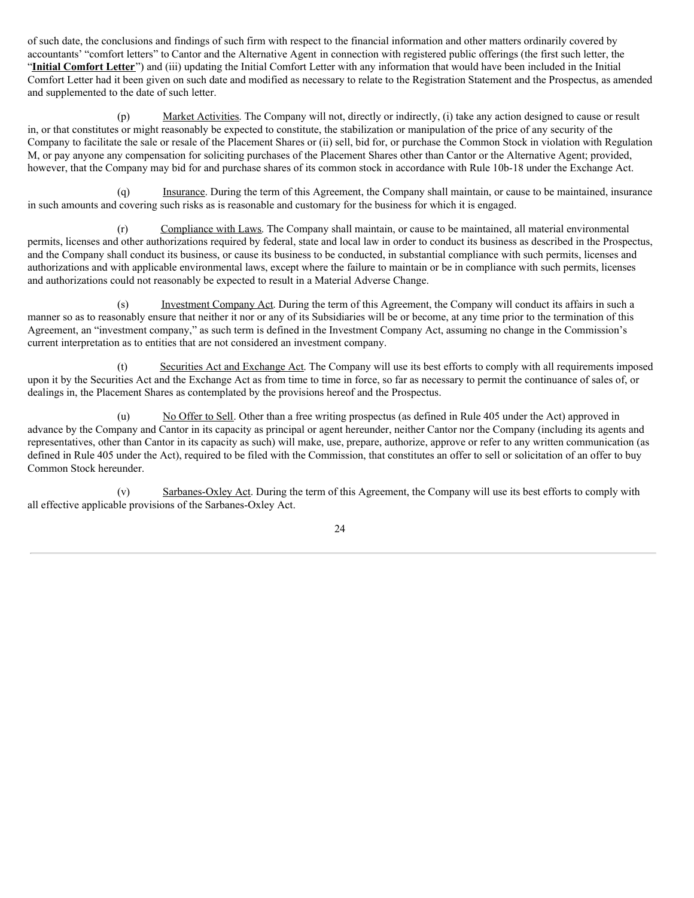of such date, the conclusions and findings of such firm with respect to the financial information and other matters ordinarily covered by accountants' "comfort letters" to Cantor and the Alternative Agent in connection with registered public offerings (the first such letter, the "**Initial Comfort Letter**") and (iii) updating the Initial Comfort Letter with any information that would have been included in the Initial Comfort Letter had it been given on such date and modified as necessary to relate to the Registration Statement and the Prospectus, as amended and supplemented to the date of such letter.

(p) Market Activities. The Company will not, directly or indirectly, (i) take any action designed to cause or result in, or that constitutes or might reasonably be expected to constitute, the stabilization or manipulation of the price of any security of the Company to facilitate the sale or resale of the Placement Shares or (ii) sell, bid for, or purchase the Common Stock in violation with Regulation M, or pay anyone any compensation for soliciting purchases of the Placement Shares other than Cantor or the Alternative Agent; provided, however, that the Company may bid for and purchase shares of its common stock in accordance with Rule 10b-18 under the Exchange Act.

(q) Insurance. During the term of this Agreement, the Company shall maintain, or cause to be maintained, insurance in such amounts and covering such risks as is reasonable and customary for the business for which it is engaged.

(r) Compliance with Laws. The Company shall maintain, or cause to be maintained, all material environmental permits, licenses and other authorizations required by federal, state and local law in order to conduct its business as described in the Prospectus, and the Company shall conduct its business, or cause its business to be conducted, in substantial compliance with such permits, licenses and authorizations and with applicable environmental laws, except where the failure to maintain or be in compliance with such permits, licenses and authorizations could not reasonably be expected to result in a Material Adverse Change.

(s) Investment Company Act. During the term of this Agreement, the Company will conduct its affairs in such a manner so as to reasonably ensure that neither it nor or any of its Subsidiaries will be or become, at any time prior to the termination of this Agreement, an "investment company," as such term is defined in the Investment Company Act, assuming no change in the Commission's current interpretation as to entities that are not considered an investment company.

(t) Securities Act and Exchange Act. The Company will use its best efforts to comply with all requirements imposed upon it by the Securities Act and the Exchange Act as from time to time in force, so far as necessary to permit the continuance of sales of, or dealings in, the Placement Shares as contemplated by the provisions hereof and the Prospectus.

(u) No Offer to Sell. Other than a free writing prospectus (as defined in Rule 405 under the Act) approved in advance by the Company and Cantor in its capacity as principal or agent hereunder, neither Cantor nor the Company (including its agents and representatives, other than Cantor in its capacity as such) will make, use, prepare, authorize, approve or refer to any written communication (as defined in Rule 405 under the Act), required to be filed with the Commission, that constitutes an offer to sell or solicitation of an offer to buy Common Stock hereunder.

(v) Sarbanes-Oxley Act. During the term of this Agreement, the Company will use its best efforts to comply with all effective applicable provisions of the Sarbanes-Oxley Act.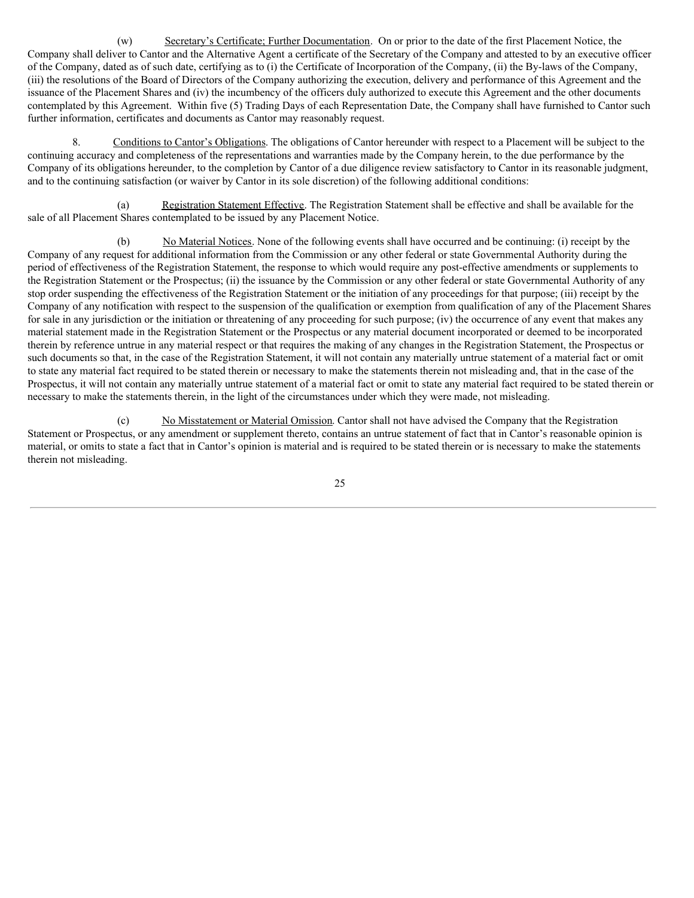(w) Secretary's Certificate; Further Documentation. On or prior to the date of the first Placement Notice, the Company shall deliver to Cantor and the Alternative Agent a certificate of the Secretary of the Company and attested to by an executive officer of the Company, dated as of such date, certifying as to (i) the Certificate of Incorporation of the Company, (ii) the By-laws of the Company, (iii) the resolutions of the Board of Directors of the Company authorizing the execution, delivery and performance of this Agreement and the issuance of the Placement Shares and (iv) the incumbency of the officers duly authorized to execute this Agreement and the other documents contemplated by this Agreement. Within five (5) Trading Days of each Representation Date, the Company shall have furnished to Cantor such further information, certificates and documents as Cantor may reasonably request.

8. Conditions to Cantor's Obligations. The obligations of Cantor hereunder with respect to a Placement will be subject to the continuing accuracy and completeness of the representations and warranties made by the Company herein, to the due performance by the Company of its obligations hereunder, to the completion by Cantor of a due diligence review satisfactory to Cantor in its reasonable judgment, and to the continuing satisfaction (or waiver by Cantor in its sole discretion) of the following additional conditions:

(a) Registration Statement Effective. The Registration Statement shall be effective and shall be available for the sale of all Placement Shares contemplated to be issued by any Placement Notice.

(b) No Material Notices. None of the following events shall have occurred and be continuing: (i) receipt by the Company of any request for additional information from the Commission or any other federal or state Governmental Authority during the period of effectiveness of the Registration Statement, the response to which would require any post-effective amendments or supplements to the Registration Statement or the Prospectus; (ii) the issuance by the Commission or any other federal or state Governmental Authority of any stop order suspending the effectiveness of the Registration Statement or the initiation of any proceedings for that purpose; (iii) receipt by the Company of any notification with respect to the suspension of the qualification or exemption from qualification of any of the Placement Shares for sale in any jurisdiction or the initiation or threatening of any proceeding for such purpose; (iv) the occurrence of any event that makes any material statement made in the Registration Statement or the Prospectus or any material document incorporated or deemed to be incorporated therein by reference untrue in any material respect or that requires the making of any changes in the Registration Statement, the Prospectus or such documents so that, in the case of the Registration Statement, it will not contain any materially untrue statement of a material fact or omit to state any material fact required to be stated therein or necessary to make the statements therein not misleading and, that in the case of the Prospectus, it will not contain any materially untrue statement of a material fact or omit to state any material fact required to be stated therein or necessary to make the statements therein, in the light of the circumstances under which they were made, not misleading.

(c) No Misstatement or Material Omission. Cantor shall not have advised the Company that the Registration Statement or Prospectus, or any amendment or supplement thereto, contains an untrue statement of fact that in Cantor's reasonable opinion is material, or omits to state a fact that in Cantor's opinion is material and is required to be stated therein or is necessary to make the statements therein not misleading.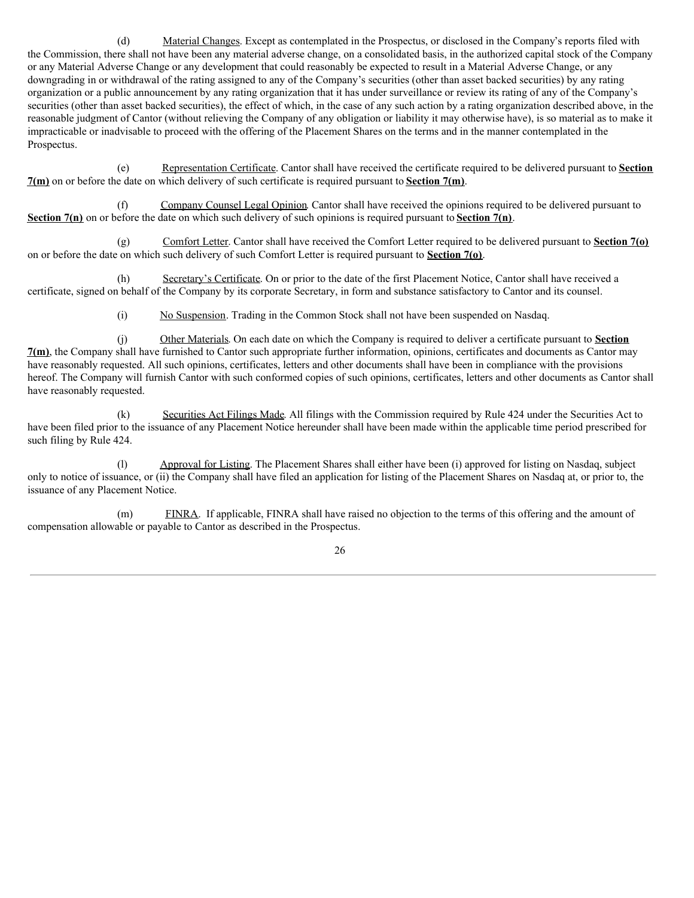(d) Material Changes. Except as contemplated in the Prospectus, or disclosed in the Company's reports filed with the Commission, there shall not have been any material adverse change, on a consolidated basis, in the authorized capital stock of the Company or any Material Adverse Change or any development that could reasonably be expected to result in a Material Adverse Change, or any downgrading in or withdrawal of the rating assigned to any of the Company's securities (other than asset backed securities) by any rating organization or a public announcement by any rating organization that it has under surveillance or review its rating of any of the Company's securities (other than asset backed securities), the effect of which, in the case of any such action by a rating organization described above, in the reasonable judgment of Cantor (without relieving the Company of any obligation or liability it may otherwise have), is so material as to make it impracticable or inadvisable to proceed with the offering of the Placement Shares on the terms and in the manner contemplated in the Prospectus.

(e) Representation Certificate. Cantor shall have received the certificate required to be delivered pursuant to **Section**  $7(m)$  on or before the date on which delivery of such certificate is required pursuant to **Section**  $7(m)$ .

(f) Company Counsel Legal Opinion. Cantor shall have received the opinions required to be delivered pursuant to **Section 7(n)** on or before the date on which such delivery of such opinions is required pursuant to **Section 7(n)**.

(g) Comfort Letter. Cantor shall have received the Comfort Letter required to be delivered pursuant to **Section 7(o)** on or before the date on which such delivery of such Comfort Letter is required pursuant to **Section 7(o)**.

(h) Secretary's Certificate. On or prior to the date of the first Placement Notice, Cantor shall have received a certificate, signed on behalf of the Company by its corporate Secretary, in form and substance satisfactory to Cantor and its counsel.

(i) No Suspension. Trading in the Common Stock shall not have been suspended on Nasdaq.

(j) Other Materials. On each date on which the Company is required to deliver a certificate pursuant to **Section 7(m)**, the Company shall have furnished to Cantor such appropriate further information, opinions, certificates and documents as Cantor may have reasonably requested. All such opinions, certificates, letters and other documents shall have been in compliance with the provisions hereof. The Company will furnish Cantor with such conformed copies of such opinions, certificates, letters and other documents as Cantor shall have reasonably requested.

(k) Securities Act Filings Made. All filings with the Commission required by Rule 424 under the Securities Act to have been filed prior to the issuance of any Placement Notice hereunder shall have been made within the applicable time period prescribed for such filing by Rule 424.

(l) Approval for Listing. The Placement Shares shall either have been (i) approved for listing on Nasdaq, subject only to notice of issuance, or (ii) the Company shall have filed an application for listing of the Placement Shares on Nasdaq at, or prior to, the issuance of any Placement Notice.

(m) FINRA. If applicable, FINRA shall have raised no objection to the terms of this offering and the amount of compensation allowable or payable to Cantor as described in the Prospectus.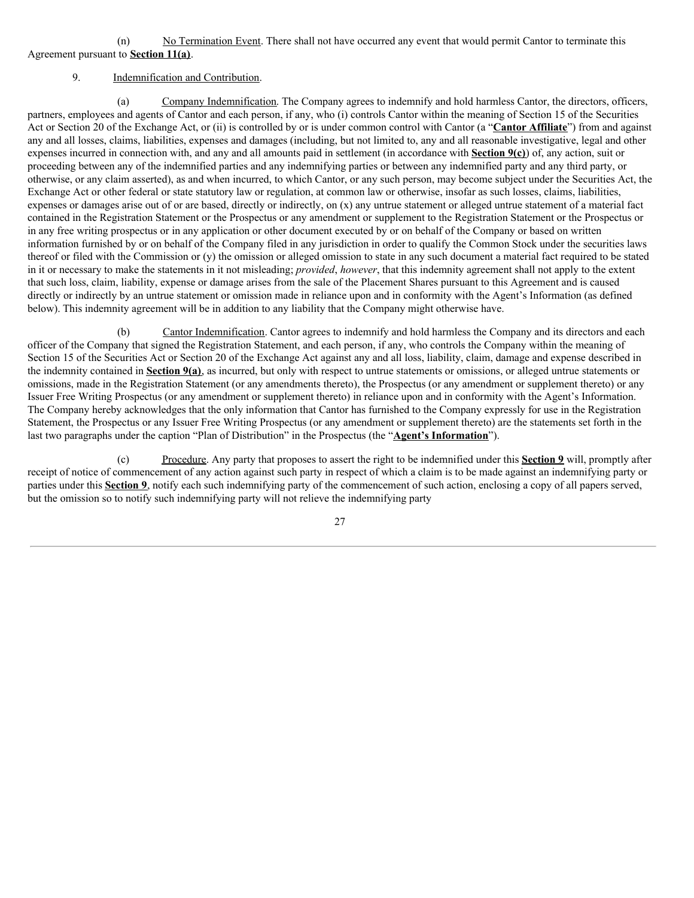(n) No Termination Event. There shall not have occurred any event that would permit Cantor to terminate this Agreement pursuant to **Section 11(a)**.

# 9. Indemnification and Contribution.

(a) Company Indemnification. The Company agrees to indemnify and hold harmless Cantor, the directors, officers, partners, employees and agents of Cantor and each person, if any, who (i) controls Cantor within the meaning of Section 15 of the Securities Act or Section 20 of the Exchange Act, or (ii) is controlled by or is under common control with Cantor (a "**Cantor Affiliate**") from and against any and all losses, claims, liabilities, expenses and damages (including, but not limited to, any and all reasonable investigative, legal and other expenses incurred in connection with, and any and all amounts paid in settlement (in accordance with **Section 9(c)**) of, any action, suit or proceeding between any of the indemnified parties and any indemnifying parties or between any indemnified party and any third party, or otherwise, or any claim asserted), as and when incurred, to which Cantor, or any such person, may become subject under the Securities Act, the Exchange Act or other federal or state statutory law or regulation, at common law or otherwise, insofar as such losses, claims, liabilities, expenses or damages arise out of or are based, directly or indirectly, on (x) any untrue statement or alleged untrue statement of a material fact contained in the Registration Statement or the Prospectus or any amendment or supplement to the Registration Statement or the Prospectus or in any free writing prospectus or in any application or other document executed by or on behalf of the Company or based on written information furnished by or on behalf of the Company filed in any jurisdiction in order to qualify the Common Stock under the securities laws thereof or filed with the Commission or (y) the omission or alleged omission to state in any such document a material fact required to be stated in it or necessary to make the statements in it not misleading; *provided*, *however*, that this indemnity agreement shall not apply to the extent that such loss, claim, liability, expense or damage arises from the sale of the Placement Shares pursuant to this Agreement and is caused directly or indirectly by an untrue statement or omission made in reliance upon and in conformity with the Agent's Information (as defined below). This indemnity agreement will be in addition to any liability that the Company might otherwise have.

Cantor Indemnification. Cantor agrees to indemnify and hold harmless the Company and its directors and each officer of the Company that signed the Registration Statement, and each person, if any, who controls the Company within the meaning of Section 15 of the Securities Act or Section 20 of the Exchange Act against any and all loss, liability, claim, damage and expense described in the indemnity contained in **Section 9(a)**, as incurred, but only with respect to untrue statements or omissions, or alleged untrue statements or omissions, made in the Registration Statement (or any amendments thereto), the Prospectus (or any amendment or supplement thereto) or any Issuer Free Writing Prospectus (or any amendment or supplement thereto) in reliance upon and in conformity with the Agent's Information. The Company hereby acknowledges that the only information that Cantor has furnished to the Company expressly for use in the Registration Statement, the Prospectus or any Issuer Free Writing Prospectus (or any amendment or supplement thereto) are the statements set forth in the last two paragraphs under the caption "Plan of Distribution" in the Prospectus (the "**Agent's Information**").

(c) Procedure. Any party that proposes to assert the right to be indemnified under this **Section 9** will, promptly after receipt of notice of commencement of any action against such party in respect of which a claim is to be made against an indemnifying party or parties under this **Section 9**, notify each such indemnifying party of the commencement of such action, enclosing a copy of all papers served, but the omission so to notify such indemnifying party will not relieve the indemnifying party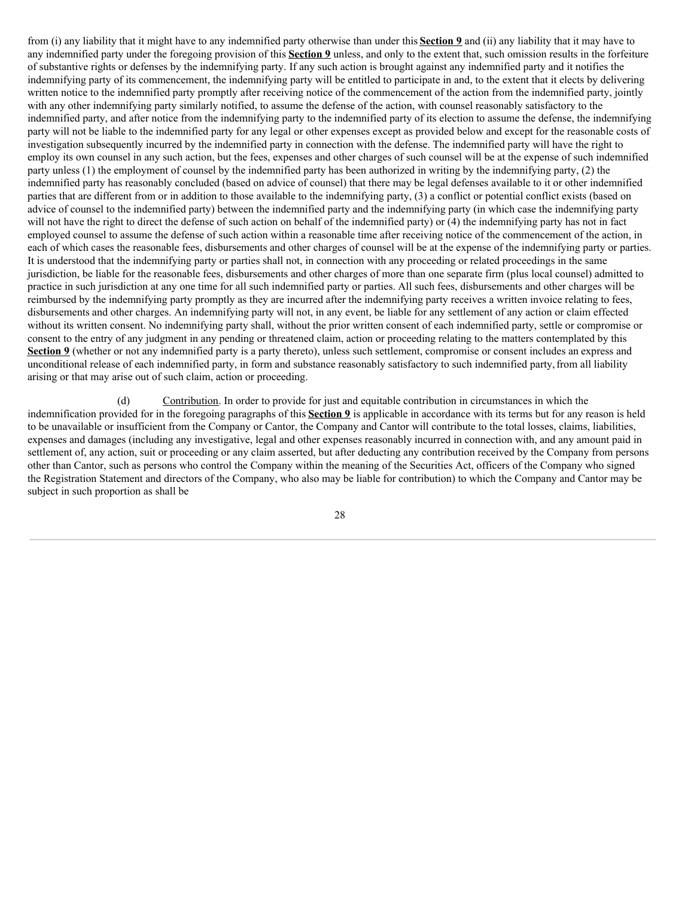from (i) any liability that it might have to any indemnified party otherwise than under this **Section 9** and (ii) any liability that it may have to any indemnified party under the foregoing provision of this **Section 9** unless, and only to the extent that, such omission results in the forfeiture of substantive rights or defenses by the indemnifying party. If any such action is brought against any indemnified party and it notifies the indemnifying party of its commencement, the indemnifying party will be entitled to participate in and, to the extent that it elects by delivering written notice to the indemnified party promptly after receiving notice of the commencement of the action from the indemnified party, jointly with any other indemnifying party similarly notified, to assume the defense of the action, with counsel reasonably satisfactory to the indemnified party, and after notice from the indemnifying party to the indemnified party of its election to assume the defense, the indemnifying party will not be liable to the indemnified party for any legal or other expenses except as provided below and except for the reasonable costs of investigation subsequently incurred by the indemnified party in connection with the defense. The indemnified party will have the right to employ its own counsel in any such action, but the fees, expenses and other charges of such counsel will be at the expense of such indemnified party unless (1) the employment of counsel by the indemnified party has been authorized in writing by the indemnifying party, (2) the indemnified party has reasonably concluded (based on advice of counsel) that there may be legal defenses available to it or other indemnified parties that are different from or in addition to those available to the indemnifying party, (3) a conflict or potential conflict exists (based on advice of counsel to the indemnified party) between the indemnified party and the indemnifying party (in which case the indemnifying party will not have the right to direct the defense of such action on behalf of the indemnified party) or (4) the indemnifying party has not in fact employed counsel to assume the defense of such action within a reasonable time after receiving notice of the commencement of the action, in each of which cases the reasonable fees, disbursements and other charges of counsel will be at the expense of the indemnifying party or parties. It is understood that the indemnifying party or parties shall not, in connection with any proceeding or related proceedings in the same jurisdiction, be liable for the reasonable fees, disbursements and other charges of more than one separate firm (plus local counsel) admitted to practice in such jurisdiction at any one time for all such indemnified party or parties. All such fees, disbursements and other charges will be reimbursed by the indemnifying party promptly as they are incurred after the indemnifying party receives a written invoice relating to fees, disbursements and other charges. An indemnifying party will not, in any event, be liable for any settlement of any action or claim effected without its written consent. No indemnifying party shall, without the prior written consent of each indemnified party, settle or compromise or consent to the entry of any judgment in any pending or threatened claim, action or proceeding relating to the matters contemplated by this **Section 9** (whether or not any indemnified party is a party thereto), unless such settlement, compromise or consent includes an express and unconditional release of each indemnified party, in form and substance reasonably satisfactory to such indemnified party,from all liability arising or that may arise out of such claim, action or proceeding.

(d) Contribution. In order to provide for just and equitable contribution in circumstances in which the indemnification provided for in the foregoing paragraphs of this **Section 9** is applicable in accordance with its terms but for any reason is held to be unavailable or insufficient from the Company or Cantor, the Company and Cantor will contribute to the total losses, claims, liabilities, expenses and damages (including any investigative, legal and other expenses reasonably incurred in connection with, and any amount paid in settlement of, any action, suit or proceeding or any claim asserted, but after deducting any contribution received by the Company from persons other than Cantor, such as persons who control the Company within the meaning of the Securities Act, officers of the Company who signed the Registration Statement and directors of the Company, who also may be liable for contribution) to which the Company and Cantor may be subject in such proportion as shall be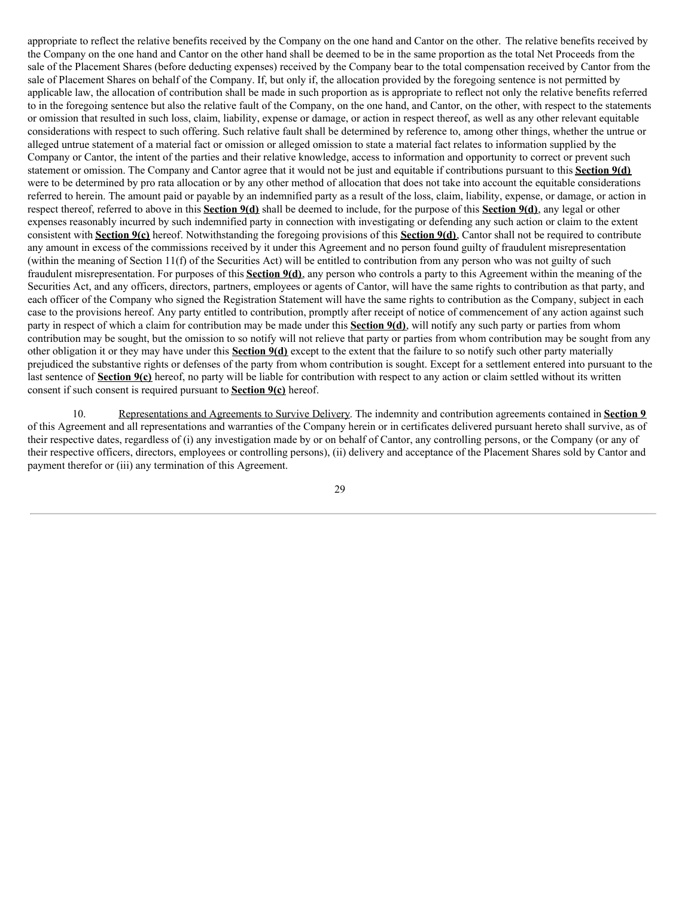appropriate to reflect the relative benefits received by the Company on the one hand and Cantor on the other. The relative benefits received by the Company on the one hand and Cantor on the other hand shall be deemed to be in the same proportion as the total Net Proceeds from the sale of the Placement Shares (before deducting expenses) received by the Company bear to the total compensation received by Cantor from the sale of Placement Shares on behalf of the Company. If, but only if, the allocation provided by the foregoing sentence is not permitted by applicable law, the allocation of contribution shall be made in such proportion as is appropriate to reflect not only the relative benefits referred to in the foregoing sentence but also the relative fault of the Company, on the one hand, and Cantor, on the other, with respect to the statements or omission that resulted in such loss, claim, liability, expense or damage, or action in respect thereof, as well as any other relevant equitable considerations with respect to such offering. Such relative fault shall be determined by reference to, among other things, whether the untrue or alleged untrue statement of a material fact or omission or alleged omission to state a material fact relates to information supplied by the Company or Cantor, the intent of the parties and their relative knowledge, access to information and opportunity to correct or prevent such statement or omission. The Company and Cantor agree that it would not be just and equitable if contributions pursuant to this **Section 9(d)** were to be determined by pro rata allocation or by any other method of allocation that does not take into account the equitable considerations referred to herein. The amount paid or payable by an indemnified party as a result of the loss, claim, liability, expense, or damage, or action in respect thereof, referred to above in this **Section 9(d)** shall be deemed to include, for the purpose of this **Section 9(d)**, any legal or other expenses reasonably incurred by such indemnified party in connection with investigating or defending any such action or claim to the extent consistent with **Section 9(c)** hereof. Notwithstanding the foregoing provisions of this **Section 9(d)**, Cantor shall not be required to contribute any amount in excess of the commissions received by it under this Agreement and no person found guilty of fraudulent misrepresentation (within the meaning of Section 11(f) of the Securities Act) will be entitled to contribution from any person who was not guilty of such fraudulent misrepresentation. For purposes of this **Section 9(d)**, any person who controls a party to this Agreement within the meaning of the Securities Act, and any officers, directors, partners, employees or agents of Cantor, will have the same rights to contribution as that party, and each officer of the Company who signed the Registration Statement will have the same rights to contribution as the Company, subject in each case to the provisions hereof. Any party entitled to contribution, promptly after receipt of notice of commencement of any action against such party in respect of which a claim for contribution may be made under this **Section 9(d)**, will notify any such party or parties from whom contribution may be sought, but the omission to so notify will not relieve that party or parties from whom contribution may be sought from any other obligation it or they may have under this **Section 9(d)** except to the extent that the failure to so notify such other party materially prejudiced the substantive rights or defenses of the party from whom contribution is sought. Except for a settlement entered into pursuant to the last sentence of **Section 9(c)** hereof, no party will be liable for contribution with respect to any action or claim settled without its written consent if such consent is required pursuant to **Section 9(c)** hereof.

10. Representations and Agreements to Survive Delivery. The indemnity and contribution agreements contained in **Section 9** of this Agreement and all representations and warranties of the Company herein or in certificates delivered pursuant hereto shall survive, as of their respective dates, regardless of (i) any investigation made by or on behalf of Cantor, any controlling persons, or the Company (or any of their respective officers, directors, employees or controlling persons), (ii) delivery and acceptance of the Placement Shares sold by Cantor and payment therefor or (iii) any termination of this Agreement.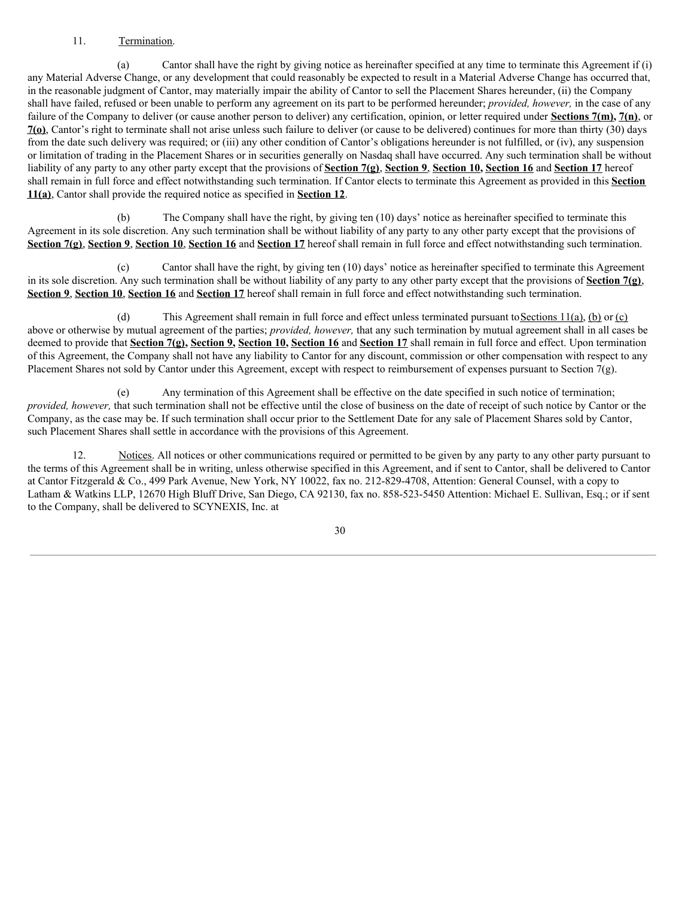# 11. Termination.

(a) Cantor shall have the right by giving notice as hereinafter specified at any time to terminate this Agreement if (i) any Material Adverse Change, or any development that could reasonably be expected to result in a Material Adverse Change has occurred that, in the reasonable judgment of Cantor, may materially impair the ability of Cantor to sell the Placement Shares hereunder, (ii) the Company shall have failed, refused or been unable to perform any agreement on its part to be performed hereunder; *provided, however,* in the case of any failure of the Company to deliver (or cause another person to deliver) any certification, opinion, or letter required under **Sections 7(m), 7(n)**, or **7(o)**, Cantor's right to terminate shall not arise unless such failure to deliver (or cause to be delivered) continues for more than thirty (30) days from the date such delivery was required; or (iii) any other condition of Cantor's obligations hereunder is not fulfilled, or (iv), any suspension or limitation of trading in the Placement Shares or in securities generally on Nasdaq shall have occurred. Any such termination shall be without liability of any party to any other party except that the provisions of **Section 7(g)**, **Section 9**, **Section 10, Section 16** and **Section 17** hereof shall remain in full force and effect notwithstanding such termination. If Cantor elects to terminate this Agreement as provided in this **Section 11(a)**, Cantor shall provide the required notice as specified in **Section 12**.

(b) The Company shall have the right, by giving ten (10) days' notice as hereinafter specified to terminate this Agreement in its sole discretion. Any such termination shall be without liability of any party to any other party except that the provisions of **Section 7(g)**, **Section 9**, **Section 10**, **Section 16** and **Section 17** hereof shall remain in full force and effect notwithstanding such termination.

(c) Cantor shall have the right, by giving ten (10) days' notice as hereinafter specified to terminate this Agreement in its sole discretion. Any such termination shall be without liability of any party to any other party except that the provisions of **Section 7(g)**, **Section 9**, **Section 10**, **Section 16** and **Section 17** hereof shall remain in full force and effect notwithstanding such termination.

(d) This Agreement shall remain in full force and effect unless terminated pursuant toSections 11(a), (b) or (c) above or otherwise by mutual agreement of the parties; *provided, however,* that any such termination by mutual agreement shall in all cases be deemed to provide that **Section 7(g), Section 9, Section 10, Section 16** and **Section 17** shall remain in full force and effect. Upon termination of this Agreement, the Company shall not have any liability to Cantor for any discount, commission or other compensation with respect to any Placement Shares not sold by Cantor under this Agreement, except with respect to reimbursement of expenses pursuant to Section 7(g).

(e) Any termination of this Agreement shall be effective on the date specified in such notice of termination; *provided, however,* that such termination shall not be effective until the close of business on the date of receipt of such notice by Cantor or the Company, as the case may be. If such termination shall occur prior to the Settlement Date for any sale of Placement Shares sold by Cantor, such Placement Shares shall settle in accordance with the provisions of this Agreement.

12. Notices. All notices or other communications required or permitted to be given by any party to any other party pursuant to the terms of this Agreement shall be in writing, unless otherwise specified in this Agreement, and if sent to Cantor, shall be delivered to Cantor at Cantor Fitzgerald & Co., 499 Park Avenue, New York, NY 10022, fax no. 212-829-4708, Attention: General Counsel, with a copy to Latham & Watkins LLP, 12670 High Bluff Drive, San Diego, CA 92130, fax no. 858-523-5450 Attention: Michael E. Sullivan, Esq.; or if sent to the Company, shall be delivered to SCYNEXIS, Inc. at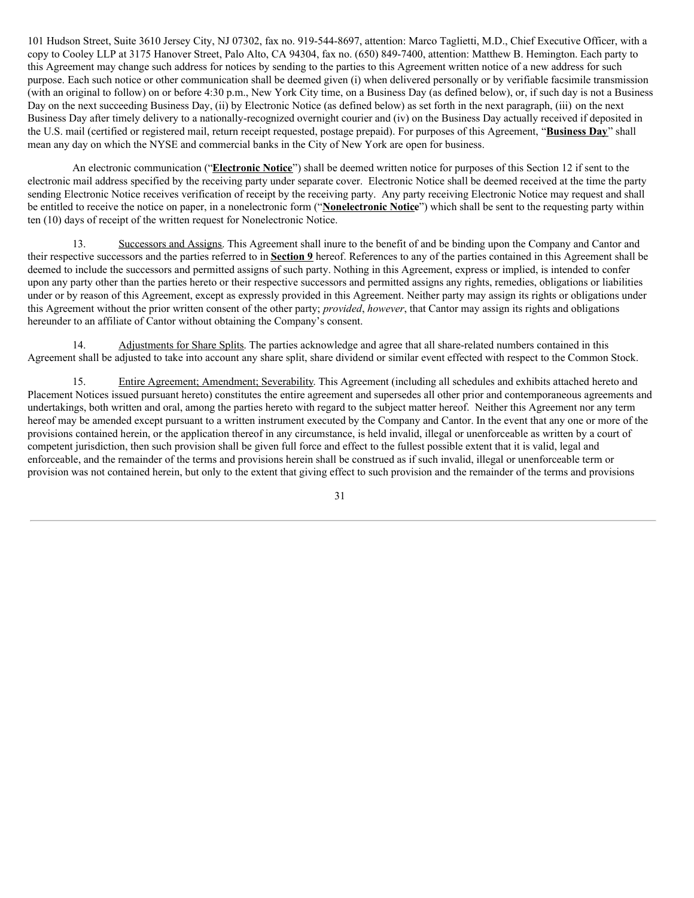101 Hudson Street, Suite 3610 Jersey City, NJ 07302, fax no. 919-544-8697, attention: Marco Taglietti, M.D., Chief Executive Officer, with a copy to Cooley LLP at 3175 Hanover Street, Palo Alto, CA 94304, fax no. (650) 849-7400, attention: Matthew B. Hemington. Each party to this Agreement may change such address for notices by sending to the parties to this Agreement written notice of a new address for such purpose. Each such notice or other communication shall be deemed given (i) when delivered personally or by verifiable facsimile transmission (with an original to follow) on or before 4:30 p.m., New York City time, on a Business Day (as defined below), or, if such day is not a Business Day on the next succeeding Business Day, (ii) by Electronic Notice (as defined below) as set forth in the next paragraph, (iii) on the next Business Day after timely delivery to a nationally-recognized overnight courier and (iv) on the Business Day actually received if deposited in the U.S. mail (certified or registered mail, return receipt requested, postage prepaid). For purposes of this Agreement, "**Business Day**" shall mean any day on which the NYSE and commercial banks in the City of New York are open for business.

An electronic communication ("**Electronic Notice**") shall be deemed written notice for purposes of this Section 12 if sent to the electronic mail address specified by the receiving party under separate cover. Electronic Notice shall be deemed received at the time the party sending Electronic Notice receives verification of receipt by the receiving party. Any party receiving Electronic Notice may request and shall be entitled to receive the notice on paper, in a nonelectronic form ("**Nonelectronic Notice**") which shall be sent to the requesting party within ten (10) days of receipt of the written request for Nonelectronic Notice.

13. Successors and Assigns. This Agreement shall inure to the benefit of and be binding upon the Company and Cantor and their respective successors and the parties referred to in **Section 9** hereof. References to any of the parties contained in this Agreement shall be deemed to include the successors and permitted assigns of such party. Nothing in this Agreement, express or implied, is intended to confer upon any party other than the parties hereto or their respective successors and permitted assigns any rights, remedies, obligations or liabilities under or by reason of this Agreement, except as expressly provided in this Agreement. Neither party may assign its rights or obligations under this Agreement without the prior written consent of the other party; *provided*, *however*, that Cantor may assign its rights and obligations hereunder to an affiliate of Cantor without obtaining the Company's consent.

14. Adjustments for Share Splits. The parties acknowledge and agree that all share-related numbers contained in this Agreement shall be adjusted to take into account any share split, share dividend or similar event effected with respect to the Common Stock.

15. Entire Agreement; Amendment; Severability. This Agreement (including all schedules and exhibits attached hereto and Placement Notices issued pursuant hereto) constitutes the entire agreement and supersedes all other prior and contemporaneous agreements and undertakings, both written and oral, among the parties hereto with regard to the subject matter hereof. Neither this Agreement nor any term hereof may be amended except pursuant to a written instrument executed by the Company and Cantor. In the event that any one or more of the provisions contained herein, or the application thereof in any circumstance, is held invalid, illegal or unenforceable as written by a court of competent jurisdiction, then such provision shall be given full force and effect to the fullest possible extent that it is valid, legal and enforceable, and the remainder of the terms and provisions herein shall be construed as if such invalid, illegal or unenforceable term or provision was not contained herein, but only to the extent that giving effect to such provision and the remainder of the terms and provisions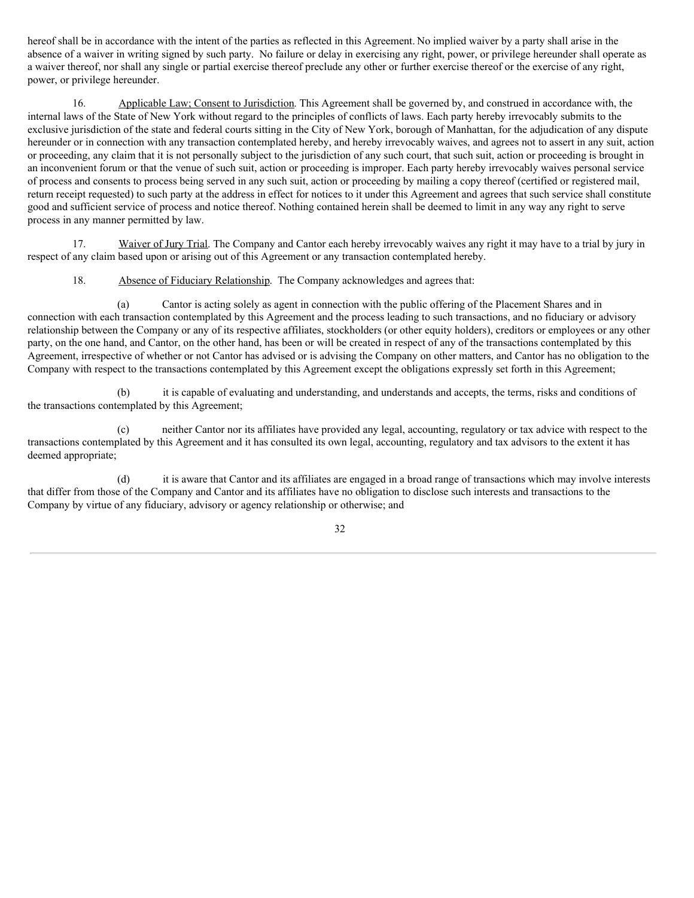hereof shall be in accordance with the intent of the parties as reflected in this Agreement. No implied waiver by a party shall arise in the absence of a waiver in writing signed by such party. No failure or delay in exercising any right, power, or privilege hereunder shall operate as a waiver thereof, nor shall any single or partial exercise thereof preclude any other or further exercise thereof or the exercise of any right, power, or privilege hereunder.

16. Applicable Law; Consent to Jurisdiction. This Agreement shall be governed by, and construed in accordance with, the internal laws of the State of New York without regard to the principles of conflicts of laws. Each party hereby irrevocably submits to the exclusive jurisdiction of the state and federal courts sitting in the City of New York, borough of Manhattan, for the adjudication of any dispute hereunder or in connection with any transaction contemplated hereby, and hereby irrevocably waives, and agrees not to assert in any suit, action or proceeding, any claim that it is not personally subject to the jurisdiction of any such court, that such suit, action or proceeding is brought in an inconvenient forum or that the venue of such suit, action or proceeding is improper. Each party hereby irrevocably waives personal service of process and consents to process being served in any such suit, action or proceeding by mailing a copy thereof (certified or registered mail, return receipt requested) to such party at the address in effect for notices to it under this Agreement and agrees that such service shall constitute good and sufficient service of process and notice thereof. Nothing contained herein shall be deemed to limit in any way any right to serve process in any manner permitted by law.

17. Waiver of Jury Trial. The Company and Cantor each hereby irrevocably waives any right it may have to a trial by jury in respect of any claim based upon or arising out of this Agreement or any transaction contemplated hereby.

18. Absence of Fiduciary Relationship. The Company acknowledges and agrees that:

(a) Cantor is acting solely as agent in connection with the public offering of the Placement Shares and in connection with each transaction contemplated by this Agreement and the process leading to such transactions, and no fiduciary or advisory relationship between the Company or any of its respective affiliates, stockholders (or other equity holders), creditors or employees or any other party, on the one hand, and Cantor, on the other hand, has been or will be created in respect of any of the transactions contemplated by this Agreement, irrespective of whether or not Cantor has advised or is advising the Company on other matters, and Cantor has no obligation to the Company with respect to the transactions contemplated by this Agreement except the obligations expressly set forth in this Agreement;

(b) it is capable of evaluating and understanding, and understands and accepts, the terms, risks and conditions of the transactions contemplated by this Agreement;

(c) neither Cantor nor its affiliates have provided any legal, accounting, regulatory or tax advice with respect to the transactions contemplated by this Agreement and it has consulted its own legal, accounting, regulatory and tax advisors to the extent it has deemed appropriate;

(d) it is aware that Cantor and its affiliates are engaged in a broad range of transactions which may involve interests that differ from those of the Company and Cantor and its affiliates have no obligation to disclose such interests and transactions to the Company by virtue of any fiduciary, advisory or agency relationship or otherwise; and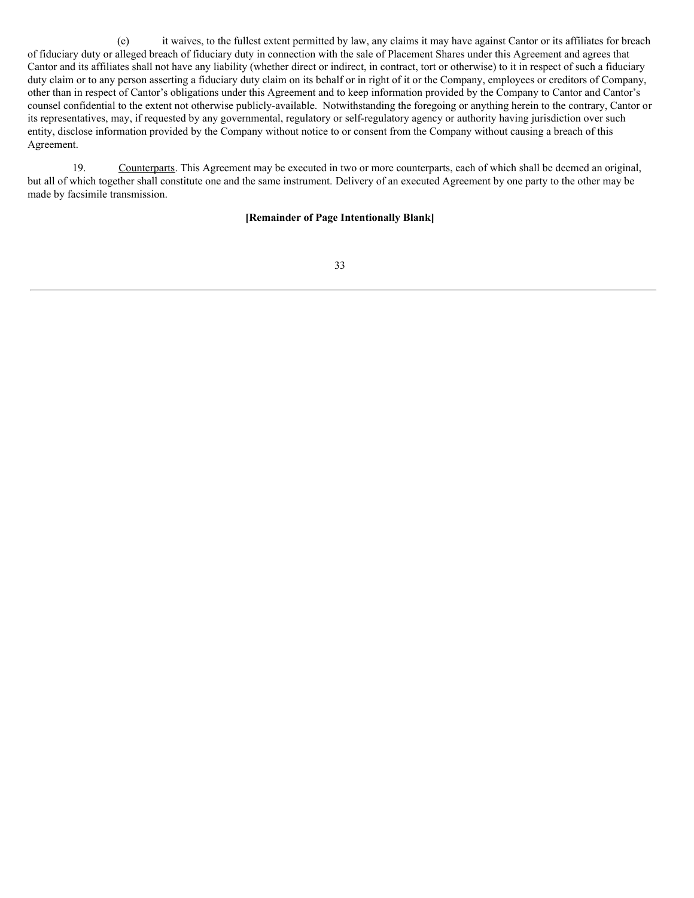(e) it waives, to the fullest extent permitted by law, any claims it may have against Cantor or its affiliates for breach of fiduciary duty or alleged breach of fiduciary duty in connection with the sale of Placement Shares under this Agreement and agrees that Cantor and its affiliates shall not have any liability (whether direct or indirect, in contract, tort or otherwise) to it in respect of such a fiduciary duty claim or to any person asserting a fiduciary duty claim on its behalf or in right of it or the Company, employees or creditors of Company, other than in respect of Cantor's obligations under this Agreement and to keep information provided by the Company to Cantor and Cantor's counsel confidential to the extent not otherwise publicly-available. Notwithstanding the foregoing or anything herein to the contrary, Cantor or its representatives, may, if requested by any governmental, regulatory or self-regulatory agency or authority having jurisdiction over such entity, disclose information provided by the Company without notice to or consent from the Company without causing a breach of this Agreement.

19. Counterparts. This Agreement may be executed in two or more counterparts, each of which shall be deemed an original, but all of which together shall constitute one and the same instrument. Delivery of an executed Agreement by one party to the other may be made by facsimile transmission.

# **[Remainder of Page Intentionally Blank]**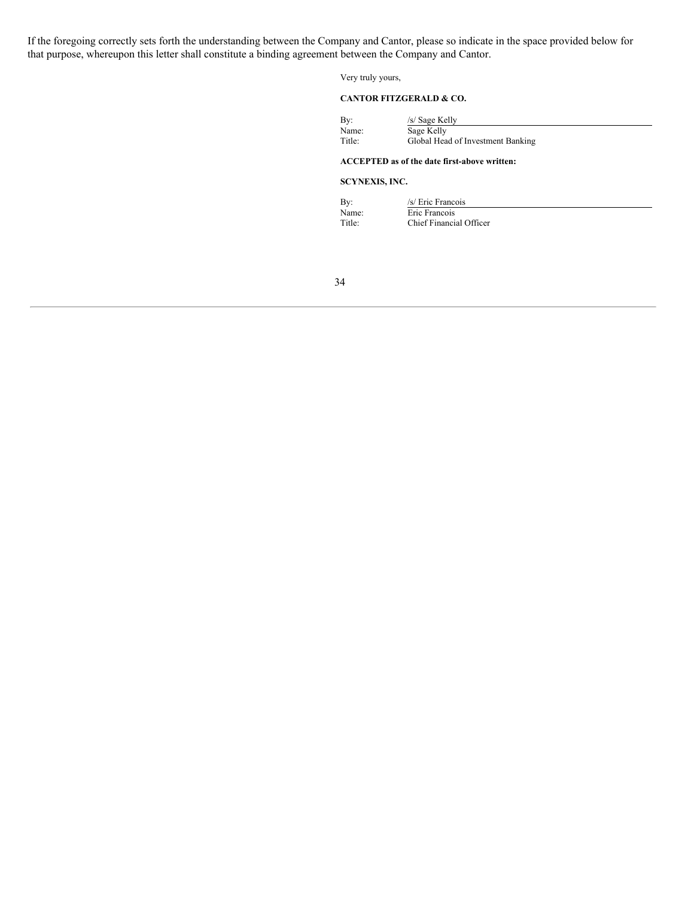If the foregoing correctly sets forth the understanding between the Company and Cantor, please so indicate in the space provided below for that purpose, whereupon this letter shall constitute a binding agreement between the Company and Cantor.

Very truly yours,

#### **CANTOR FITZGERALD & CO.**

| Bv:    | /s/ Sage Kelly                    |  |
|--------|-----------------------------------|--|
| Name:  | Sage Kelly                        |  |
| Title: | Global Head of Investment Banking |  |
|        |                                   |  |

#### **ACCEPTED as of the date first-above written:**

#### **SCYNEXIS, INC.**

| By:    | /s/ Eric Francois       |
|--------|-------------------------|
| Name:  | Eric Francois           |
| Title: | Chief Financial Officer |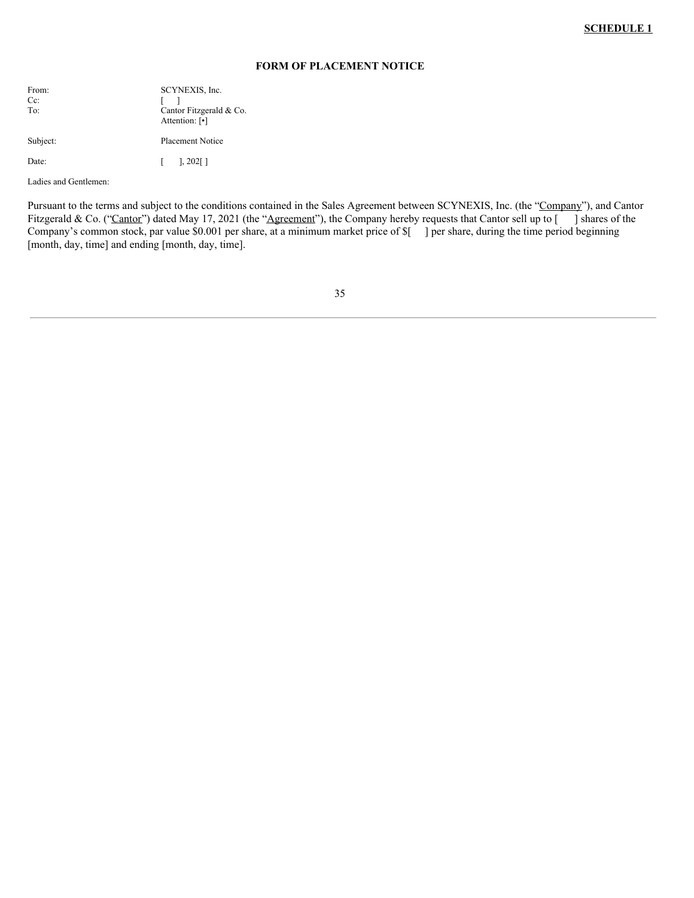#### **FORM OF PLACEMENT NOTICE**

| From:<br>Cc:<br>To: | SCYNEXIS, Inc.<br>Cantor Fitzgerald & Co.<br>Attention: [•] |
|---------------------|-------------------------------------------------------------|
| Subject:            | <b>Placement Notice</b>                                     |
| Date:               | $\begin{bmatrix} 1 & 202 \end{bmatrix}$                     |

Ladies and Gentlemen:

Pursuant to the terms and subject to the conditions contained in the Sales Agreement between SCYNEXIS, Inc. (the "Company"), and Cantor Fitzgerald & Co. ("Cantor") dated May 17, 2021 (the "Agreement"), the Company hereby requests that Cantor sell up to [ ] shares of the Company's common stock, par value \$0.001 per share, at a minimum market price of \$[ ] per share, during the time period beginning [month, day, time] and ending [month, day, time].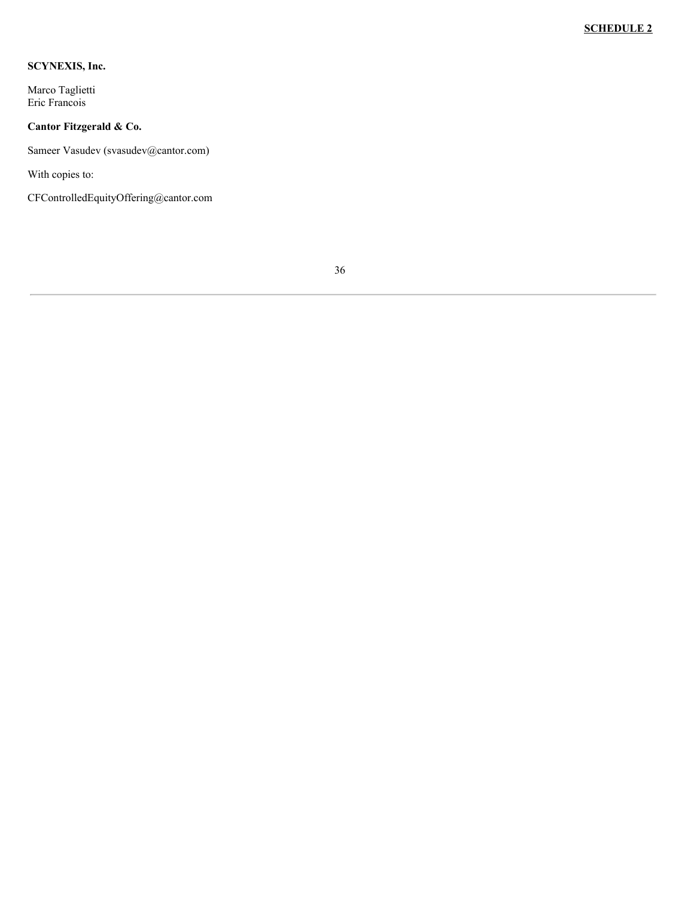# **SCYNEXIS, Inc.**

Marco Taglietti Eric Francois

# **Cantor Fitzgerald & Co.**

Sameer Vasudev (svasudev@cantor.com)

With copies to:

CFControlledEquityOffering@cantor.com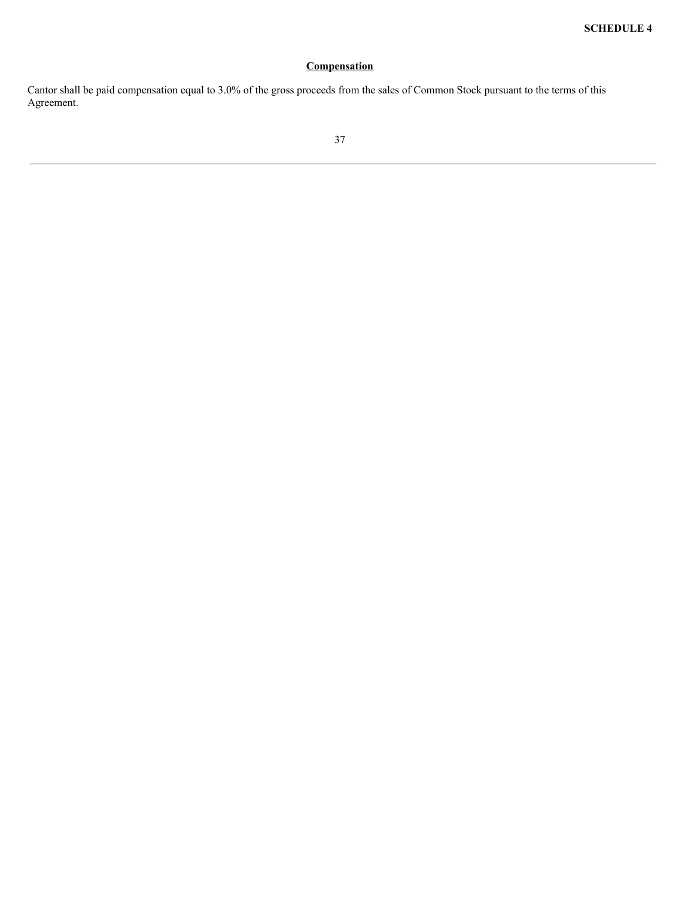# **Compensation**

Cantor shall be paid compensation equal to 3.0% of the gross proceeds from the sales of Common Stock pursuant to the terms of this Agreement.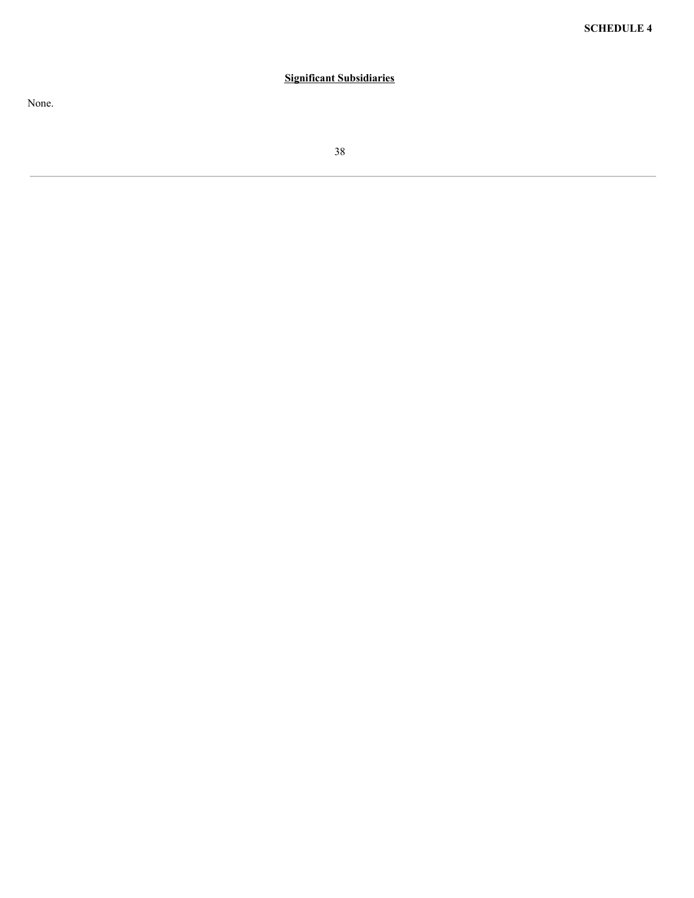# **Significant Subsidiaries**

None.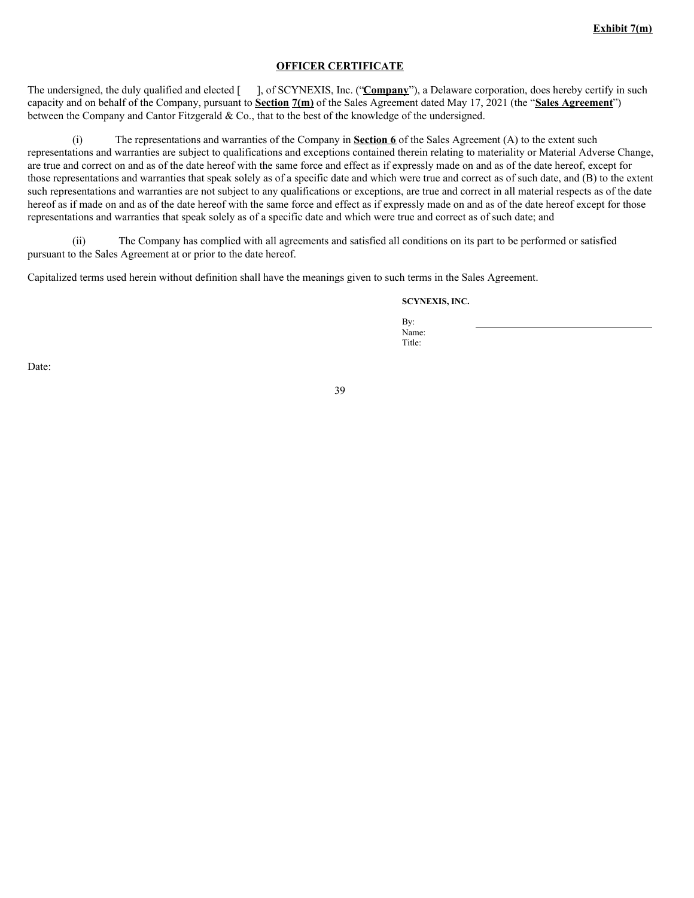### **OFFICER CERTIFICATE**

The undersigned, the duly qualified and elected [ ], of SCYNEXIS, Inc. ("**Company**"), a Delaware corporation, does hereby certify in such capacity and on behalf of the Company, pursuant to **Section 7(m)** of the Sales Agreement dated May 17, 2021 (the "**Sales Agreement**") between the Company and Cantor Fitzgerald & Co., that to the best of the knowledge of the undersigned.

(i) The representations and warranties of the Company in **Section 6** of the Sales Agreement (A) to the extent such representations and warranties are subject to qualifications and exceptions contained therein relating to materiality or Material Adverse Change, are true and correct on and as of the date hereof with the same force and effect as if expressly made on and as of the date hereof, except for those representations and warranties that speak solely as of a specific date and which were true and correct as of such date, and (B) to the extent such representations and warranties are not subject to any qualifications or exceptions, are true and correct in all material respects as of the date hereof as if made on and as of the date hereof with the same force and effect as if expressly made on and as of the date hereof except for those representations and warranties that speak solely as of a specific date and which were true and correct as of such date; and

(ii) The Company has complied with all agreements and satisfied all conditions on its part to be performed or satisfied pursuant to the Sales Agreement at or prior to the date hereof.

Capitalized terms used herein without definition shall have the meanings given to such terms in the Sales Agreement.

#### **SCYNEXIS, INC.**

By: Name: Title:

Date: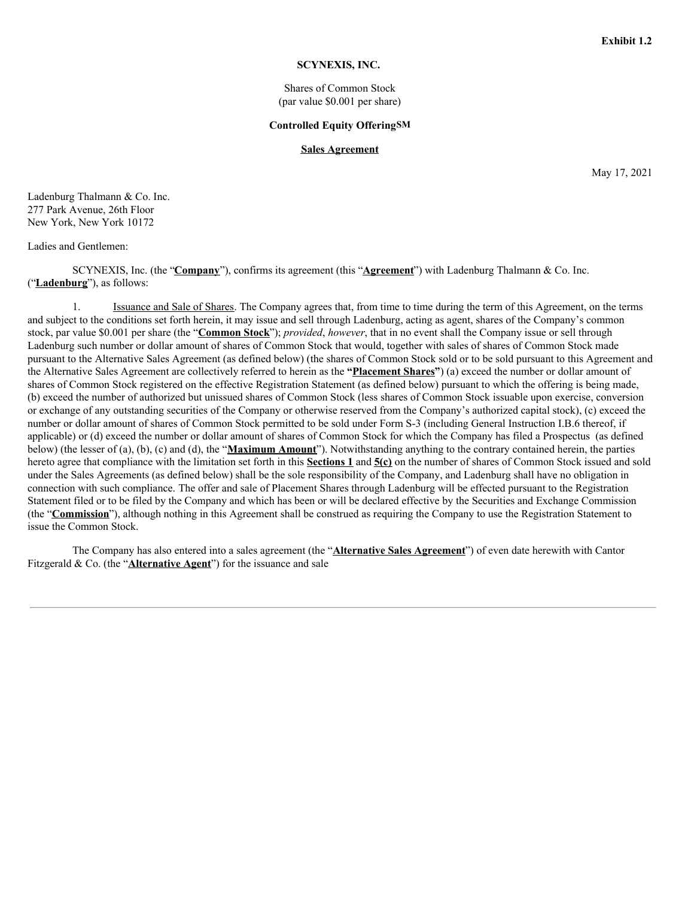## **SCYNEXIS, INC.**

Shares of Common Stock (par value \$0.001 per share)

#### **Controlled Equity OfferingSM**

#### **Sales Agreement**

May 17, 2021

Ladenburg Thalmann & Co. Inc. 277 Park Avenue, 26th Floor New York, New York 10172

#### Ladies and Gentlemen:

SCYNEXIS, Inc. (the "**Company**"), confirms its agreement (this "**Agreement**") with Ladenburg Thalmann & Co. Inc. ("**Ladenburg**"), as follows:

1. Issuance and Sale of Shares. The Company agrees that, from time to time during the term of this Agreement, on the terms and subject to the conditions set forth herein, it may issue and sell through Ladenburg, acting as agent, shares of the Company's common stock, par value \$0.001 per share (the "**Common Stock**"); *provided*, *however*, that in no event shall the Company issue or sell through Ladenburg such number or dollar amount of shares of Common Stock that would, together with sales of shares of Common Stock made pursuant to the Alternative Sales Agreement (as defined below) (the shares of Common Stock sold or to be sold pursuant to this Agreement and the Alternative Sales Agreement are collectively referred to herein as the **"Placement Shares"**) (a) exceed the number or dollar amount of shares of Common Stock registered on the effective Registration Statement (as defined below) pursuant to which the offering is being made, (b) exceed the number of authorized but unissued shares of Common Stock (less shares of Common Stock issuable upon exercise, conversion or exchange of any outstanding securities of the Company or otherwise reserved from the Company's authorized capital stock), (c) exceed the number or dollar amount of shares of Common Stock permitted to be sold under Form S-3 (including General Instruction I.B.6 thereof, if applicable) or (d) exceed the number or dollar amount of shares of Common Stock for which the Company has filed a Prospectus (as defined below) (the lesser of (a), (b), (c) and (d), the "**Maximum Amount**"). Notwithstanding anything to the contrary contained herein, the parties hereto agree that compliance with the limitation set forth in this **Sections 1** and **5(c)** on the number of shares of Common Stock issued and sold under the Sales Agreements (as defined below) shall be the sole responsibility of the Company, and Ladenburg shall have no obligation in connection with such compliance. The offer and sale of Placement Shares through Ladenburg will be effected pursuant to the Registration Statement filed or to be filed by the Company and which has been or will be declared effective by the Securities and Exchange Commission (the "**Commission**"), although nothing in this Agreement shall be construed as requiring the Company to use the Registration Statement to issue the Common Stock.

The Company has also entered into a sales agreement (the "**Alternative Sales Agreement**") of even date herewith with Cantor Fitzgerald & Co. (the "**Alternative Agent**") for the issuance and sale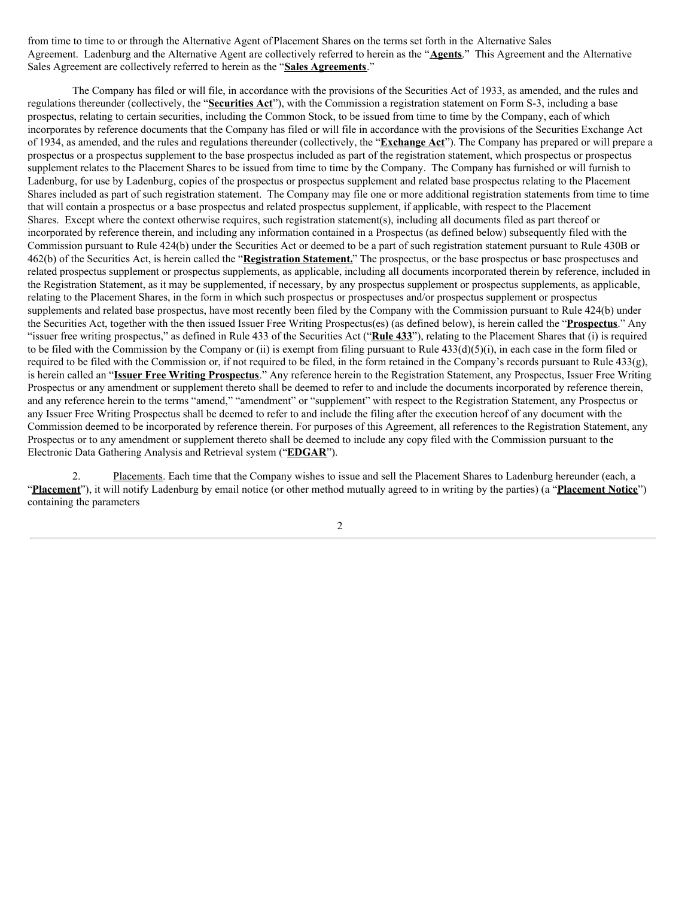from time to time to or through the Alternative Agent of Placement Shares on the terms set forth in the Alternative Sales Agreement. Ladenburg and the Alternative Agent are collectively referred to herein as the "**Agents**." This Agreement and the Alternative Sales Agreement are collectively referred to herein as the "**Sales Agreements**."

The Company has filed or will file, in accordance with the provisions of the Securities Act of 1933, as amended, and the rules and regulations thereunder (collectively, the "**Securities Act**"), with the Commission a registration statement on Form S-3, including a base prospectus, relating to certain securities, including the Common Stock, to be issued from time to time by the Company, each of which incorporates by reference documents that the Company has filed or will file in accordance with the provisions of the Securities Exchange Act of 1934, as amended, and the rules and regulations thereunder (collectively, the "**Exchange Act**"). The Company has prepared or will prepare a prospectus or a prospectus supplement to the base prospectus included as part of the registration statement, which prospectus or prospectus supplement relates to the Placement Shares to be issued from time to time by the Company. The Company has furnished or will furnish to Ladenburg, for use by Ladenburg, copies of the prospectus or prospectus supplement and related base prospectus relating to the Placement Shares included as part of such registration statement. The Company may file one or more additional registration statements from time to time that will contain a prospectus or a base prospectus and related prospectus supplement, if applicable, with respect to the Placement Shares. Except where the context otherwise requires, such registration statement(s), including all documents filed as part thereof or incorporated by reference therein, and including any information contained in a Prospectus (as defined below) subsequently filed with the Commission pursuant to Rule 424(b) under the Securities Act or deemed to be a part of such registration statement pursuant to Rule 430B or 462(b) of the Securities Act, is herein called the "**Registration Statement.**" The prospectus, or the base prospectus or base prospectuses and related prospectus supplement or prospectus supplements, as applicable, including all documents incorporated therein by reference, included in the Registration Statement, as it may be supplemented, if necessary, by any prospectus supplement or prospectus supplements, as applicable, relating to the Placement Shares, in the form in which such prospectus or prospectuses and/or prospectus supplement or prospectus supplements and related base prospectus, have most recently been filed by the Company with the Commission pursuant to Rule 424(b) under the Securities Act, together with the then issued Issuer Free Writing Prospectus(es) (as defined below), is herein called the "**Prospectus**." Any "issuer free writing prospectus," as defined in Rule 433 of the Securities Act ("**Rule 433**"), relating to the Placement Shares that (i) is required to be filed with the Commission by the Company or (ii) is exempt from filing pursuant to Rule 433(d)(5)(i), in each case in the form filed or required to be filed with the Commission or, if not required to be filed, in the form retained in the Company's records pursuant to Rule 433(g), is herein called an "**Issuer Free Writing Prospectus**." Any reference herein to the Registration Statement, any Prospectus, Issuer Free Writing Prospectus or any amendment or supplement thereto shall be deemed to refer to and include the documents incorporated by reference therein, and any reference herein to the terms "amend," "amendment" or "supplement" with respect to the Registration Statement, any Prospectus or any Issuer Free Writing Prospectus shall be deemed to refer to and include the filing after the execution hereof of any document with the Commission deemed to be incorporated by reference therein. For purposes of this Agreement, all references to the Registration Statement, any Prospectus or to any amendment or supplement thereto shall be deemed to include any copy filed with the Commission pursuant to the Electronic Data Gathering Analysis and Retrieval system ("**EDGAR**").

2. Placements. Each time that the Company wishes to issue and sell the Placement Shares to Ladenburg hereunder (each, a "**Placement**"), it will notify Ladenburg by email notice (or other method mutually agreed to in writing by the parties) (a "**Placement Notice**") containing the parameters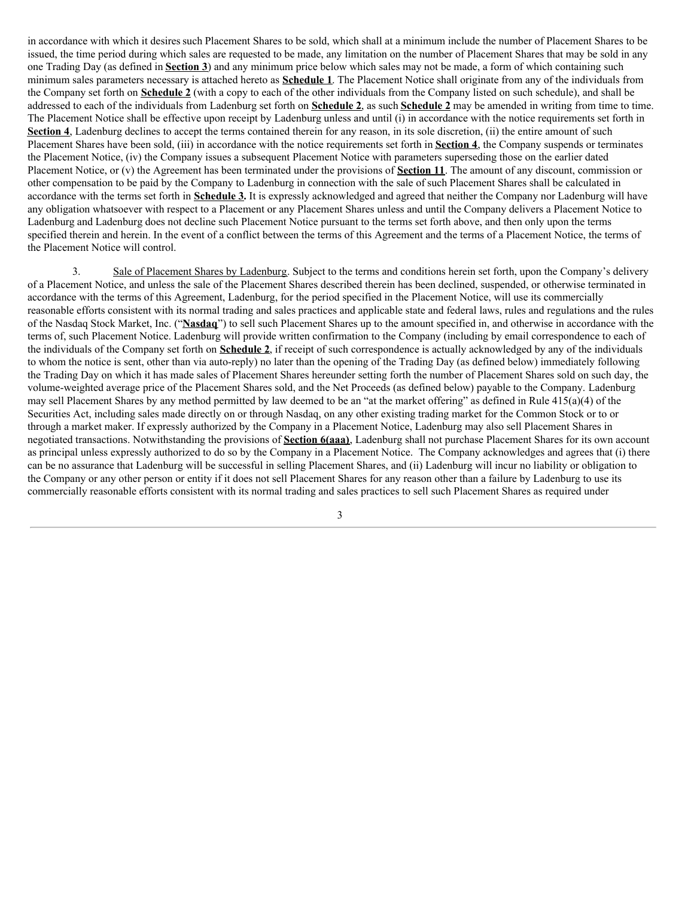in accordance with which it desires such Placement Shares to be sold, which shall at a minimum include the number of Placement Shares to be issued, the time period during which sales are requested to be made, any limitation on the number of Placement Shares that may be sold in any one Trading Day (as defined in **Section 3**) and any minimum price below which sales may not be made, a form of which containing such minimum sales parameters necessary is attached hereto as **Schedule 1**. The Placement Notice shall originate from any of the individuals from the Company set forth on **Schedule 2** (with a copy to each of the other individuals from the Company listed on such schedule), and shall be addressed to each of the individuals from Ladenburg set forth on **Schedule 2**, as such **Schedule 2** may be amended in writing from time to time. The Placement Notice shall be effective upon receipt by Ladenburg unless and until (i) in accordance with the notice requirements set forth in **Section 4**, Ladenburg declines to accept the terms contained therein for any reason, in its sole discretion, (ii) the entire amount of such Placement Shares have been sold, (iii) in accordance with the notice requirements set forth in **Section 4**, the Company suspends or terminates the Placement Notice, (iv) the Company issues a subsequent Placement Notice with parameters superseding those on the earlier dated Placement Notice, or (v) the Agreement has been terminated under the provisions of **Section 11**. The amount of any discount, commission or other compensation to be paid by the Company to Ladenburg in connection with the sale of such Placement Shares shall be calculated in accordance with the terms set forth in **Schedule 3.** It is expressly acknowledged and agreed that neither the Company nor Ladenburg will have any obligation whatsoever with respect to a Placement or any Placement Shares unless and until the Company delivers a Placement Notice to Ladenburg and Ladenburg does not decline such Placement Notice pursuant to the terms set forth above, and then only upon the terms specified therein and herein. In the event of a conflict between the terms of this Agreement and the terms of a Placement Notice, the terms of the Placement Notice will control.

3. Sale of Placement Shares by Ladenburg. Subject to the terms and conditions herein set forth, upon the Company's delivery of a Placement Notice, and unless the sale of the Placement Shares described therein has been declined, suspended, or otherwise terminated in accordance with the terms of this Agreement, Ladenburg, for the period specified in the Placement Notice, will use its commercially reasonable efforts consistent with its normal trading and sales practices and applicable state and federal laws, rules and regulations and the rules of the Nasdaq Stock Market, Inc. ("**Nasdaq**") to sell such Placement Shares up to the amount specified in, and otherwise in accordance with the terms of, such Placement Notice. Ladenburg will provide written confirmation to the Company (including by email correspondence to each of the individuals of the Company set forth on **Schedule 2**, if receipt of such correspondence is actually acknowledged by any of the individuals to whom the notice is sent, other than via auto-reply) no later than the opening of the Trading Day (as defined below) immediately following the Trading Day on which it has made sales of Placement Shares hereunder setting forth the number of Placement Shares sold on such day, the volume-weighted average price of the Placement Shares sold, and the Net Proceeds (as defined below) payable to the Company. Ladenburg may sell Placement Shares by any method permitted by law deemed to be an "at the market offering" as defined in Rule 415(a)(4) of the Securities Act, including sales made directly on or through Nasdaq, on any other existing trading market for the Common Stock or to or through a market maker. If expressly authorized by the Company in a Placement Notice, Ladenburg may also sell Placement Shares in negotiated transactions. Notwithstanding the provisions of **Section 6(aaa)**, Ladenburg shall not purchase Placement Shares for its own account as principal unless expressly authorized to do so by the Company in a Placement Notice. The Company acknowledges and agrees that (i) there can be no assurance that Ladenburg will be successful in selling Placement Shares, and (ii) Ladenburg will incur no liability or obligation to the Company or any other person or entity if it does not sell Placement Shares for any reason other than a failure by Ladenburg to use its commercially reasonable efforts consistent with its normal trading and sales practices to sell such Placement Shares as required under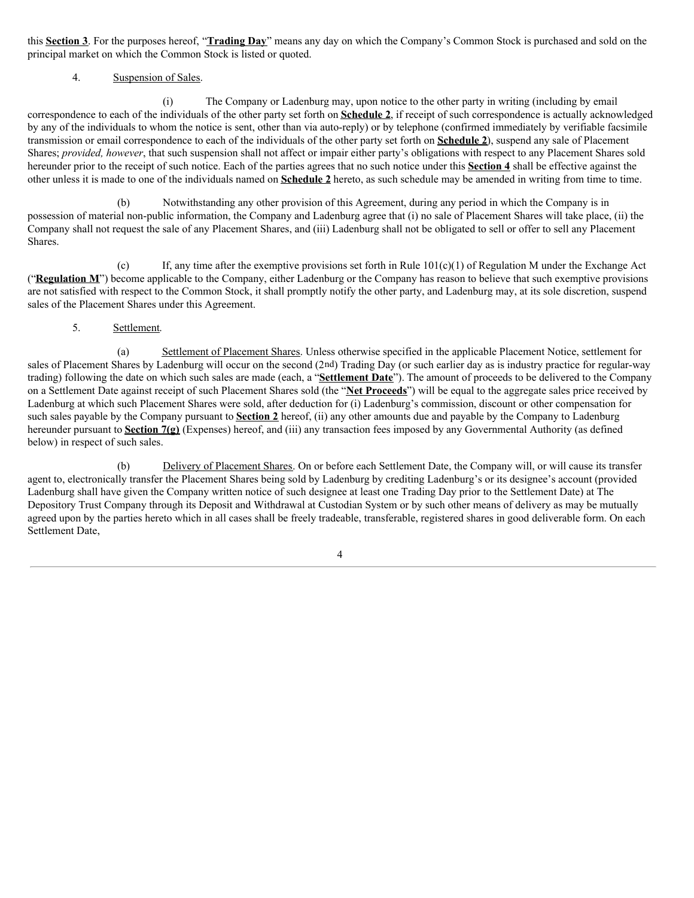this **Section 3**. For the purposes hereof, "**Trading Day**" means any day on which the Company's Common Stock is purchased and sold on the principal market on which the Common Stock is listed or quoted.

# 4. Suspension of Sales.

(i) The Company or Ladenburg may, upon notice to the other party in writing (including by email correspondence to each of the individuals of the other party set forth on **Schedule 2**, if receipt of such correspondence is actually acknowledged by any of the individuals to whom the notice is sent, other than via auto-reply) or by telephone (confirmed immediately by verifiable facsimile transmission or email correspondence to each of the individuals of the other party set forth on **Schedule 2**), suspend any sale of Placement Shares; *provided, however*, that such suspension shall not affect or impair either party's obligations with respect to any Placement Shares sold hereunder prior to the receipt of such notice. Each of the parties agrees that no such notice under this **Section 4** shall be effective against the other unless it is made to one of the individuals named on **Schedule 2** hereto, as such schedule may be amended in writing from time to time.

(b) Notwithstanding any other provision of this Agreement, during any period in which the Company is in possession of material non-public information, the Company and Ladenburg agree that (i) no sale of Placement Shares will take place, (ii) the Company shall not request the sale of any Placement Shares, and (iii) Ladenburg shall not be obligated to sell or offer to sell any Placement Shares.

(c) If, any time after the exemptive provisions set forth in Rule  $101(c)(1)$  of Regulation M under the Exchange Act ("Regulation M") become applicable to the Company, either Ladenburg or the Company has reason to believe that such exemptive provisions are not satisfied with respect to the Common Stock, it shall promptly notify the other party, and Ladenburg may, at its sole discretion, suspend sales of the Placement Shares under this Agreement.

### 5. Settlement.

(a) Settlement of Placement Shares. Unless otherwise specified in the applicable Placement Notice, settlement for sales of Placement Shares by Ladenburg will occur on the second (2nd) Trading Day (or such earlier day as is industry practice for regular-way trading) following the date on which such sales are made (each, a "**Settlement Date**"). The amount of proceeds to be delivered to the Company on a Settlement Date against receipt of such Placement Shares sold (the "**Net Proceeds**") will be equal to the aggregate sales price received by Ladenburg at which such Placement Shares were sold, after deduction for (i) Ladenburg's commission, discount or other compensation for such sales payable by the Company pursuant to **Section 2** hereof, (ii) any other amounts due and payable by the Company to Ladenburg hereunder pursuant to **Section 7(g)** (Expenses) hereof, and (iii) any transaction fees imposed by any Governmental Authority (as defined below) in respect of such sales.

(b) Delivery of Placement Shares. On or before each Settlement Date, the Company will, or will cause its transfer agent to, electronically transfer the Placement Shares being sold by Ladenburg by crediting Ladenburg's or its designee's account (provided Ladenburg shall have given the Company written notice of such designee at least one Trading Day prior to the Settlement Date) at The Depository Trust Company through its Deposit and Withdrawal at Custodian System or by such other means of delivery as may be mutually agreed upon by the parties hereto which in all cases shall be freely tradeable, transferable, registered shares in good deliverable form. On each Settlement Date,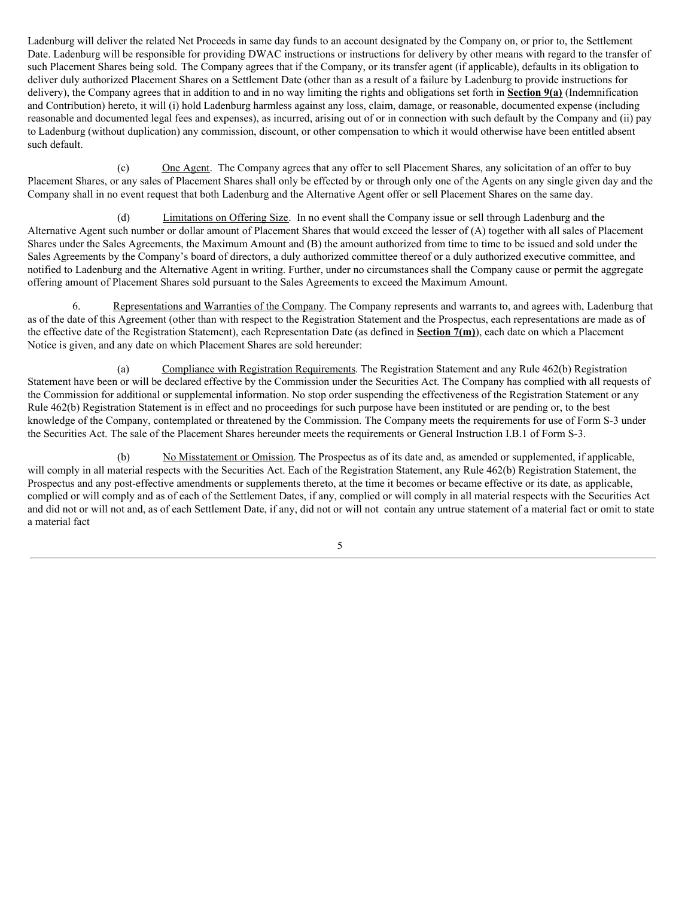Ladenburg will deliver the related Net Proceeds in same day funds to an account designated by the Company on, or prior to, the Settlement Date. Ladenburg will be responsible for providing DWAC instructions or instructions for delivery by other means with regard to the transfer of such Placement Shares being sold. The Company agrees that if the Company, or its transfer agent (if applicable), defaults in its obligation to deliver duly authorized Placement Shares on a Settlement Date (other than as a result of a failure by Ladenburg to provide instructions for delivery), the Company agrees that in addition to and in no way limiting the rights and obligations set forth in **Section 9(a)** (Indemnification and Contribution) hereto, it will (i) hold Ladenburg harmless against any loss, claim, damage, or reasonable, documented expense (including reasonable and documented legal fees and expenses), as incurred, arising out of or in connection with such default by the Company and (ii) pay to Ladenburg (without duplication) any commission, discount, or other compensation to which it would otherwise have been entitled absent such default.

(c) One Agent. The Company agrees that any offer to sell Placement Shares, any solicitation of an offer to buy Placement Shares, or any sales of Placement Shares shall only be effected by or through only one of the Agents on any single given day and the Company shall in no event request that both Ladenburg and the Alternative Agent offer or sell Placement Shares on the same day.

(d) Limitations on Offering Size. In no event shall the Company issue or sell through Ladenburg and the Alternative Agent such number or dollar amount of Placement Shares that would exceed the lesser of (A) together with all sales of Placement Shares under the Sales Agreements, the Maximum Amount and (B) the amount authorized from time to time to be issued and sold under the Sales Agreements by the Company's board of directors, a duly authorized committee thereof or a duly authorized executive committee, and notified to Ladenburg and the Alternative Agent in writing. Further, under no circumstances shall the Company cause or permit the aggregate offering amount of Placement Shares sold pursuant to the Sales Agreements to exceed the Maximum Amount.

6. Representations and Warranties of the Company. The Company represents and warrants to, and agrees with, Ladenburg that as of the date of this Agreement (other than with respect to the Registration Statement and the Prospectus, each representations are made as of the effective date of the Registration Statement), each Representation Date (as defined in **Section 7(m)**), each date on which a Placement Notice is given, and any date on which Placement Shares are sold hereunder:

(a) Compliance with Registration Requirements. The Registration Statement and any Rule 462(b) Registration Statement have been or will be declared effective by the Commission under the Securities Act. The Company has complied with all requests of the Commission for additional or supplemental information. No stop order suspending the effectiveness of the Registration Statement or any Rule 462(b) Registration Statement is in effect and no proceedings for such purpose have been instituted or are pending or, to the best knowledge of the Company, contemplated or threatened by the Commission. The Company meets the requirements for use of Form S-3 under the Securities Act. The sale of the Placement Shares hereunder meets the requirements or General Instruction I.B.1 of Form S-3.

(b) No Misstatement or Omission. The Prospectus as of its date and, as amended or supplemented, if applicable, will comply in all material respects with the Securities Act. Each of the Registration Statement, any Rule 462(b) Registration Statement, the Prospectus and any post-effective amendments or supplements thereto, at the time it becomes or became effective or its date, as applicable, complied or will comply and as of each of the Settlement Dates, if any, complied or will comply in all material respects with the Securities Act and did not or will not and, as of each Settlement Date, if any, did not or will not contain any untrue statement of a material fact or omit to state a material fact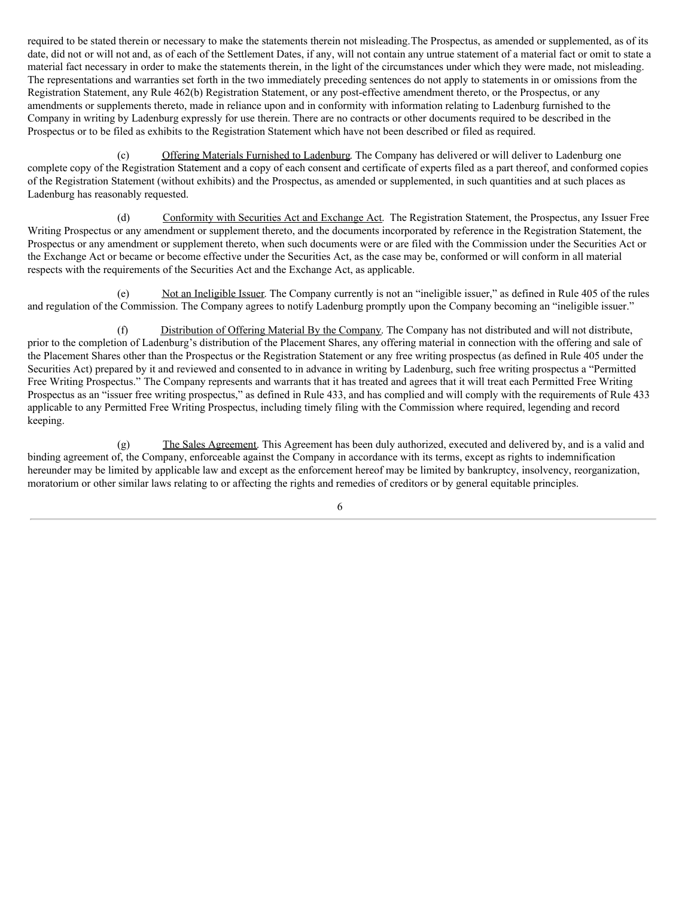required to be stated therein or necessary to make the statements therein not misleading.The Prospectus, as amended or supplemented, as of its date, did not or will not and, as of each of the Settlement Dates, if any, will not contain any untrue statement of a material fact or omit to state a material fact necessary in order to make the statements therein, in the light of the circumstances under which they were made, not misleading. The representations and warranties set forth in the two immediately preceding sentences do not apply to statements in or omissions from the Registration Statement, any Rule 462(b) Registration Statement, or any post-effective amendment thereto, or the Prospectus, or any amendments or supplements thereto, made in reliance upon and in conformity with information relating to Ladenburg furnished to the Company in writing by Ladenburg expressly for use therein. There are no contracts or other documents required to be described in the Prospectus or to be filed as exhibits to the Registration Statement which have not been described or filed as required.

(c) Offering Materials Furnished to Ladenburg. The Company has delivered or will deliver to Ladenburg one complete copy of the Registration Statement and a copy of each consent and certificate of experts filed as a part thereof, and conformed copies of the Registration Statement (without exhibits) and the Prospectus, as amended or supplemented, in such quantities and at such places as Ladenburg has reasonably requested.

(d) Conformity with Securities Act and Exchange Act. The Registration Statement, the Prospectus, any Issuer Free Writing Prospectus or any amendment or supplement thereto, and the documents incorporated by reference in the Registration Statement, the Prospectus or any amendment or supplement thereto, when such documents were or are filed with the Commission under the Securities Act or the Exchange Act or became or become effective under the Securities Act, as the case may be, conformed or will conform in all material respects with the requirements of the Securities Act and the Exchange Act, as applicable.

(e) Not an Ineligible Issuer. The Company currently is not an "ineligible issuer," as defined in Rule 405 of the rules and regulation of the Commission. The Company agrees to notify Ladenburg promptly upon the Company becoming an "ineligible issuer."

(f) Distribution of Offering Material By the Company. The Company has not distributed and will not distribute, prior to the completion of Ladenburg's distribution of the Placement Shares, any offering material in connection with the offering and sale of the Placement Shares other than the Prospectus or the Registration Statement or any free writing prospectus (as defined in Rule 405 under the Securities Act) prepared by it and reviewed and consented to in advance in writing by Ladenburg, such free writing prospectus a "Permitted Free Writing Prospectus." The Company represents and warrants that it has treated and agrees that it will treat each Permitted Free Writing Prospectus as an "issuer free writing prospectus," as defined in Rule 433, and has complied and will comply with the requirements of Rule 433 applicable to any Permitted Free Writing Prospectus, including timely filing with the Commission where required, legending and record keeping.

(g) The Sales Agreement. This Agreement has been duly authorized, executed and delivered by, and is a valid and binding agreement of, the Company, enforceable against the Company in accordance with its terms, except as rights to indemnification hereunder may be limited by applicable law and except as the enforcement hereof may be limited by bankruptcy, insolvency, reorganization, moratorium or other similar laws relating to or affecting the rights and remedies of creditors or by general equitable principles.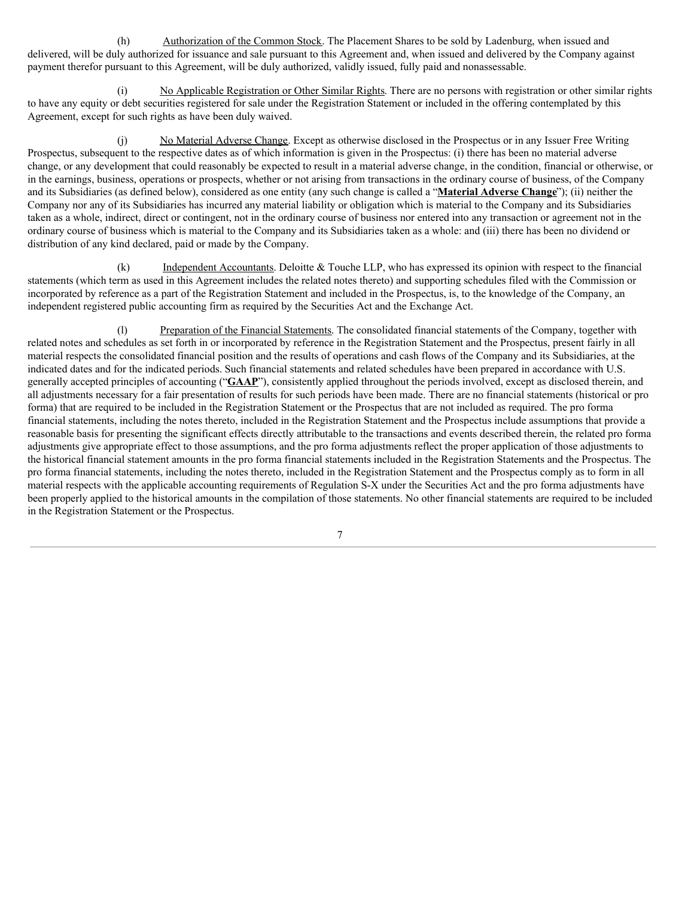(h) Authorization of the Common Stock. The Placement Shares to be sold by Ladenburg, when issued and delivered, will be duly authorized for issuance and sale pursuant to this Agreement and, when issued and delivered by the Company against payment therefor pursuant to this Agreement, will be duly authorized, validly issued, fully paid and nonassessable.

(i) No Applicable Registration or Other Similar Rights. There are no persons with registration or other similar rights to have any equity or debt securities registered for sale under the Registration Statement or included in the offering contemplated by this Agreement, except for such rights as have been duly waived.

(j) No Material Adverse Change. Except as otherwise disclosed in the Prospectus or in any Issuer Free Writing Prospectus, subsequent to the respective dates as of which information is given in the Prospectus: (i) there has been no material adverse change, or any development that could reasonably be expected to result in a material adverse change, in the condition, financial or otherwise, or in the earnings, business, operations or prospects, whether or not arising from transactions in the ordinary course of business, of the Company and its Subsidiaries (as defined below), considered as one entity (any such change is called a "**Material Adverse Change**"); (ii) neither the Company nor any of its Subsidiaries has incurred any material liability or obligation which is material to the Company and its Subsidiaries taken as a whole, indirect, direct or contingent, not in the ordinary course of business nor entered into any transaction or agreement not in the ordinary course of business which is material to the Company and its Subsidiaries taken as a whole: and (iii) there has been no dividend or distribution of any kind declared, paid or made by the Company.

(k) Independent Accountants. Deloitte & Touche LLP, who has expressed its opinion with respect to the financial statements (which term as used in this Agreement includes the related notes thereto) and supporting schedules filed with the Commission or incorporated by reference as a part of the Registration Statement and included in the Prospectus, is, to the knowledge of the Company, an independent registered public accounting firm as required by the Securities Act and the Exchange Act.

(l) Preparation of the Financial Statements. The consolidated financial statements of the Company, together with related notes and schedules as set forth in or incorporated by reference in the Registration Statement and the Prospectus, present fairly in all material respects the consolidated financial position and the results of operations and cash flows of the Company and its Subsidiaries, at the indicated dates and for the indicated periods. Such financial statements and related schedules have been prepared in accordance with U.S. generally accepted principles of accounting ("**GAAP**"), consistently applied throughout the periods involved, except as disclosed therein, and all adjustments necessary for a fair presentation of results for such periods have been made. There are no financial statements (historical or pro forma) that are required to be included in the Registration Statement or the Prospectus that are not included as required. The pro forma financial statements, including the notes thereto, included in the Registration Statement and the Prospectus include assumptions that provide a reasonable basis for presenting the significant effects directly attributable to the transactions and events described therein, the related pro forma adjustments give appropriate effect to those assumptions, and the pro forma adjustments reflect the proper application of those adjustments to the historical financial statement amounts in the pro forma financial statements included in the Registration Statements and the Prospectus. The pro forma financial statements, including the notes thereto, included in the Registration Statement and the Prospectus comply as to form in all material respects with the applicable accounting requirements of Regulation S-X under the Securities Act and the pro forma adjustments have been properly applied to the historical amounts in the compilation of those statements. No other financial statements are required to be included in the Registration Statement or the Prospectus.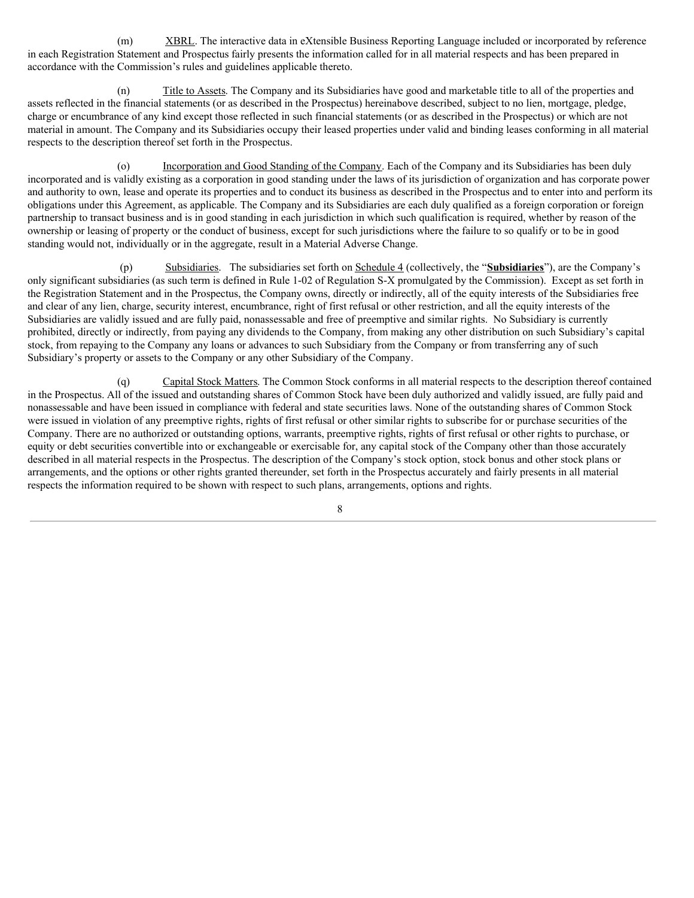(m) XBRL. The interactive data in eXtensible Business Reporting Language included or incorporated by reference in each Registration Statement and Prospectus fairly presents the information called for in all material respects and has been prepared in accordance with the Commission's rules and guidelines applicable thereto.

(n) Title to Assets. The Company and its Subsidiaries have good and marketable title to all of the properties and assets reflected in the financial statements (or as described in the Prospectus) hereinabove described, subject to no lien, mortgage, pledge, charge or encumbrance of any kind except those reflected in such financial statements (or as described in the Prospectus) or which are not material in amount. The Company and its Subsidiaries occupy their leased properties under valid and binding leases conforming in all material respects to the description thereof set forth in the Prospectus.

(o) Incorporation and Good Standing of the Company. Each of the Company and its Subsidiaries has been duly incorporated and is validly existing as a corporation in good standing under the laws of its jurisdiction of organization and has corporate power and authority to own, lease and operate its properties and to conduct its business as described in the Prospectus and to enter into and perform its obligations under this Agreement, as applicable. The Company and its Subsidiaries are each duly qualified as a foreign corporation or foreign partnership to transact business and is in good standing in each jurisdiction in which such qualification is required, whether by reason of the ownership or leasing of property or the conduct of business, except for such jurisdictions where the failure to so qualify or to be in good standing would not, individually or in the aggregate, result in a Material Adverse Change.

(p) Subsidiaries. The subsidiaries set forth on Schedule 4 (collectively, the "**Subsidiaries**"), are the Company's only significant subsidiaries (as such term is defined in Rule 1‑02 of Regulation S‑X promulgated by the Commission). Except as set forth in the Registration Statement and in the Prospectus, the Company owns, directly or indirectly, all of the equity interests of the Subsidiaries free and clear of any lien, charge, security interest, encumbrance, right of first refusal or other restriction, and all the equity interests of the Subsidiaries are validly issued and are fully paid, nonassessable and free of preemptive and similar rights. No Subsidiary is currently prohibited, directly or indirectly, from paying any dividends to the Company, from making any other distribution on such Subsidiary's capital stock, from repaying to the Company any loans or advances to such Subsidiary from the Company or from transferring any of such Subsidiary's property or assets to the Company or any other Subsidiary of the Company.

(q) Capital Stock Matters. The Common Stock conforms in all material respects to the description thereof contained in the Prospectus. All of the issued and outstanding shares of Common Stock have been duly authorized and validly issued, are fully paid and nonassessable and have been issued in compliance with federal and state securities laws. None of the outstanding shares of Common Stock were issued in violation of any preemptive rights, rights of first refusal or other similar rights to subscribe for or purchase securities of the Company. There are no authorized or outstanding options, warrants, preemptive rights, rights of first refusal or other rights to purchase, or equity or debt securities convertible into or exchangeable or exercisable for, any capital stock of the Company other than those accurately described in all material respects in the Prospectus. The description of the Company's stock option, stock bonus and other stock plans or arrangements, and the options or other rights granted thereunder, set forth in the Prospectus accurately and fairly presents in all material respects the information required to be shown with respect to such plans, arrangements, options and rights.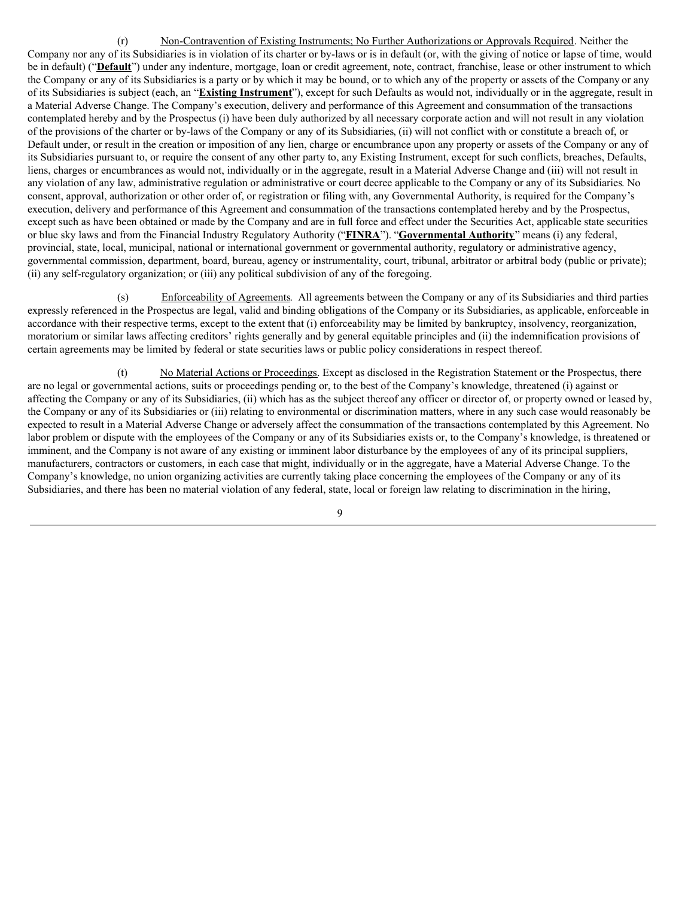(r) Non-Contravention of Existing Instruments; No Further Authorizations or Approvals Required. Neither the Company nor any of its Subsidiaries is in violation of its charter or by-laws or is in default (or, with the giving of notice or lapse of time, would be in default) ("**Default**") under any indenture, mortgage, loan or credit agreement, note, contract, franchise, lease or other instrument to which the Company or any of its Subsidiariesis a party or by which it may be bound, or to which any of the property or assets of the Company or any of its Subsidiaries is subject (each, an "**Existing Instrument**"), except for such Defaults as would not, individually or in the aggregate, result in a Material Adverse Change. The Company's execution, delivery and performance of this Agreement and consummation of the transactions contemplated hereby and by the Prospectus (i) have been duly authorized by all necessary corporate action and will not result in any violation of the provisions of the charter or by-laws of the Company or any of its Subsidiaries, (ii) will not conflict with or constitute a breach of, or Default under, or result in the creation or imposition of any lien, charge or encumbrance upon any property or assets of the Company or any of its Subsidiaries pursuant to, or require the consent of any other party to, any Existing Instrument, except for such conflicts, breaches, Defaults, liens, charges or encumbrances as would not, individually or in the aggregate, result in a Material Adverse Change and (iii) will not result in any violation of any law, administrative regulation or administrative or court decree applicable to the Company or any of its Subsidiaries. No consent, approval, authorization or other order of, or registration or filing with, any Governmental Authority, is required for the Company's execution, delivery and performance of this Agreement and consummation of the transactions contemplated hereby and by the Prospectus, except such as have been obtained or made by the Company and are in full force and effect under the Securities Act, applicable state securities or blue sky laws and from the Financial Industry Regulatory Authority ("**FINRA**"). "**Governmental Authority**" means (i) any federal, provincial, state, local, municipal, national or international government or governmental authority, regulatory or administrative agency, governmental commission, department, board, bureau, agency or instrumentality, court, tribunal, arbitrator or arbitral body (public or private); (ii) any self-regulatory organization; or (iii) any political subdivision of any of the foregoing.

(s) Enforceability of Agreements. All agreements between the Company or any of its Subsidiaries and third parties expressly referenced in the Prospectus are legal, valid and binding obligations of the Company or its Subsidiaries, as applicable, enforceable in accordance with their respective terms, except to the extent that (i) enforceability may be limited by bankruptcy, insolvency, reorganization, moratorium or similar laws affecting creditors' rights generally and by general equitable principles and (ii) the indemnification provisions of certain agreements may be limited by federal or state securities laws or public policy considerations in respect thereof.

(t) No Material Actions or Proceedings. Except as disclosed in the Registration Statement or the Prospectus, there are no legal or governmental actions, suits or proceedings pending or, to the best of the Company's knowledge, threatened (i) against or affecting the Company or any of its Subsidiaries, (ii) which has as the subject thereof any officer or director of, or property owned or leased by, the Company or any of its Subsidiaries or (iii) relating to environmental or discrimination matters, where in any such case would reasonably be expected to result in a Material Adverse Change or adversely affect the consummation of the transactions contemplated by this Agreement. No labor problem or dispute with the employees of the Company or any of its Subsidiaries exists or, to the Company's knowledge, is threatened or imminent, and the Company is not aware of any existing or imminent labor disturbance by the employees of any of its principal suppliers, manufacturers, contractors or customers, in each case that might, individually or in the aggregate, have a Material Adverse Change. To the Company's knowledge, no union organizing activities are currently taking place concerning the employees of the Company or any of its Subsidiaries, and there has been no material violation of any federal, state, local or foreign law relating to discrimination in the hiring,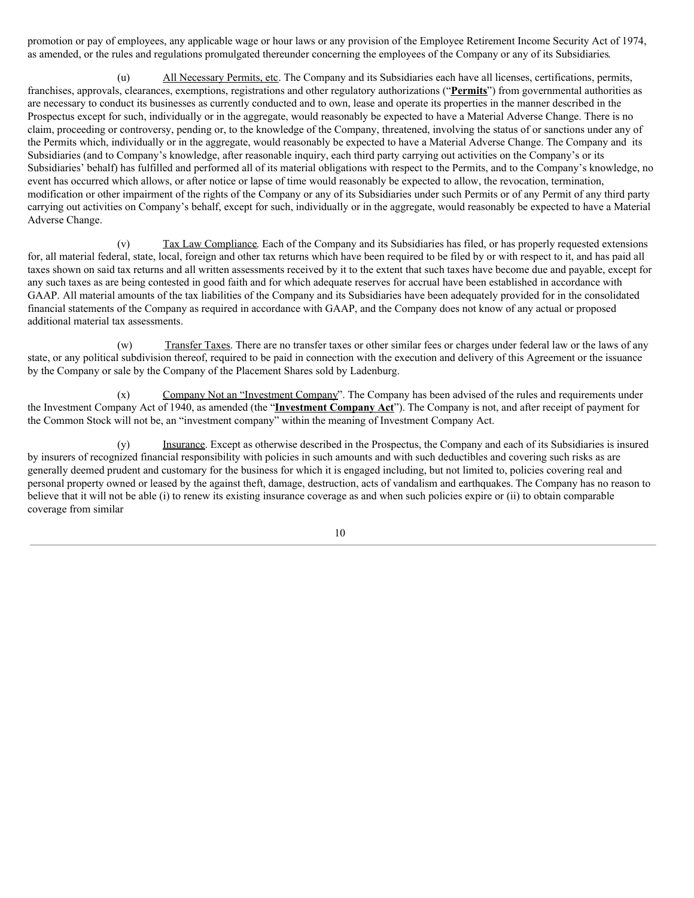promotion or pay of employees, any applicable wage or hour laws or any provision of the Employee Retirement Income Security Act of 1974, as amended, or the rules and regulations promulgated thereunder concerning the employees of the Company or any of its Subsidiaries.

(u) All Necessary Permits, etc. The Company and its Subsidiaries each have all licenses, certifications, permits, franchises, approvals, clearances, exemptions, registrations and other regulatory authorizations ("**Permits**") from governmental authorities as are necessary to conduct its businesses as currently conducted and to own, lease and operate its properties in the manner described in the Prospectus except for such, individually or in the aggregate, would reasonably be expected to have a Material Adverse Change. There is no claim, proceeding or controversy, pending or, to the knowledge of the Company, threatened, involving the status of or sanctions under any of the Permits which, individually or in the aggregate, would reasonably be expected to have a Material Adverse Change. The Company and its Subsidiaries (and to Company's knowledge, after reasonable inquiry, each third party carrying out activities on the Company's or its Subsidiaries' behalf) has fulfilled and performed all of its material obligations with respect to the Permits, and to the Company's knowledge, no event has occurred which allows, or after notice or lapse of time would reasonably be expected to allow, the revocation, termination, modification or other impairment of the rights of the Company or any of its Subsidiaries under such Permits or of any Permit of any third party carrying out activities on Company's behalf, except for such, individually or in the aggregate, would reasonably be expected to have a Material Adverse Change.

(v) Tax Law Compliance. Each of the Company and its Subsidiaries has filed, or has properly requested extensions for, all material federal, state, local, foreign and other tax returns which have been required to be filed by or with respect to it, and has paid all taxes shown on said tax returns and all written assessments received by it to the extent that such taxes have become due and payable, except for any such taxes as are being contested in good faith and for which adequate reserves for accrual have been established in accordance with GAAP. All material amounts of the tax liabilities of the Company and its Subsidiaries have been adequately provided for in the consolidated financial statements of the Company as required in accordance with GAAP, and the Company does not know of any actual or proposed additional material tax assessments.

(w) Transfer Taxes. There are no transfer taxes or other similar fees or charges under federal law or the laws of any state, or any political subdivision thereof, required to be paid in connection with the execution and delivery of this Agreement or the issuance by the Company or sale by the Company of the Placement Shares sold by Ladenburg.

(x) Company Not an "Investment Company". The Company has been advised of the rules and requirements under the Investment Company Act of 1940, as amended (the "**Investment Company Act**"). The Company is not, and after receipt of payment for the Common Stock will not be, an "investment company" within the meaning of Investment Company Act.

(y) Insurance. Except as otherwise described in the Prospectus, the Company and each of its Subsidiaries is insured by insurers of recognized financial responsibility with policies in such amounts and with such deductibles and covering such risks as are generally deemed prudent and customary for the business for which it is engaged including, but not limited to, policies covering real and personal property owned or leased by the against theft, damage, destruction, acts of vandalism and earthquakes. The Company has no reason to believe that it will not be able (i) to renew its existing insurance coverage as and when such policies expire or (ii) to obtain comparable coverage from similar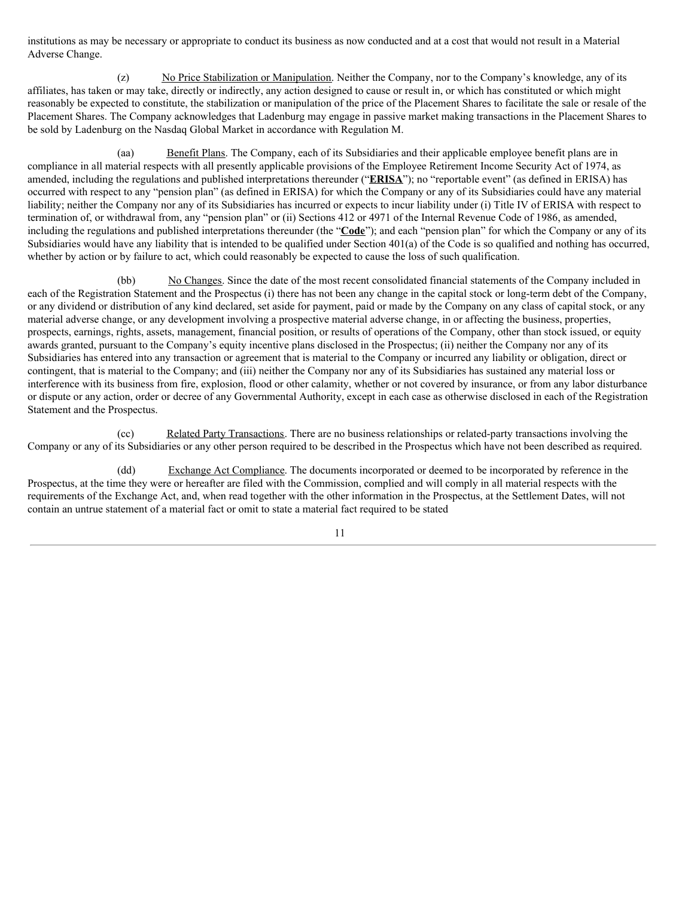institutions as may be necessary or appropriate to conduct its business as now conducted and at a cost that would not result in a Material Adverse Change.

(z) No Price Stabilization or Manipulation. Neither the Company, nor to the Company's knowledge, any of its affiliates, has taken or may take, directly or indirectly, any action designed to cause or result in, or which has constituted or which might reasonably be expected to constitute, the stabilization or manipulation of the price of the Placement Shares to facilitate the sale or resale of the Placement Shares. The Company acknowledges that Ladenburg may engage in passive market making transactions in the Placement Shares to be sold by Ladenburg on the Nasdaq Global Market in accordance with Regulation M.

(aa) Benefit Plans. The Company, each of its Subsidiaries and their applicable employee benefit plans are in compliance in all material respects with all presently applicable provisions of the Employee Retirement Income Security Act of 1974, as amended, including the regulations and published interpretations thereunder ("**ERISA**"); no "reportable event" (as defined in ERISA) has occurred with respect to any "pension plan" (as defined in ERISA) for which the Company or any of its Subsidiaries could have any material liability; neither the Company nor any of its Subsidiaries has incurred or expects to incur liability under (i) Title IV of ERISA with respect to termination of, or withdrawal from, any "pension plan" or (ii) Sections 412 or 4971 of the Internal Revenue Code of 1986, as amended, including the regulations and published interpretations thereunder (the "**Code**"); and each "pension plan" for which the Company or any of its Subsidiaries would have any liability that is intended to be qualified under Section 401(a) of the Code is so qualified and nothing has occurred, whether by action or by failure to act, which could reasonably be expected to cause the loss of such qualification.

(bb) No Changes. Since the date of the most recent consolidated financial statements of the Company included in each of the Registration Statement and the Prospectus (i) there has not been any change in the capital stock or long-term debt of the Company, or any dividend or distribution of any kind declared, set aside for payment, paid or made by the Company on any class of capital stock, or any material adverse change, or any development involving a prospective material adverse change, in or affecting the business, properties, prospects, earnings, rights, assets, management, financial position, or results of operations of the Company, other than stock issued, or equity awards granted, pursuant to the Company's equity incentive plans disclosed in the Prospectus; (ii) neither the Company nor any of its Subsidiaries has entered into any transaction or agreement that is material to the Company or incurred any liability or obligation, direct or contingent, that is material to the Company; and (iii) neither the Company nor any of its Subsidiaries has sustained any material loss or interference with its business from fire, explosion, flood or other calamity, whether or not covered by insurance, or from any labor disturbance or dispute or any action, order or decree of any Governmental Authority, except in each case as otherwise disclosed in each of the Registration Statement and the Prospectus.

(cc) Related Party Transactions. There are no business relationships or related-party transactions involving the Company or any of its Subsidiaries or any other person required to be described in the Prospectus which have not been described as required.

(dd) Exchange Act Compliance. The documents incorporated or deemed to be incorporated by reference in the Prospectus, at the time they were or hereafter are filed with the Commission, complied and will comply in all material respects with the requirements of the Exchange Act, and, when read together with the other information in the Prospectus, at the Settlement Dates, will not contain an untrue statement of a material fact or omit to state a material fact required to be stated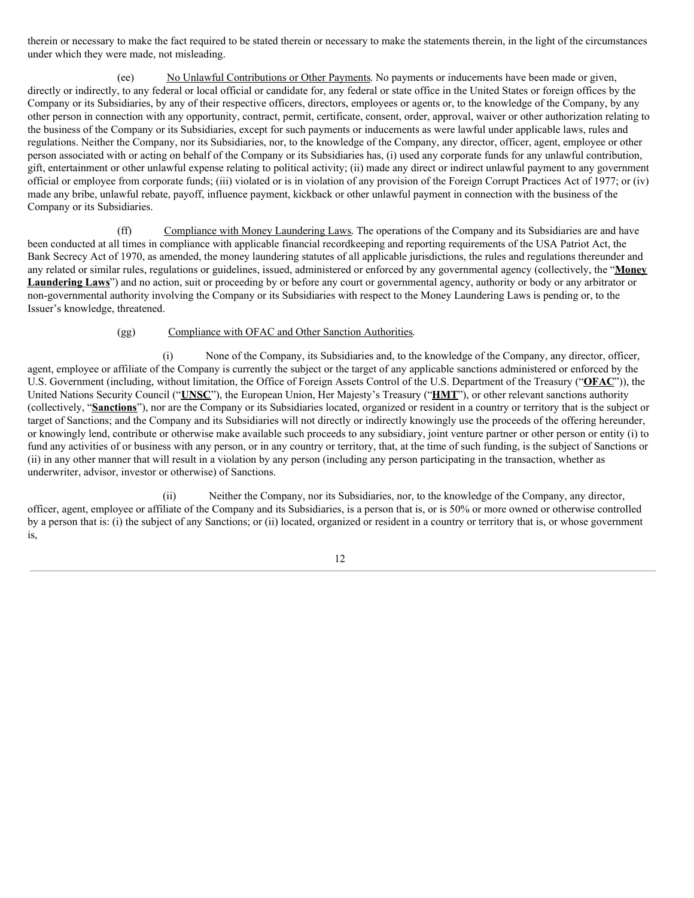therein or necessary to make the fact required to be stated therein or necessary to make the statements therein, in the light of the circumstances under which they were made, not misleading.

(ee) No Unlawful Contributions or Other Payments. No payments or inducements have been made or given, directly or indirectly, to any federal or local official or candidate for, any federal or state office in the United States or foreign offices by the Company or its Subsidiaries, by any of their respective officers, directors, employees or agents or, to the knowledge of the Company, by any other person in connection with any opportunity, contract, permit, certificate, consent, order, approval, waiver or other authorization relating to the business of the Company or its Subsidiaries, except for such payments or inducements as were lawful under applicable laws, rules and regulations. Neither the Company, nor its Subsidiaries, nor, to the knowledge of the Company, any director, officer, agent, employee or other person associated with or acting on behalf of the Company or its Subsidiaries has, (i) used any corporate funds for any unlawful contribution, gift, entertainment or other unlawful expense relating to political activity; (ii) made any direct or indirect unlawful payment to any government official or employee from corporate funds; (iii) violated or is in violation of any provision of the Foreign Corrupt Practices Act of 1977; or (iv) made any bribe, unlawful rebate, payoff, influence payment, kickback or other unlawful payment in connection with the business of the Company or its Subsidiaries.

(ff) Compliance with Money Laundering Laws. The operations of the Company and its Subsidiaries are and have been conducted at all times in compliance with applicable financial recordkeeping and reporting requirements of the USA Patriot Act, the Bank Secrecy Act of 1970, as amended, the money laundering statutes of all applicable jurisdictions, the rules and regulations thereunder and any related or similar rules, regulations or guidelines, issued, administered or enforced by any governmental agency (collectively, the "**Money Laundering Laws**") and no action, suit or proceeding by or before any court or governmental agency, authority or body or any arbitrator or non-governmental authority involving the Company or its Subsidiaries with respect to the Money Laundering Laws is pending or, to the Issuer's knowledge, threatened.

## (gg) Compliance with OFAC and Other Sanction Authorities.

(i) None of the Company, its Subsidiaries and, to the knowledge of the Company, any director, officer, agent, employee or affiliate of the Company is currently the subject or the target of any applicable sanctions administered or enforced by the U.S. Government (including, without limitation, the Office of Foreign Assets Control of the U.S. Department of the Treasury ("**OFAC**")), the United Nations Security Council ("**UNSC**"), the European Union, Her Majesty's Treasury ("**HMT**"), or other relevant sanctions authority (collectively, "**Sanctions**"), nor are the Company or its Subsidiaries located, organized or resident in a country or territory that is the subject or target of Sanctions; and the Company and its Subsidiaries will not directly or indirectly knowingly use the proceeds of the offering hereunder, or knowingly lend, contribute or otherwise make available such proceeds to any subsidiary, joint venture partner or other person or entity (i) to fund any activities of or business with any person, or in any country or territory, that, at the time of such funding, is the subject of Sanctions or (ii) in any other manner that will result in a violation by any person (including any person participating in the transaction, whether as underwriter, advisor, investor or otherwise) of Sanctions.

(ii) Neither the Company, nor its Subsidiaries, nor, to the knowledge of the Company, any director, officer, agent, employee or affiliate of the Company and its Subsidiaries, is a person that is, or is 50% or more owned or otherwise controlled by a person that is: (i) the subject of any Sanctions; or (ii) located, organized or resident in a country or territory that is, or whose government is,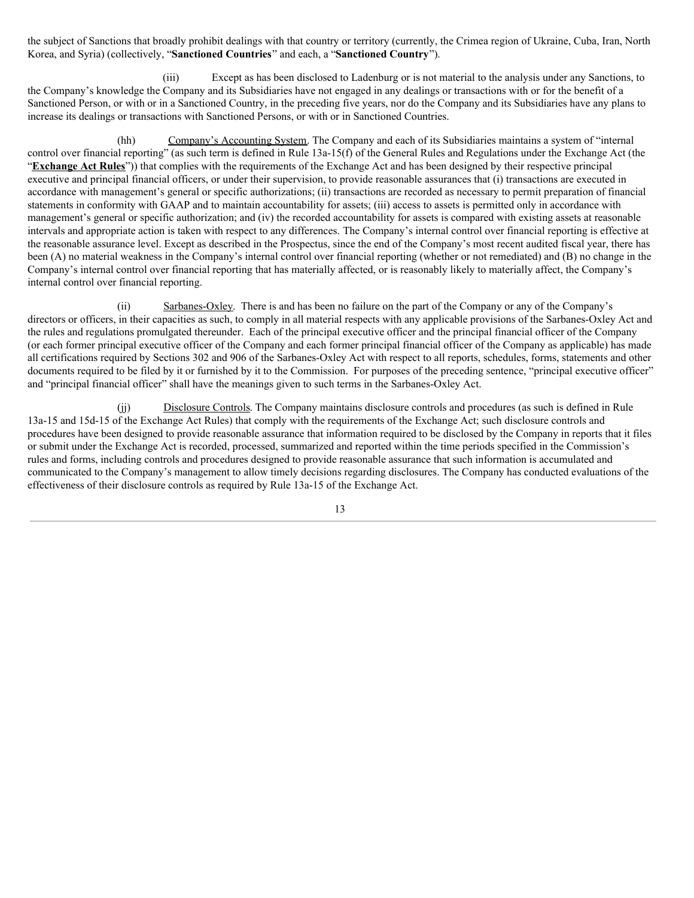the subject of Sanctions that broadly prohibit dealings with that country or territory (currently, the Crimea region of Ukraine, Cuba, Iran, North Korea, and Syria) (collectively, "**Sanctioned Countries**" and each, a "**Sanctioned Country**").

(iii) Except as has been disclosed to Ladenburg or is not material to the analysis under any Sanctions, to the Company's knowledge the Company and its Subsidiaries have not engaged in any dealings or transactions with or for the benefit of a Sanctioned Person, or with or in a Sanctioned Country, in the preceding five years, nor do the Company and its Subsidiaries have any plans to increase its dealings or transactions with Sanctioned Persons, or with or in Sanctioned Countries.

(hh) Company's Accounting System. The Company and each of its Subsidiaries maintains a system of "internal control over financial reporting" (as such term is defined in Rule 13a-15(f) of the General Rules and Regulations under the Exchange Act (the "**Exchange Act Rules**")) that complies with the requirements of the Exchange Act and has been designed by their respective principal executive and principal financial officers, or under their supervision, to provide reasonable assurances that (i) transactions are executed in accordance with management's general or specific authorizations; (ii) transactions are recorded as necessary to permit preparation of financial statements in conformity with GAAP and to maintain accountability for assets; (iii) access to assets is permitted only in accordance with management's general or specific authorization; and (iv) the recorded accountability for assets is compared with existing assets at reasonable intervals and appropriate action is taken with respect to any differences. The Company's internal control over financial reporting is effective at the reasonable assurance level. Except as described in the Prospectus, since the end of the Company's most recent audited fiscal year, there has been (A) no material weakness in the Company's internal control over financial reporting (whether or not remediated) and (B) no change in the Company's internal control over financial reporting that has materially affected, or is reasonably likely to materially affect, the Company's internal control over financial reporting.

(ii) Sarbanes-Oxley. There is and has been no failure on the part of the Company or any of the Company's directors or officers, in their capacities as such, to comply in all material respects with any applicable provisions of the Sarbanes-Oxley Act and the rules and regulations promulgated thereunder. Each of the principal executive officer and the principal financial officer of the Company (or each former principal executive officer of the Company and each former principal financial officer of the Company as applicable) has made all certifications required by Sections 302 and 906 of the Sarbanes-Oxley Act with respect to all reports, schedules, forms, statements and other documents required to be filed by it or furnished by it to the Commission. For purposes of the preceding sentence, "principal executive officer" and "principal financial officer" shall have the meanings given to such terms in the Sarbanes-Oxley Act.

(jj) Disclosure Controls. The Company maintains disclosure controls and procedures (as such is defined in Rule 13a-15 and 15d-15 of the Exchange Act Rules) that comply with the requirements of the Exchange Act; such disclosure controls and procedures have been designed to provide reasonable assurance that information required to be disclosed by the Company in reports that it files or submit under the Exchange Act is recorded, processed, summarized and reported within the time periods specified in the Commission's rules and forms, including controls and procedures designed to provide reasonable assurance that such information is accumulated and communicated to the Company's management to allow timely decisions regarding disclosures. The Company has conducted evaluations of the effectiveness of their disclosure controls as required by Rule 13a-15 of the Exchange Act.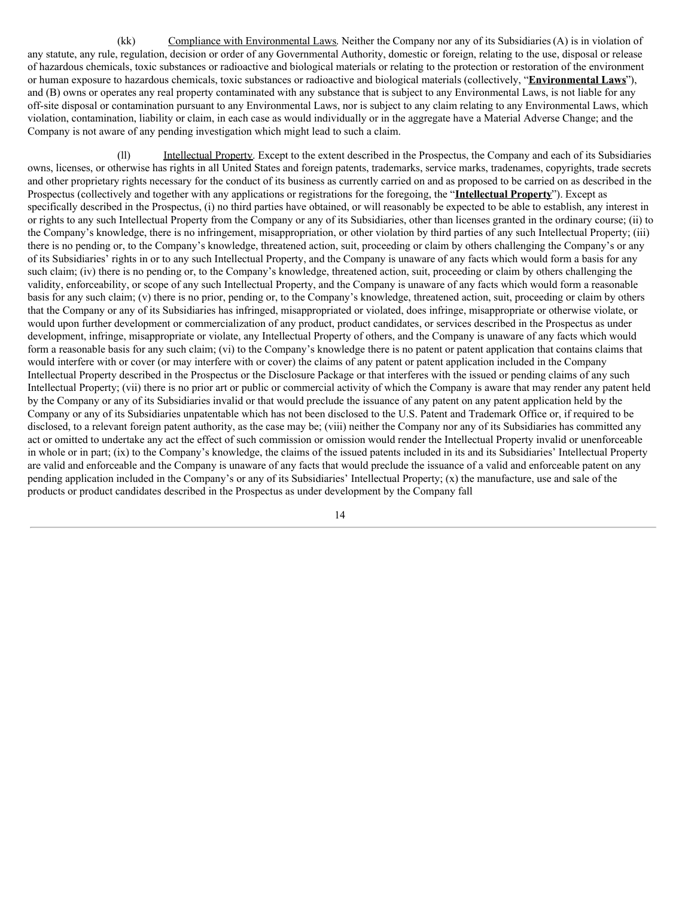(kk) Compliance with Environmental Laws. Neither the Company nor any of its Subsidiaries (A) is in violation of any statute, any rule, regulation, decision or order of any Governmental Authority, domestic or foreign, relating to the use, disposal or release of hazardous chemicals, toxic substances or radioactive and biological materials or relating to the protection or restoration of the environment or human exposure to hazardous chemicals, toxic substances or radioactive and biological materials (collectively, "**Environmental Laws**"), and (B) owns or operates any real property contaminated with any substance that is subject to any Environmental Laws, is not liable for any off-site disposal or contamination pursuant to any Environmental Laws, nor is subject to any claim relating to any Environmental Laws, which violation, contamination, liability or claim, in each case as would individually or in the aggregate have a Material Adverse Change; and the Company is not aware of any pending investigation which might lead to such a claim.

(ll) Intellectual Property. Except to the extent described in the Prospectus, the Company and each of its Subsidiaries owns, licenses, or otherwise has rights in all United States and foreign patents, trademarks, service marks, tradenames, copyrights, trade secrets and other proprietary rights necessary for the conduct of its business as currently carried on and as proposed to be carried on as described in the Prospectus (collectively and together with any applications or registrations for the foregoing, the "**Intellectual Property**"). Except as specifically described in the Prospectus, (i) no third parties have obtained, or will reasonably be expected to be able to establish, any interest in or rights to any such Intellectual Property from the Company or any of its Subsidiaries, other than licenses granted in the ordinary course; (ii) to the Company's knowledge, there is no infringement, misappropriation, or other violation by third parties of any such Intellectual Property; (iii) there is no pending or, to the Company's knowledge, threatened action, suit, proceeding or claim by others challenging the Company's or any of its Subsidiaries' rights in or to any such Intellectual Property, and the Company is unaware of any facts which would form a basis for any such claim; (iv) there is no pending or, to the Company's knowledge, threatened action, suit, proceeding or claim by others challenging the validity, enforceability, or scope of any such Intellectual Property, and the Company is unaware of any facts which would form a reasonable basis for any such claim; (v) there is no prior, pending or, to the Company's knowledge, threatened action, suit, proceeding or claim by others that the Company or any of its Subsidiaries has infringed, misappropriated or violated, does infringe, misappropriate or otherwise violate, or would upon further development or commercialization of any product, product candidates, or services described in the Prospectus as under development, infringe, misappropriate or violate, any Intellectual Property of others, and the Company is unaware of any facts which would form a reasonable basis for any such claim; (vi) to the Company's knowledge there is no patent or patent application that contains claims that would interfere with or cover (or may interfere with or cover) the claims of any patent or patent application included in the Company Intellectual Property described in the Prospectus or the Disclosure Package or that interferes with the issued or pending claims of any such Intellectual Property; (vii) there is no prior art or public or commercial activity of which the Company is aware that may render any patent held by the Company or any of its Subsidiaries invalid or that would preclude the issuance of any patent on any patent application held by the Company or any of its Subsidiaries unpatentable which has not been disclosed to the U.S. Patent and Trademark Office or, if required to be disclosed, to a relevant foreign patent authority, as the case may be; (viii) neither the Company nor any of its Subsidiaries has committed any act or omitted to undertake any act the effect of such commission or omission would render the Intellectual Property invalid or unenforceable in whole or in part; (ix) to the Company's knowledge, the claims of the issued patents included in its and its Subsidiaries' Intellectual Property are valid and enforceable and the Company is unaware of any facts that would preclude the issuance of a valid and enforceable patent on any pending application included in the Company's or any of its Subsidiaries' Intellectual Property; (x) the manufacture, use and sale of the products or product candidates described in the Prospectus as under development by the Company fall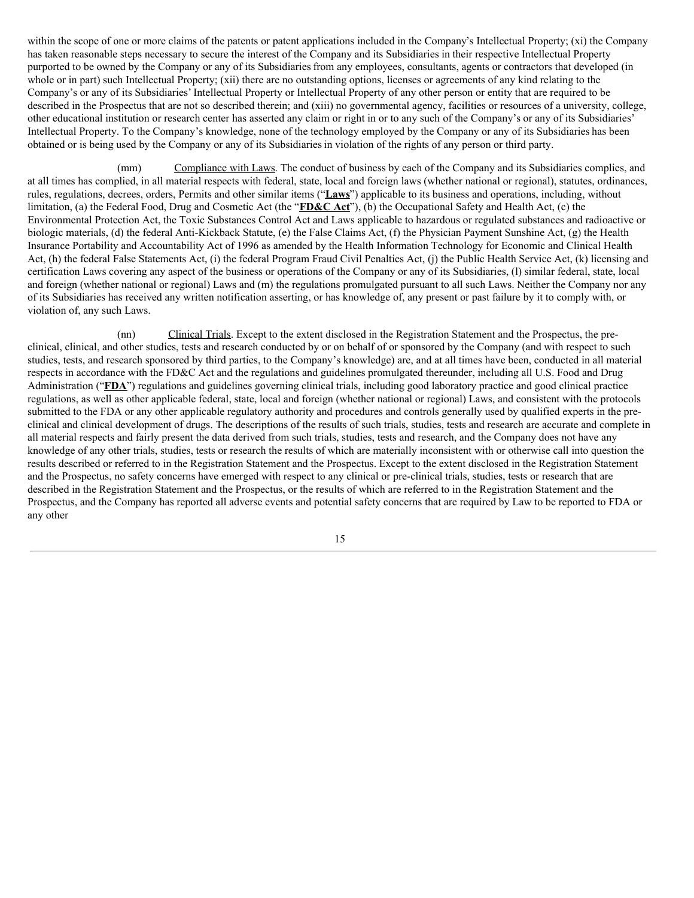within the scope of one or more claims of the patents or patent applications included in the Company's Intellectual Property; (xi) the Company has taken reasonable steps necessary to secure the interest of the Company and its Subsidiaries in their respective Intellectual Property purported to be owned by the Company or any of its Subsidiariesfrom any employees, consultants, agents or contractors that developed (in whole or in part) such Intellectual Property; (xii) there are no outstanding options, licenses or agreements of any kind relating to the Company's or any of its Subsidiaries' Intellectual Property or Intellectual Property of any other person or entity that are required to be described in the Prospectus that are not so described therein; and (xiii) no governmental agency, facilities or resources of a university, college, other educational institution or research center has asserted any claim or right in or to any such of the Company's or any of its Subsidiaries' Intellectual Property. To the Company's knowledge, none of the technology employed by the Company or any of its Subsidiaries has been obtained or is being used by the Company or any of its Subsidiariesin violation of the rights of any person or third party.

(mm) Compliance with Laws. The conduct of business by each of the Company and its Subsidiaries complies, and at all times has complied, in all material respects with federal, state, local and foreign laws (whether national or regional), statutes, ordinances, rules, regulations, decrees, orders, Permits and other similar items ("**Laws**") applicable to its business and operations, including, without limitation, (a) the Federal Food, Drug and Cosmetic Act (the "**FD&C Act**"), (b) the Occupational Safety and Health Act, (c) the Environmental Protection Act, the Toxic Substances Control Act and Laws applicable to hazardous or regulated substances and radioactive or biologic materials, (d) the federal Anti-Kickback Statute, (e) the False Claims Act, (f) the Physician Payment Sunshine Act, (g) the Health Insurance Portability and Accountability Act of 1996 as amended by the Health Information Technology for Economic and Clinical Health Act, (h) the federal False Statements Act, (i) the federal Program Fraud Civil Penalties Act, (j) the Public Health Service Act, (k) licensing and certification Laws covering any aspect of the business or operations of the Company or any of its Subsidiaries, (l) similar federal, state, local and foreign (whether national or regional) Laws and (m) the regulations promulgated pursuant to all such Laws. Neither the Company nor any of its Subsidiaries has received any written notification asserting, or has knowledge of, any present or past failure by it to comply with, or violation of, any such Laws.

(nn) Clinical Trials. Except to the extent disclosed in the Registration Statement and the Prospectus, the preclinical, clinical, and other studies, tests and research conducted by or on behalf of or sponsored by the Company (and with respect to such studies, tests, and research sponsored by third parties, to the Company's knowledge) are, and at all times have been, conducted in all material respects in accordance with the FD&C Act and the regulations and guidelines promulgated thereunder, including all U.S. Food and Drug Administration ("**FDA**") regulations and guidelines governing clinical trials, including good laboratory practice and good clinical practice regulations, as well as other applicable federal, state, local and foreign (whether national or regional) Laws, and consistent with the protocols submitted to the FDA or any other applicable regulatory authority and procedures and controls generally used by qualified experts in the preclinical and clinical development of drugs. The descriptions of the results of such trials, studies, tests and research are accurate and complete in all material respects and fairly present the data derived from such trials, studies, tests and research, and the Company does not have any knowledge of any other trials, studies, tests or research the results of which are materially inconsistent with or otherwise call into question the results described or referred to in the Registration Statement and the Prospectus. Except to the extent disclosed in the Registration Statement and the Prospectus, no safety concerns have emerged with respect to any clinical or pre-clinical trials, studies, tests or research that are described in the Registration Statement and the Prospectus, or the results of which are referred to in the Registration Statement and the Prospectus, and the Company has reported all adverse events and potential safety concerns that are required by Law to be reported to FDA or any other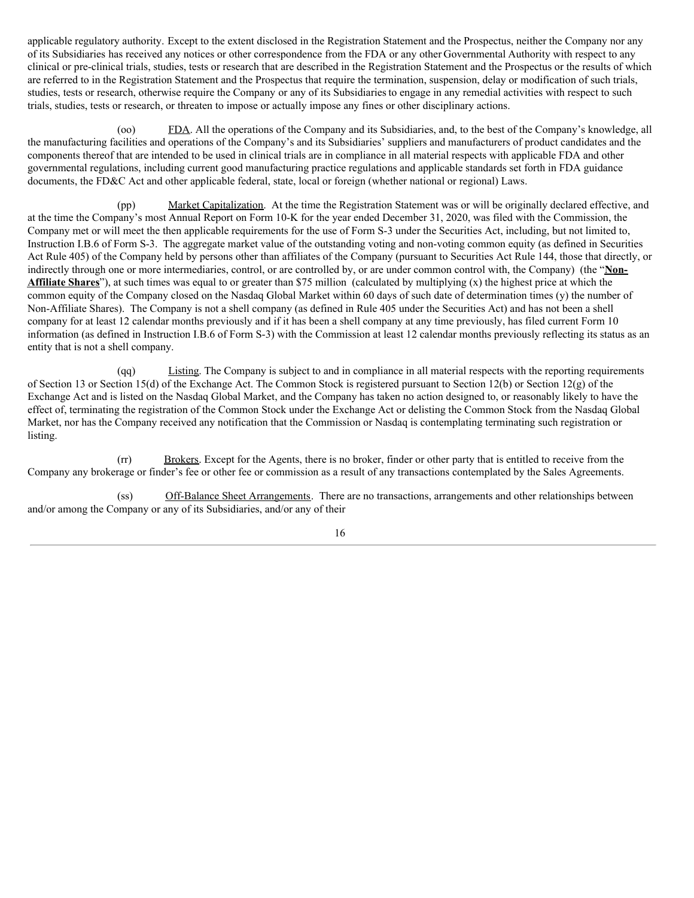applicable regulatory authority. Except to the extent disclosed in the Registration Statement and the Prospectus, neither the Company nor any of its Subsidiaries has received any notices or other correspondence from the FDA or any other Governmental Authority with respect to any clinical or pre-clinical trials, studies, tests or research that are described in the Registration Statement and the Prospectus or the results of which are referred to in the Registration Statement and the Prospectus that require the termination, suspension, delay or modification of such trials, studies, tests or research, otherwise require the Company or any of its Subsidiaries to engage in any remedial activities with respect to such trials, studies, tests or research, or threaten to impose or actually impose any fines or other disciplinary actions.

(oo) FDA. All the operations of the Company and its Subsidiaries, and, to the best of the Company's knowledge, all the manufacturing facilities and operations of the Company's and its Subsidiaries' suppliers and manufacturers of product candidates and the components thereof that are intended to be used in clinical trials are in compliance in all material respects with applicable FDA and other governmental regulations, including current good manufacturing practice regulations and applicable standards set forth in FDA guidance documents, the FD&C Act and other applicable federal, state, local or foreign (whether national or regional) Laws.

(pp) Market Capitalization. At the time the Registration Statement was or will be originally declared effective, and at the time the Company's most Annual Report on Form 10-K for the year ended December 31, 2020, was filed with the Commission, the Company met or will meet the then applicable requirements for the use of Form S-3 under the Securities Act, including, but not limited to, Instruction I.B.6 of Form S-3. The aggregate market value of the outstanding voting and non-voting common equity (as defined in Securities Act Rule 405) of the Company held by persons other than affiliates of the Company (pursuant to Securities Act Rule 144, those that directly, or indirectly through one or more intermediaries, control, or are controlled by, or are under common control with, the Company) (the "**Non-Affiliate Shares**"), at such times was equal to or greater than \$75 million (calculated by multiplying (x) the highest price at which the common equity of the Company closed on the Nasdaq Global Market within 60 days of such date of determination times (y) the number of Non-Affiliate Shares). The Company is not a shell company (as defined in Rule 405 under the Securities Act) and has not been a shell company for at least 12 calendar months previously and if it has been a shell company at any time previously, has filed current Form 10 information (as defined in Instruction I.B.6 of Form S-3) with the Commission at least 12 calendar months previously reflecting its status as an entity that is not a shell company.

(qq) Listing. The Company is subject to and in compliance in all material respects with the reporting requirements of Section 13 or Section 15(d) of the Exchange Act. The Common Stock is registered pursuant to Section 12(b) or Section 12(g) of the Exchange Act and is listed on the Nasdaq Global Market, and the Company has taken no action designed to, or reasonably likely to have the effect of, terminating the registration of the Common Stock under the Exchange Act or delisting the Common Stock from the Nasdaq Global Market, nor has the Company received any notification that the Commission or Nasdaq is contemplating terminating such registration or listing.

(rr) Brokers. Except for the Agents, there is no broker, finder or other party that is entitled to receive from the Company any brokerage or finder's fee or other fee or commission as a result of any transactions contemplated by the Sales Agreements.

(ss) Off-Balance Sheet Arrangements. There are no transactions, arrangements and other relationships between and/or among the Company or any of its Subsidiaries, and/or any of their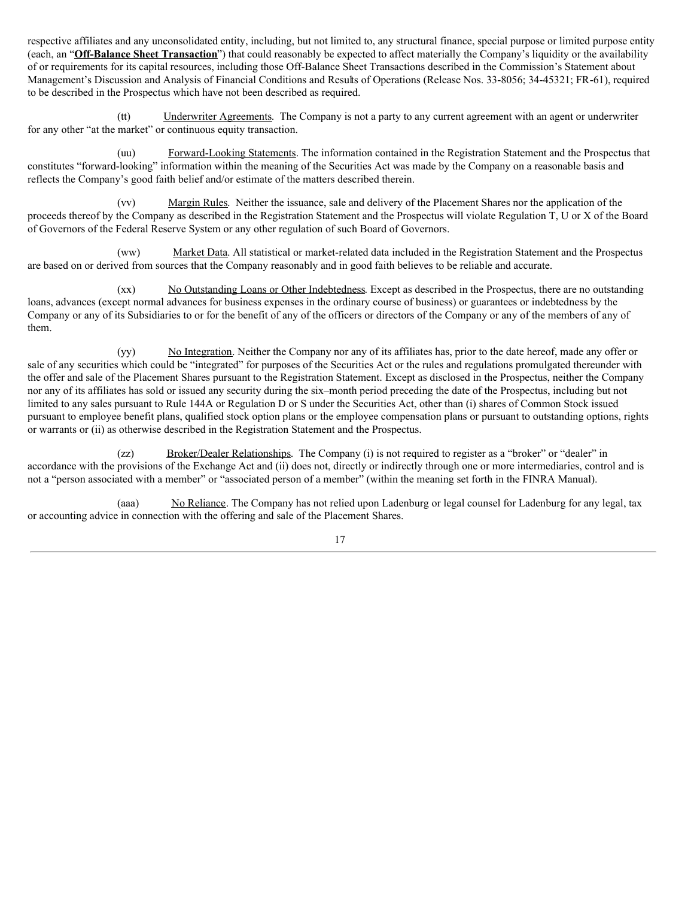respective affiliates and any unconsolidated entity, including, but not limited to, any structural finance, special purpose or limited purpose entity (each, an "**Off-Balance Sheet Transaction**") that could reasonably be expected to affect materially the Company's liquidity or the availability of or requirements for its capital resources, including those Off-Balance Sheet Transactions described in the Commission's Statement about Management's Discussion and Analysis of Financial Conditions and Results of Operations (Release Nos. 33‑8056; 34‑45321; FR‑61), required to be described in the Prospectus which have not been described as required.

(tt) Underwriter Agreements. The Company is not a party to any current agreement with an agent or underwriter for any other "at the market" or continuous equity transaction.

(uu) Forward-Looking Statements. The information contained in the Registration Statement and the Prospectus that constitutes "forward-looking" information within the meaning of the Securities Act was made by the Company on a reasonable basis and reflects the Company's good faith belief and/or estimate of the matters described therein.

(vv) Margin Rules. Neither the issuance, sale and delivery of the Placement Shares nor the application of the proceeds thereof by the Company as described in the Registration Statement and the Prospectus will violate Regulation T, U or X of the Board of Governors of the Federal Reserve System or any other regulation of such Board of Governors.

(ww) Market Data. All statistical or market-related data included in the Registration Statement and the Prospectus are based on or derived from sources that the Company reasonably and in good faith believes to be reliable and accurate.

(xx) No Outstanding Loans or Other Indebtedness. Except as described in the Prospectus, there are no outstanding loans, advances (except normal advances for business expenses in the ordinary course of business) or guarantees or indebtedness by the Company or any of its Subsidiaries to or for the benefit of any of the officers or directors of the Company or any of the members of any of them.

(yy) No Integration. Neither the Company nor any of its affiliates has, prior to the date hereof, made any offer or sale of any securities which could be "integrated" for purposes of the Securities Act or the rules and regulations promulgated thereunder with the offer and sale of the Placement Shares pursuant to the Registration Statement. Except as disclosed in the Prospectus, neither the Company nor any of its affiliates has sold or issued any security during the six–month period preceding the date of the Prospectus, including but not limited to any sales pursuant to Rule 144A or Regulation D or S under the Securities Act, other than (i) shares of Common Stock issued pursuant to employee benefit plans, qualified stock option plans or the employee compensation plans or pursuant to outstanding options, rights or warrants or (ii) as otherwise described in the Registration Statement and the Prospectus.

(zz) Broker/Dealer Relationships. The Company (i) is not required to register as a "broker" or "dealer" in accordance with the provisions of the Exchange Act and (ii) does not, directly or indirectly through one or more intermediaries, control and is not a "person associated with a member" or "associated person of a member" (within the meaning set forth in the FINRA Manual).

(aaa) No Reliance. The Company has not relied upon Ladenburg or legal counsel for Ladenburg for any legal, tax or accounting advice in connection with the offering and sale of the Placement Shares.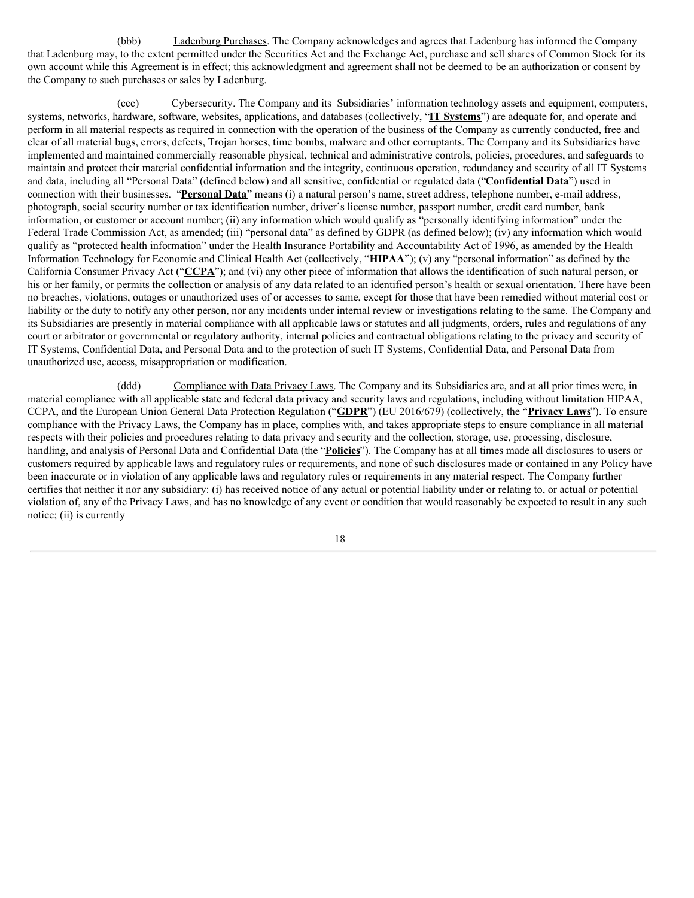(bbb) Ladenburg Purchases. The Company acknowledges and agrees that Ladenburg has informed the Company that Ladenburg may, to the extent permitted under the Securities Act and the Exchange Act, purchase and sell shares of Common Stock for its own account while this Agreement is in effect; this acknowledgment and agreement shall not be deemed to be an authorization or consent by the Company to such purchases or sales by Ladenburg.

(ccc) Cybersecurity. The Company and its Subsidiaries' information technology assets and equipment, computers, systems, networks, hardware, software, websites, applications, and databases (collectively, "**IT Systems**") are adequate for, and operate and perform in all material respects as required in connection with the operation of the business of the Company as currently conducted, free and clear of all material bugs, errors, defects, Trojan horses, time bombs, malware and other corruptants. The Company and its Subsidiaries have implemented and maintained commercially reasonable physical, technical and administrative controls, policies, procedures, and safeguards to maintain and protect their material confidential information and the integrity, continuous operation, redundancy and security of all IT Systems and data, including all "Personal Data" (defined below) and all sensitive, confidential or regulated data ("**Confidential Data**") used in connection with their businesses. "**Personal Data**" means (i) a natural person's name, street address, telephone number, e-mail address, photograph, social security number or tax identification number, driver's license number, passport number, credit card number, bank information, or customer or account number; (ii) any information which would qualify as "personally identifying information" under the Federal Trade Commission Act, as amended; (iii) "personal data" as defined by GDPR (as defined below); (iv) any information which would qualify as "protected health information" under the Health Insurance Portability and Accountability Act of 1996, as amended by the Health Information Technology for Economic and Clinical Health Act (collectively, "**HIPAA**"); (v) any "personal information" as defined by the California Consumer Privacy Act ("**CCPA**"); and (vi) any other piece of information that allows the identification of such natural person, or his or her family, or permits the collection or analysis of any data related to an identified person's health or sexual orientation. There have been no breaches, violations, outages or unauthorized uses of or accesses to same, except for those that have been remedied without material cost or liability or the duty to notify any other person, nor any incidents under internal review or investigations relating to the same. The Company and its Subsidiaries are presently in material compliance with all applicable laws or statutes and all judgments, orders, rules and regulations of any court or arbitrator or governmental or regulatory authority, internal policies and contractual obligations relating to the privacy and security of IT Systems, Confidential Data, and Personal Data and to the protection of such IT Systems, Confidential Data, and Personal Data from unauthorized use, access, misappropriation or modification.

(ddd) Compliance with Data Privacy Laws. The Company and its Subsidiaries are, and at all prior times were, in material compliance with all applicable state and federal data privacy and security laws and regulations, including without limitation HIPAA, CCPA, and the European Union General Data Protection Regulation ("**GDPR**") (EU 2016/679) (collectively, the "**Privacy Laws**"). To ensure compliance with the Privacy Laws, the Company has in place, complies with, and takes appropriate steps to ensure compliance in all material respects with their policies and procedures relating to data privacy and security and the collection, storage, use, processing, disclosure, handling, and analysis of Personal Data and Confidential Data (the "**Policies**"). The Company has at all times made all disclosures to users or customers required by applicable laws and regulatory rules or requirements, and none of such disclosures made or contained in any Policy have been inaccurate or in violation of any applicable laws and regulatory rules or requirements in any material respect. The Company further certifies that neither it nor any subsidiary: (i) has received notice of any actual or potential liability under or relating to, or actual or potential violation of, any of the Privacy Laws, and has no knowledge of any event or condition that would reasonably be expected to result in any such notice; (ii) is currently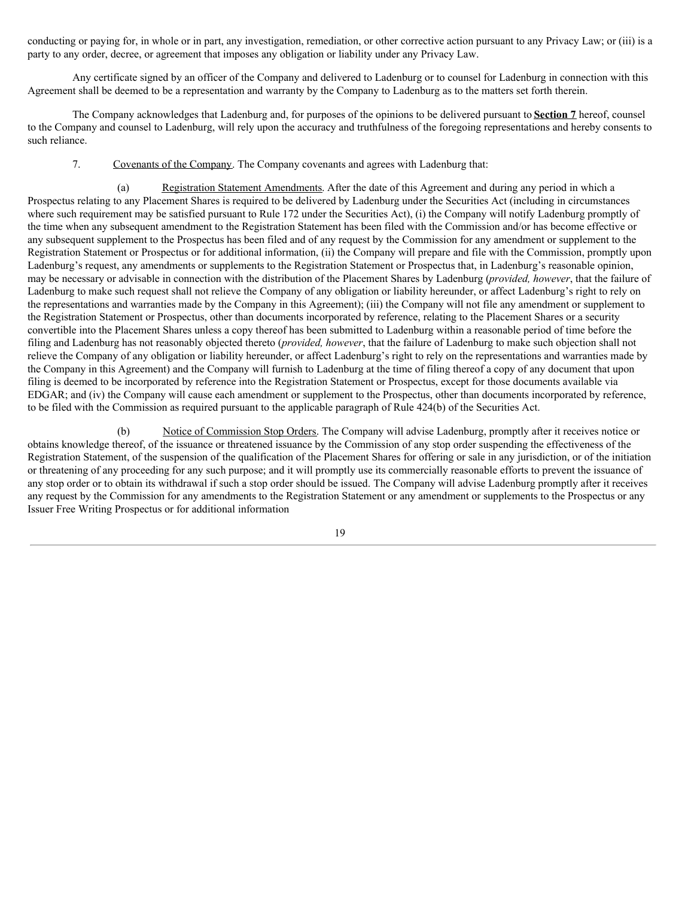conducting or paying for, in whole or in part, any investigation, remediation, or other corrective action pursuant to any Privacy Law; or (iii) is a party to any order, decree, or agreement that imposes any obligation or liability under any Privacy Law.

Any certificate signed by an officer of the Company and delivered to Ladenburg or to counsel for Ladenburg in connection with this Agreement shall be deemed to be a representation and warranty by the Company to Ladenburg as to the matters set forth therein.

The Company acknowledges that Ladenburg and, for purposes of the opinions to be delivered pursuant to **Section 7** hereof, counsel to the Company and counsel to Ladenburg, will rely upon the accuracy and truthfulness of the foregoing representations and hereby consents to such reliance.

7. Covenants of the Company. The Company covenants and agrees with Ladenburg that:

(a) Registration Statement Amendments. After the date of this Agreement and during any period in which a Prospectus relating to any Placement Shares is required to be delivered by Ladenburg under the Securities Act (including in circumstances where such requirement may be satisfied pursuant to Rule 172 under the Securities Act), (i) the Company will notify Ladenburg promptly of the time when any subsequent amendment to the Registration Statement has been filed with the Commission and/or has become effective or any subsequent supplement to the Prospectus has been filed and of any request by the Commission for any amendment or supplement to the Registration Statement or Prospectus or for additional information, (ii) the Company will prepare and file with the Commission, promptly upon Ladenburg's request, any amendments or supplements to the Registration Statement or Prospectus that, in Ladenburg's reasonable opinion, may be necessary or advisable in connection with the distribution of the Placement Shares by Ladenburg (*provided, however*, that the failure of Ladenburg to make such request shall not relieve the Company of any obligation or liability hereunder, or affect Ladenburg's right to rely on the representations and warranties made by the Company in this Agreement); (iii) the Company will not file any amendment or supplement to the Registration Statement or Prospectus, other than documents incorporated by reference, relating to the Placement Shares or a security convertible into the Placement Shares unless a copy thereof has been submitted to Ladenburg within a reasonable period of time before the filing and Ladenburg has not reasonably objected thereto (*provided, however*, that the failure of Ladenburg to make such objection shall not relieve the Company of any obligation or liability hereunder, or affect Ladenburg's right to rely on the representations and warranties made by the Company in this Agreement) and the Company will furnish to Ladenburg at the time of filing thereof a copy of any document that upon filing is deemed to be incorporated by reference into the Registration Statement or Prospectus, except for those documents available via EDGAR; and (iv) the Company will cause each amendment or supplement to the Prospectus, other than documents incorporated by reference, to be filed with the Commission as required pursuant to the applicable paragraph of Rule 424(b) of the Securities Act.

(b) Notice of Commission Stop Orders. The Company will advise Ladenburg, promptly after it receives notice or obtains knowledge thereof, of the issuance or threatened issuance by the Commission of any stop order suspending the effectiveness of the Registration Statement, of the suspension of the qualification of the Placement Shares for offering or sale in any jurisdiction, or of the initiation or threatening of any proceeding for any such purpose; and it will promptly use its commercially reasonable efforts to prevent the issuance of any stop order or to obtain its withdrawal if such a stop order should be issued. The Company will advise Ladenburg promptly after it receives any request by the Commission for any amendments to the Registration Statement or any amendment or supplements to the Prospectus or any Issuer Free Writing Prospectus or for additional information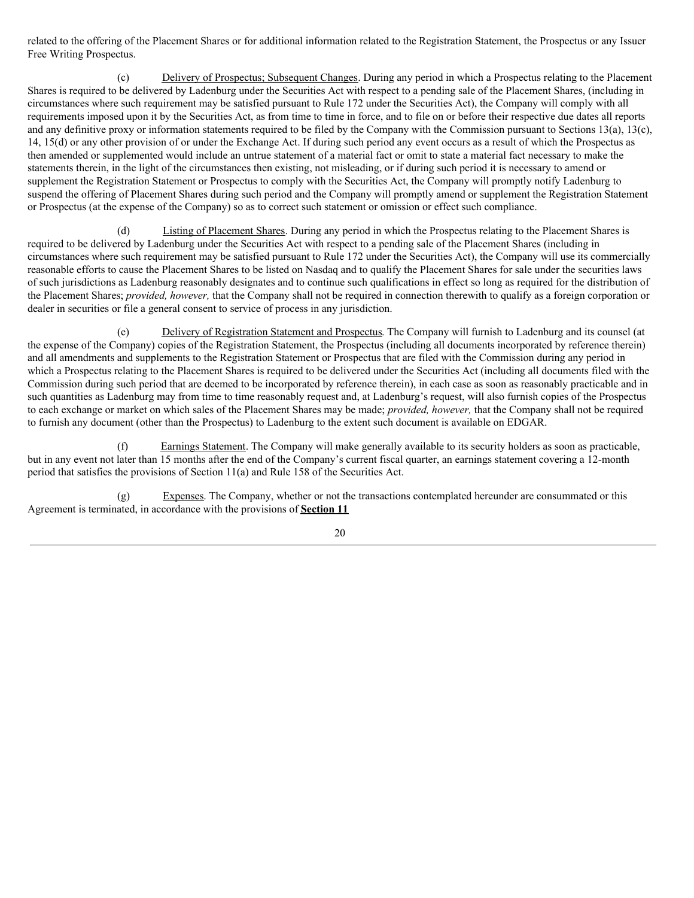related to the offering of the Placement Shares or for additional information related to the Registration Statement, the Prospectus or any Issuer Free Writing Prospectus.

(c) Delivery of Prospectus; Subsequent Changes. During any period in which a Prospectus relating to the Placement Shares is required to be delivered by Ladenburg under the Securities Act with respect to a pending sale of the Placement Shares, (including in circumstances where such requirement may be satisfied pursuant to Rule 172 under the Securities Act), the Company will comply with all requirements imposed upon it by the Securities Act, as from time to time in force, and to file on or before their respective due dates all reports and any definitive proxy or information statements required to be filed by the Company with the Commission pursuant to Sections 13(a), 13(c), 14, 15(d) or any other provision of or under the Exchange Act. If during such period any event occurs as a result of which the Prospectus as then amended or supplemented would include an untrue statement of a material fact or omit to state a material fact necessary to make the statements therein, in the light of the circumstances then existing, not misleading, or if during such period it is necessary to amend or supplement the Registration Statement or Prospectus to comply with the Securities Act, the Company will promptly notify Ladenburg to suspend the offering of Placement Shares during such period and the Company will promptly amend or supplement the Registration Statement or Prospectus (at the expense of the Company) so as to correct such statement or omission or effect such compliance.

(d) Listing of Placement Shares. During any period in which the Prospectus relating to the Placement Shares is required to be delivered by Ladenburg under the Securities Act with respect to a pending sale of the Placement Shares (including in circumstances where such requirement may be satisfied pursuant to Rule 172 under the Securities Act), the Company will use its commercially reasonable efforts to cause the Placement Shares to be listed on Nasdaq and to qualify the Placement Shares for sale under the securities laws of such jurisdictions as Ladenburg reasonably designates and to continue such qualifications in effect so long as required for the distribution of the Placement Shares; *provided, however,* that the Company shall not be required in connection therewith to qualify as a foreign corporation or dealer in securities or file a general consent to service of process in any jurisdiction.

(e) Delivery of Registration Statement and Prospectus. The Company will furnish to Ladenburg and its counsel (at the expense of the Company) copies of the Registration Statement, the Prospectus (including all documents incorporated by reference therein) and all amendments and supplements to the Registration Statement or Prospectus that are filed with the Commission during any period in which a Prospectus relating to the Placement Shares is required to be delivered under the Securities Act (including all documents filed with the Commission during such period that are deemed to be incorporated by reference therein), in each case as soon as reasonably practicable and in such quantities as Ladenburg may from time to time reasonably request and, at Ladenburg's request, will also furnish copies of the Prospectus to each exchange or market on which sales of the Placement Shares may be made; *provided, however,* that the Company shall not be required to furnish any document (other than the Prospectus) to Ladenburg to the extent such document is available on EDGAR.

Earnings Statement. The Company will make generally available to its security holders as soon as practicable, but in any event not later than 15 months after the end of the Company's current fiscal quarter, an earnings statement covering a 12-month period that satisfies the provisions of Section 11(a) and Rule 158 of the Securities Act.

(g) Expenses. The Company, whether or not the transactions contemplated hereunder are consummated or this Agreement is terminated, in accordance with the provisions of **Section 11**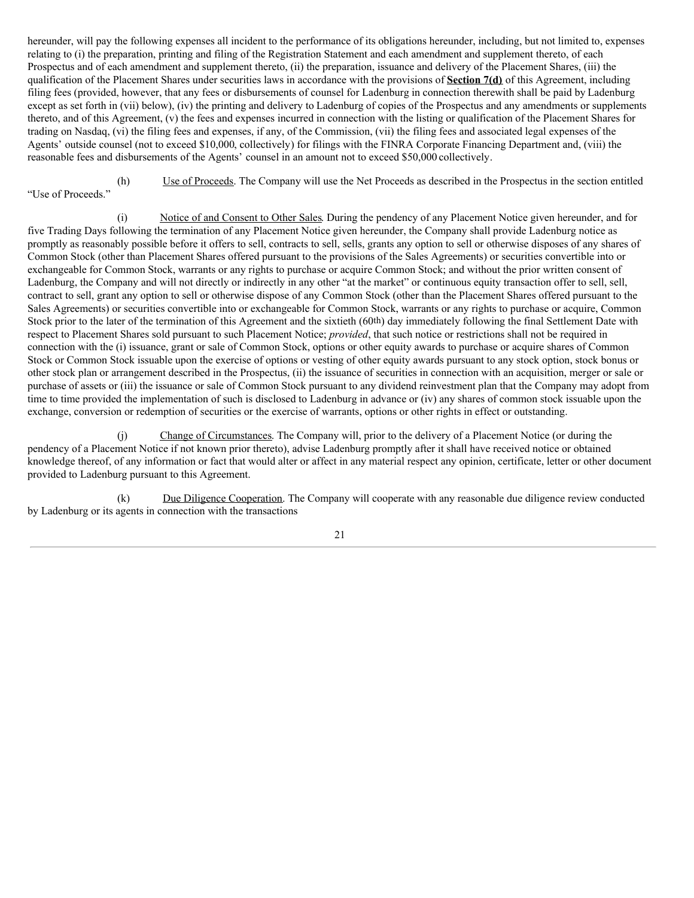hereunder, will pay the following expenses all incident to the performance of its obligations hereunder, including, but not limited to, expenses relating to (i) the preparation, printing and filing of the Registration Statement and each amendment and supplement thereto, of each Prospectus and of each amendment and supplement thereto, (ii) the preparation, issuance and delivery of the Placement Shares, (iii) the qualification of the Placement Shares under securities laws in accordance with the provisions of **Section 7(d)** of this Agreement, including filing fees (provided, however, that any fees or disbursements of counsel for Ladenburg in connection therewith shall be paid by Ladenburg except as set forth in (vii) below), (iv) the printing and delivery to Ladenburg of copies of the Prospectus and any amendments or supplements thereto, and of this Agreement, (v) the fees and expenses incurred in connection with the listing or qualification of the Placement Shares for trading on Nasdaq, (vi) the filing fees and expenses, if any, of the Commission, (vii) the filing fees and associated legal expenses of the Agents' outside counsel (not to exceed \$10,000, collectively) for filings with the FINRA Corporate Financing Department and, (viii) the reasonable fees and disbursements of the Agents' counsel in an amount not to exceed \$50,000 collectively.

(h) Use of Proceeds. The Company will use the Net Proceeds as described in the Prospectus in the section entitled "Use of Proceeds."

(i) Notice of and Consent to Other Sales. During the pendency of any Placement Notice given hereunder, and for five Trading Days following the termination of any Placement Notice given hereunder, the Company shall provide Ladenburg notice as promptly as reasonably possible before it offers to sell, contracts to sell, sells, grants any option to sell or otherwise disposes of any shares of Common Stock (other than Placement Shares offered pursuant to the provisions of the Sales Agreements) or securities convertible into or exchangeable for Common Stock, warrants or any rights to purchase or acquire Common Stock; and without the prior written consent of Ladenburg, the Company and will not directly or indirectly in any other "at the market" or continuous equity transaction offer to sell, sell, contract to sell, grant any option to sell or otherwise dispose of any Common Stock (other than the Placement Shares offered pursuant to the Sales Agreements) or securities convertible into or exchangeable for Common Stock, warrants or any rights to purchase or acquire, Common Stock prior to the later of the termination of this Agreement and the sixtieth (60th) day immediately following the final Settlement Date with respect to Placement Shares sold pursuant to such Placement Notice; *provided*, that such notice or restrictions shall not be required in connection with the (i) issuance, grant or sale of Common Stock, options or other equity awards to purchase or acquire shares of Common Stock or Common Stock issuable upon the exercise of options or vesting of other equity awards pursuant to any stock option, stock bonus or other stock plan or arrangement described in the Prospectus, (ii) the issuance of securities in connection with an acquisition, merger or sale or purchase of assets or (iii) the issuance or sale of Common Stock pursuant to any dividend reinvestment plan that the Company may adopt from time to time provided the implementation of such is disclosed to Ladenburg in advance or (iv) any shares of common stock issuable upon the exchange, conversion or redemption of securities or the exercise of warrants, options or other rights in effect or outstanding.

(j) Change of Circumstances. The Company will, prior to the delivery of a Placement Notice (or during the pendency of a Placement Notice if not known prior thereto), advise Ladenburg promptly after it shall have received notice or obtained knowledge thereof, of any information or fact that would alter or affect in any material respect any opinion, certificate, letter or other document provided to Ladenburg pursuant to this Agreement.

(k) Due Diligence Cooperation. The Company will cooperate with any reasonable due diligence review conducted by Ladenburg or its agents in connection with the transactions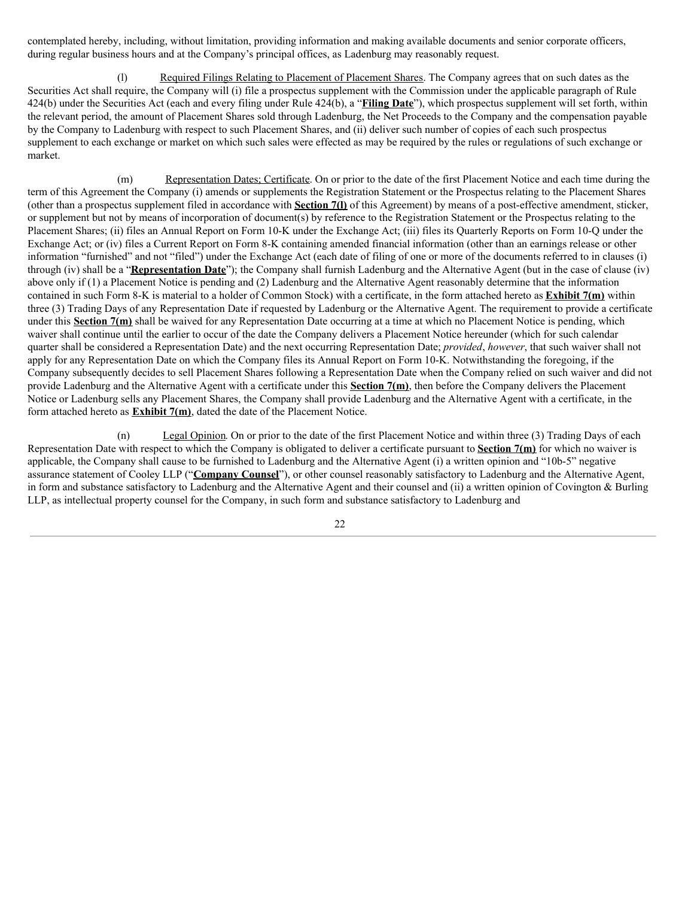contemplated hereby, including, without limitation, providing information and making available documents and senior corporate officers, during regular business hours and at the Company's principal offices, as Ladenburg may reasonably request.

(l) Required Filings Relating to Placement of Placement Shares. The Company agrees that on such dates as the Securities Act shall require, the Company will (i) file a prospectus supplement with the Commission under the applicable paragraph of Rule 424(b) under the Securities Act (each and every filing under Rule 424(b), a "**Filing Date**"), which prospectus supplement will set forth, within the relevant period, the amount of Placement Shares sold through Ladenburg, the Net Proceeds to the Company and the compensation payable by the Company to Ladenburg with respect to such Placement Shares, and (ii) deliver such number of copies of each such prospectus supplement to each exchange or market on which such sales were effected as may be required by the rules or regulations of such exchange or market.

(m) Representation Dates; Certificate. On or prior to the date of the first Placement Notice and each time during the term of this Agreement the Company (i) amends or supplements the Registration Statement or the Prospectus relating to the Placement Shares (other than a prospectus supplement filed in accordance with **Section 7(l)** of this Agreement) by means of a post-effective amendment, sticker, or supplement but not by means of incorporation of document(s) by reference to the Registration Statement or the Prospectus relating to the Placement Shares; (ii) files an Annual Report on Form 10-K under the Exchange Act; (iii) files its Quarterly Reports on Form 10-Q under the Exchange Act; or (iv) files a Current Report on Form 8-K containing amended financial information (other than an earnings release or other information "furnished" and not "filed") under the Exchange Act (each date of filing of one or more of the documents referred to in clauses (i) through (iv) shall be a "**Representation Date**"); the Company shall furnish Ladenburg and the Alternative Agent (but in the case of clause (iv) above only if (1) a Placement Notice is pending and (2) Ladenburg and the Alternative Agent reasonably determine that the information contained in such Form 8-K is material to a holder of Common Stock) with a certificate, in the form attached hereto as **Exhibit 7(m)** within three (3) Trading Days of any Representation Date if requested by Ladenburg or the Alternative Agent. The requirement to provide a certificate under this **Section 7(m)** shall be waived for any Representation Date occurring at a time at which no Placement Notice is pending, which waiver shall continue until the earlier to occur of the date the Company delivers a Placement Notice hereunder (which for such calendar quarter shall be considered a Representation Date) and the next occurring Representation Date; *provided*, *however*, that such waiver shall not apply for any Representation Date on which the Company files its Annual Report on Form 10-K. Notwithstanding the foregoing, if the Company subsequently decides to sell Placement Shares following a Representation Date when the Company relied on such waiver and did not provide Ladenburg and the Alternative Agent with a certificate under this **Section 7(m)**, then before the Company delivers the Placement Notice or Ladenburg sells any Placement Shares, the Company shall provide Ladenburg and the Alternative Agent with a certificate, in the form attached hereto as **Exhibit 7(m)**, dated the date of the Placement Notice.

(n) Legal Opinion. On or prior to the date of the first Placement Notice and within three (3) Trading Days of each Representation Date with respect to which the Company is obligated to deliver a certificate pursuant to **Section 7(m)** for which no waiver is applicable, the Company shall cause to be furnished to Ladenburg and the Alternative Agent (i) a written opinion and "10b-5" negative assurance statement of Cooley LLP ("**Company Counsel**"), or other counsel reasonably satisfactory to Ladenburg and the Alternative Agent, in form and substance satisfactory to Ladenburg and the Alternative Agent and their counsel and (ii) a written opinion of Covington & Burling LLP, as intellectual property counsel for the Company, in such form and substance satisfactory to Ladenburg and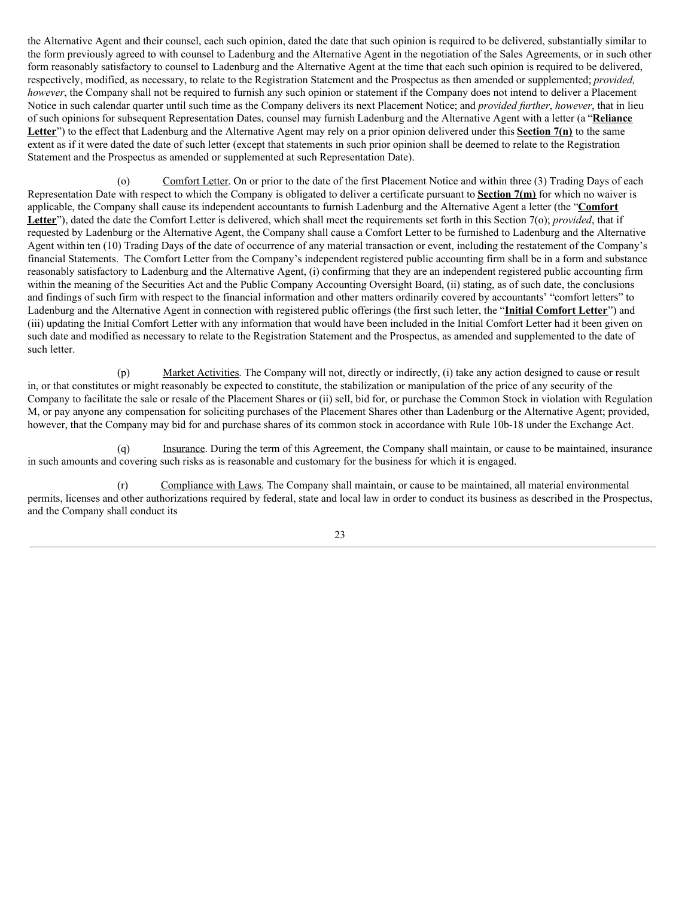the Alternative Agent and their counsel, each such opinion, dated the date that such opinion is required to be delivered, substantially similar to the form previously agreed to with counsel to Ladenburg and the Alternative Agent in the negotiation of the Sales Agreements, or in such other form reasonably satisfactory to counsel to Ladenburg and the Alternative Agent at the time that each such opinion is required to be delivered, respectively, modified, as necessary, to relate to the Registration Statement and the Prospectus as then amended or supplemented; *provided, however*, the Company shall not be required to furnish any such opinion or statement if the Company does not intend to deliver a Placement Notice in such calendar quarter until such time as the Company delivers its next Placement Notice; and *provided further*, *however*, that in lieu of such opinions for subsequent Representation Dates, counsel may furnish Ladenburg and the Alternative Agent with a letter (a "**Reliance Letter**") to the effect that Ladenburg and the Alternative Agent may rely on a prior opinion delivered under this **Section 7(n)** to the same extent as if it were dated the date of such letter (except that statements in such prior opinion shall be deemed to relate to the Registration Statement and the Prospectus as amended or supplemented at such Representation Date).

(o) Comfort Letter. On or prior to the date of the first Placement Notice and within three (3) Trading Days of each Representation Date with respect to which the Company is obligated to deliver a certificate pursuant to **Section 7(m)** for which no waiver is applicable, the Company shall cause its independent accountants to furnish Ladenburg and the Alternative Agent a letter (the "**Comfort Letter**"), dated the date the Comfort Letter is delivered, which shall meet the requirements set forth in this Section 7(o); *provided*, that if requested by Ladenburg or the Alternative Agent, the Company shall cause a Comfort Letter to be furnished to Ladenburg and the Alternative Agent within ten (10) Trading Days of the date of occurrence of any material transaction or event, including the restatement of the Company's financial Statements. The Comfort Letter from the Company's independent registered public accounting firm shall be in a form and substance reasonably satisfactory to Ladenburg and the Alternative Agent, (i) confirming that they are an independent registered public accounting firm within the meaning of the Securities Act and the Public Company Accounting Oversight Board, (ii) stating, as of such date, the conclusions and findings of such firm with respect to the financial information and other matters ordinarily covered by accountants' "comfort letters" to Ladenburg and the Alternative Agent in connection with registered public offerings (the first such letter, the "**Initial Comfort Letter**") and (iii) updating the Initial Comfort Letter with any information that would have been included in the Initial Comfort Letter had it been given on such date and modified as necessary to relate to the Registration Statement and the Prospectus, as amended and supplemented to the date of such letter.

(p) Market Activities. The Company will not, directly or indirectly, (i) take any action designed to cause or result in, or that constitutes or might reasonably be expected to constitute, the stabilization or manipulation of the price of any security of the Company to facilitate the sale or resale of the Placement Shares or (ii) sell, bid for, or purchase the Common Stock in violation with Regulation M, or pay anyone any compensation for soliciting purchases of the Placement Shares other than Ladenburg or the Alternative Agent; provided, however, that the Company may bid for and purchase shares of its common stock in accordance with Rule 10b-18 under the Exchange Act.

(q) Insurance. During the term of this Agreement, the Company shall maintain, or cause to be maintained, insurance in such amounts and covering such risks as is reasonable and customary for the business for which it is engaged.

(r) Compliance with Laws. The Company shall maintain, or cause to be maintained, all material environmental permits, licenses and other authorizations required by federal, state and local law in order to conduct its business as described in the Prospectus, and the Company shall conduct its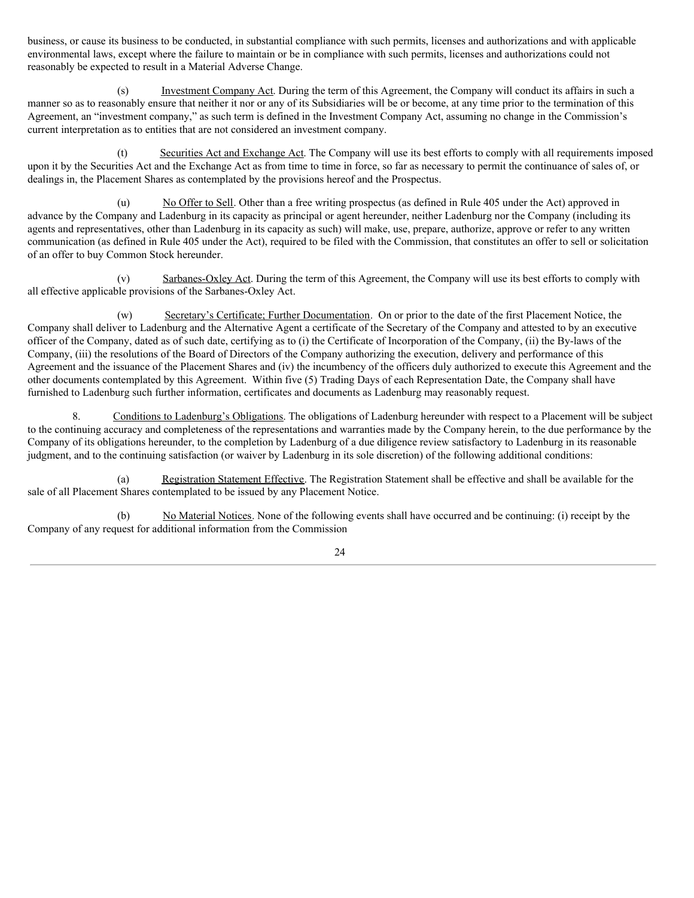business, or cause its business to be conducted, in substantial compliance with such permits, licenses and authorizations and with applicable environmental laws, except where the failure to maintain or be in compliance with such permits, licenses and authorizations could not reasonably be expected to result in a Material Adverse Change.

(s) Investment Company Act. During the term of this Agreement, the Company will conduct its affairs in such a manner so as to reasonably ensure that neither it nor or any of its Subsidiaries will be or become, at any time prior to the termination of this Agreement, an "investment company," as such term is defined in the Investment Company Act, assuming no change in the Commission's current interpretation as to entities that are not considered an investment company.

(t) Securities Act and Exchange Act. The Company will use its best efforts to comply with all requirements imposed upon it by the Securities Act and the Exchange Act as from time to time in force, so far as necessary to permit the continuance of sales of, or dealings in, the Placement Shares as contemplated by the provisions hereof and the Prospectus.

(u) No Offer to Sell. Other than a free writing prospectus (as defined in Rule 405 under the Act) approved in advance by the Company and Ladenburg in its capacity as principal or agent hereunder, neither Ladenburg nor the Company (including its agents and representatives, other than Ladenburg in its capacity as such) will make, use, prepare, authorize, approve or refer to any written communication (as defined in Rule 405 under the Act), required to be filed with the Commission, that constitutes an offer to sell or solicitation of an offer to buy Common Stock hereunder.

(v) Sarbanes-Oxley Act. During the term of this Agreement, the Company will use its best efforts to comply with all effective applicable provisions of the Sarbanes-Oxley Act.

(w) Secretary's Certificate; Further Documentation. On or prior to the date of the first Placement Notice, the Company shall deliver to Ladenburg and the Alternative Agent a certificate of the Secretary of the Company and attested to by an executive officer of the Company, dated as of such date, certifying as to (i) the Certificate of Incorporation of the Company, (ii) the By-laws of the Company, (iii) the resolutions of the Board of Directors of the Company authorizing the execution, delivery and performance of this Agreement and the issuance of the Placement Shares and (iv) the incumbency of the officers duly authorized to execute this Agreement and the other documents contemplated by this Agreement. Within five (5) Trading Days of each Representation Date, the Company shall have furnished to Ladenburg such further information, certificates and documents as Ladenburg may reasonably request.

8. Conditions to Ladenburg's Obligations. The obligations of Ladenburg hereunder with respect to a Placement will be subject to the continuing accuracy and completeness of the representations and warranties made by the Company herein, to the due performance by the Company of its obligations hereunder, to the completion by Ladenburg of a due diligence review satisfactory to Ladenburg in its reasonable judgment, and to the continuing satisfaction (or waiver by Ladenburg in its sole discretion) of the following additional conditions:

(a) Registration Statement Effective. The Registration Statement shall be effective and shall be available for the sale of all Placement Shares contemplated to be issued by any Placement Notice.

(b) No Material Notices. None of the following events shall have occurred and be continuing: (i) receipt by the Company of any request for additional information from the Commission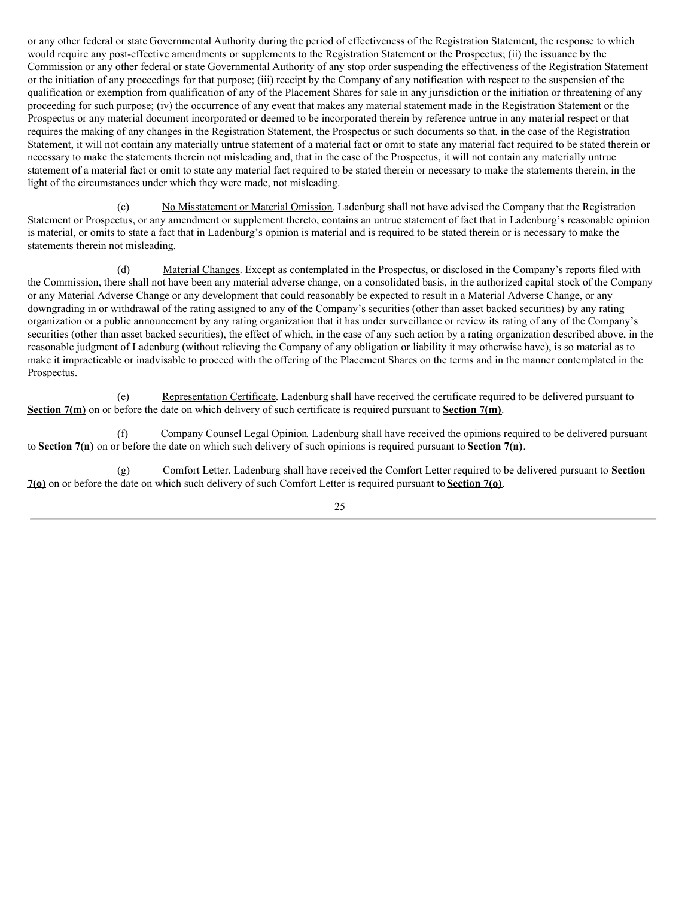or any other federal or state Governmental Authority during the period of effectiveness of the Registration Statement, the response to which would require any post-effective amendments or supplements to the Registration Statement or the Prospectus; (ii) the issuance by the Commission or any other federal or state Governmental Authority of any stop order suspending the effectiveness of the Registration Statement or the initiation of any proceedings for that purpose; (iii) receipt by the Company of any notification with respect to the suspension of the qualification or exemption from qualification of any of the Placement Shares for sale in any jurisdiction or the initiation or threatening of any proceeding for such purpose; (iv) the occurrence of any event that makes any material statement made in the Registration Statement or the Prospectus or any material document incorporated or deemed to be incorporated therein by reference untrue in any material respect or that requires the making of any changes in the Registration Statement, the Prospectus or such documents so that, in the case of the Registration Statement, it will not contain any materially untrue statement of a material fact or omit to state any material fact required to be stated therein or necessary to make the statements therein not misleading and, that in the case of the Prospectus, it will not contain any materially untrue statement of a material fact or omit to state any material fact required to be stated therein or necessary to make the statements therein, in the light of the circumstances under which they were made, not misleading.

(c) No Misstatement or Material Omission. Ladenburg shall not have advised the Company that the Registration Statement or Prospectus, or any amendment or supplement thereto, contains an untrue statement of fact that in Ladenburg's reasonable opinion is material, or omits to state a fact that in Ladenburg's opinion is material and is required to be stated therein or is necessary to make the statements therein not misleading.

(d) Material Changes. Except as contemplated in the Prospectus, or disclosed in the Company's reports filed with the Commission, there shall not have been any material adverse change, on a consolidated basis, in the authorized capital stock of the Company or any Material Adverse Change or any development that could reasonably be expected to result in a Material Adverse Change, or any downgrading in or withdrawal of the rating assigned to any of the Company's securities (other than asset backed securities) by any rating organization or a public announcement by any rating organization that it has under surveillance or review its rating of any of the Company's securities (other than asset backed securities), the effect of which, in the case of any such action by a rating organization described above, in the reasonable judgment of Ladenburg (without relieving the Company of any obligation or liability it may otherwise have), is so material as to make it impracticable or inadvisable to proceed with the offering of the Placement Shares on the terms and in the manner contemplated in the Prospectus.

(e) Representation Certificate. Ladenburg shall have received the certificate required to be delivered pursuant to **Section 7(m)** on or before the date on which delivery of such certificate is required pursuant to **Section 7(m)**.

(f) Company Counsel Legal Opinion. Ladenburg shall have received the opinions required to be delivered pursuant to **Section 7(n)** on or before the date on which such delivery of such opinions is required pursuant to **Section 7(n)**.

(g) Comfort Letter. Ladenburg shall have received the Comfort Letter required to be delivered pursuant to **Section 7(o)** on or before the date on which such delivery of such Comfort Letter is required pursuant to **Section 7(o)**.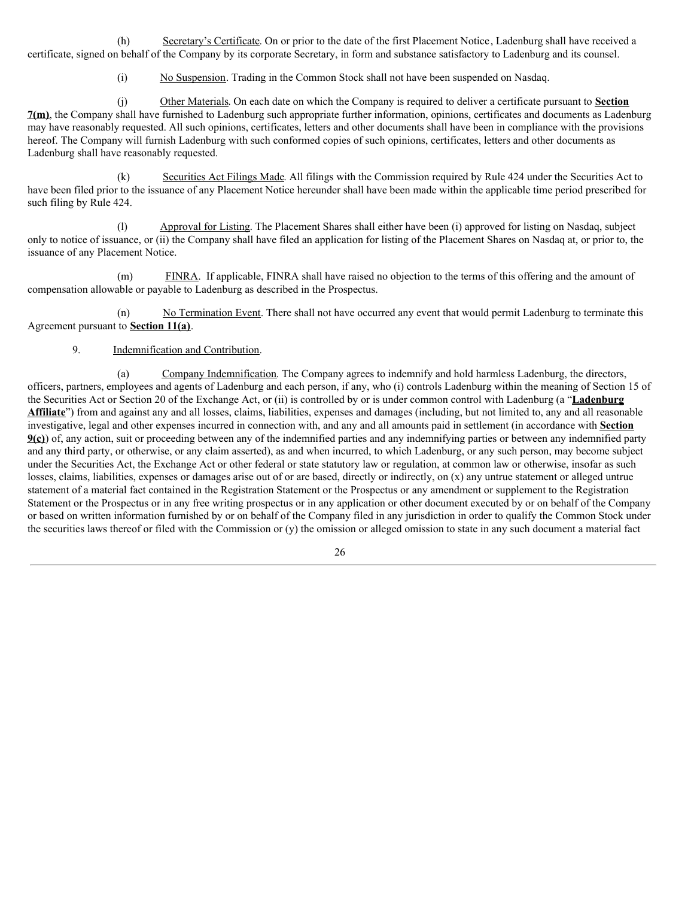(h) Secretary's Certificate. On or prior to the date of the first Placement Notice, Ladenburg shall have received a certificate, signed on behalf of the Company by its corporate Secretary, in form and substance satisfactory to Ladenburg and its counsel.

(i) No Suspension. Trading in the Common Stock shall not have been suspended on Nasdaq.

(j) Other Materials. On each date on which the Company is required to deliver a certificate pursuant to **Section 7(m)**, the Company shall have furnished to Ladenburg such appropriate further information, opinions, certificates and documents as Ladenburg may have reasonably requested. All such opinions, certificates, letters and other documents shall have been in compliance with the provisions hereof. The Company will furnish Ladenburg with such conformed copies of such opinions, certificates, letters and other documents as Ladenburg shall have reasonably requested.

(k) Securities Act Filings Made. All filings with the Commission required by Rule 424 under the Securities Act to have been filed prior to the issuance of any Placement Notice hereunder shall have been made within the applicable time period prescribed for such filing by Rule 424.

(l) Approval for Listing. The Placement Shares shall either have been (i) approved for listing on Nasdaq, subject only to notice of issuance, or (ii) the Company shall have filed an application for listing of the Placement Shares on Nasdaq at, or prior to, the issuance of any Placement Notice.

(m) FINRA. If applicable, FINRA shall have raised no objection to the terms of this offering and the amount of compensation allowable or payable to Ladenburg as described in the Prospectus.

(n) No Termination Event. There shall not have occurred any event that would permit Ladenburg to terminate this Agreement pursuant to **Section 11(a)**.

## 9. Indemnification and Contribution.

(a) Company Indemnification. The Company agrees to indemnify and hold harmless Ladenburg, the directors, officers, partners, employees and agents of Ladenburg and each person, if any, who (i) controls Ladenburg within the meaning of Section 15 of the Securities Act or Section 20 of the Exchange Act, or (ii) is controlled by or is under common control with Ladenburg (a "**Ladenburg Affiliate**") from and against any and all losses, claims, liabilities, expenses and damages (including, but not limited to, any and all reasonable investigative, legal and other expenses incurred in connection with, and any and all amounts paid in settlement (in accordance with **Section 9(c)**) of, any action, suit or proceeding between any of the indemnified parties and any indemnifying parties or between any indemnified party and any third party, or otherwise, or any claim asserted), as and when incurred, to which Ladenburg, or any such person, may become subject under the Securities Act, the Exchange Act or other federal or state statutory law or regulation, at common law or otherwise, insofar as such losses, claims, liabilities, expenses or damages arise out of or are based, directly or indirectly, on (x) any untrue statement or alleged untrue statement of a material fact contained in the Registration Statement or the Prospectus or any amendment or supplement to the Registration Statement or the Prospectus or in any free writing prospectus or in any application or other document executed by or on behalf of the Company or based on written information furnished by or on behalf of the Company filed in any jurisdiction in order to qualify the Common Stock under the securities laws thereof or filed with the Commission or (y) the omission or alleged omission to state in any such document a material fact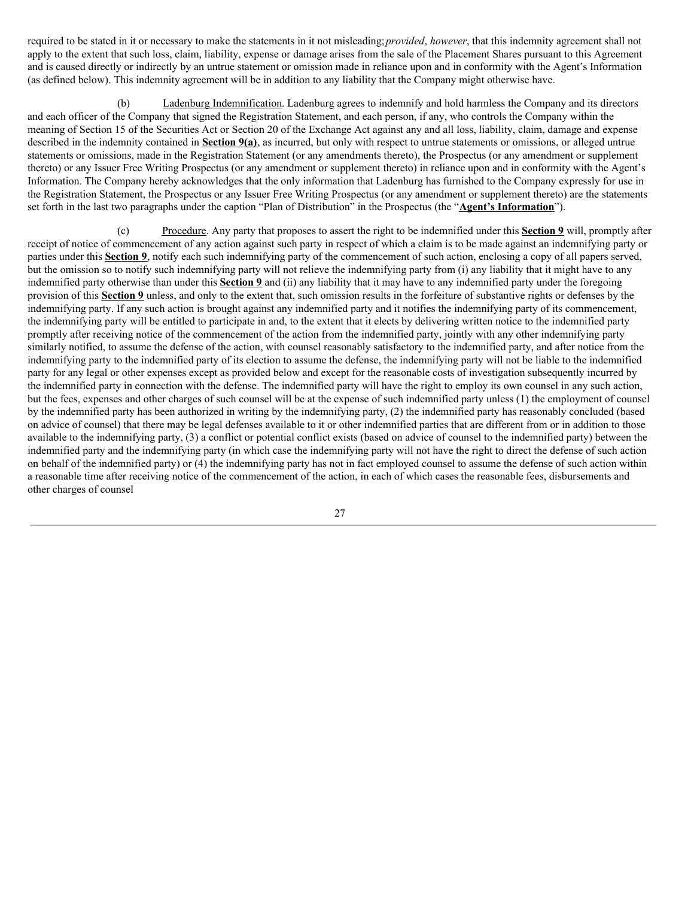required to be stated in it or necessary to make the statements in it not misleading;*provided*, *however*, that this indemnity agreement shall not apply to the extent that such loss, claim, liability, expense or damage arises from the sale of the Placement Shares pursuant to this Agreement and is caused directly or indirectly by an untrue statement or omission made in reliance upon and in conformity with the Agent's Information (as defined below). This indemnity agreement will be in addition to any liability that the Company might otherwise have.

(b) Ladenburg Indemnification. Ladenburg agrees to indemnify and hold harmless the Company and its directors and each officer of the Company that signed the Registration Statement, and each person, if any, who controls the Company within the meaning of Section 15 of the Securities Act or Section 20 of the Exchange Act against any and all loss, liability, claim, damage and expense described in the indemnity contained in **Section 9(a)**, as incurred, but only with respect to untrue statements or omissions, or alleged untrue statements or omissions, made in the Registration Statement (or any amendments thereto), the Prospectus (or any amendment or supplement thereto) or any Issuer Free Writing Prospectus (or any amendment or supplement thereto) in reliance upon and in conformity with the Agent's Information. The Company hereby acknowledges that the only information that Ladenburg has furnished to the Company expressly for use in the Registration Statement, the Prospectus or any Issuer Free Writing Prospectus (or any amendment or supplement thereto) are the statements set forth in the last two paragraphs under the caption "Plan of Distribution" in the Prospectus (the "**Agent's Information**").

(c) Procedure. Any party that proposes to assert the right to be indemnified under this **Section 9** will, promptly after receipt of notice of commencement of any action against such party in respect of which a claim is to be made against an indemnifying party or parties under this **Section 9**, notify each such indemnifying party of the commencement of such action, enclosing a copy of all papers served, but the omission so to notify such indemnifying party will not relieve the indemnifying party from (i) any liability that it might have to any indemnified party otherwise than under this **Section 9** and (ii) any liability that it may have to any indemnified party under the foregoing provision of this **Section 9** unless, and only to the extent that, such omission results in the forfeiture of substantive rights or defenses by the indemnifying party. If any such action is brought against any indemnified party and it notifies the indemnifying party of its commencement, the indemnifying party will be entitled to participate in and, to the extent that it elects by delivering written notice to the indemnified party promptly after receiving notice of the commencement of the action from the indemnified party, jointly with any other indemnifying party similarly notified, to assume the defense of the action, with counsel reasonably satisfactory to the indemnified party, and after notice from the indemnifying party to the indemnified party of its election to assume the defense, the indemnifying party will not be liable to the indemnified party for any legal or other expenses except as provided below and except for the reasonable costs of investigation subsequently incurred by the indemnified party in connection with the defense. The indemnified party will have the right to employ its own counsel in any such action, but the fees, expenses and other charges of such counsel will be at the expense of such indemnified party unless (1) the employment of counsel by the indemnified party has been authorized in writing by the indemnifying party, (2) the indemnified party has reasonably concluded (based on advice of counsel) that there may be legal defenses available to it or other indemnified parties that are different from or in addition to those available to the indemnifying party, (3) a conflict or potential conflict exists (based on advice of counsel to the indemnified party) between the indemnified party and the indemnifying party (in which case the indemnifying party will not have the right to direct the defense of such action on behalf of the indemnified party) or (4) the indemnifying party has not in fact employed counsel to assume the defense of such action within a reasonable time after receiving notice of the commencement of the action, in each of which cases the reasonable fees, disbursements and other charges of counsel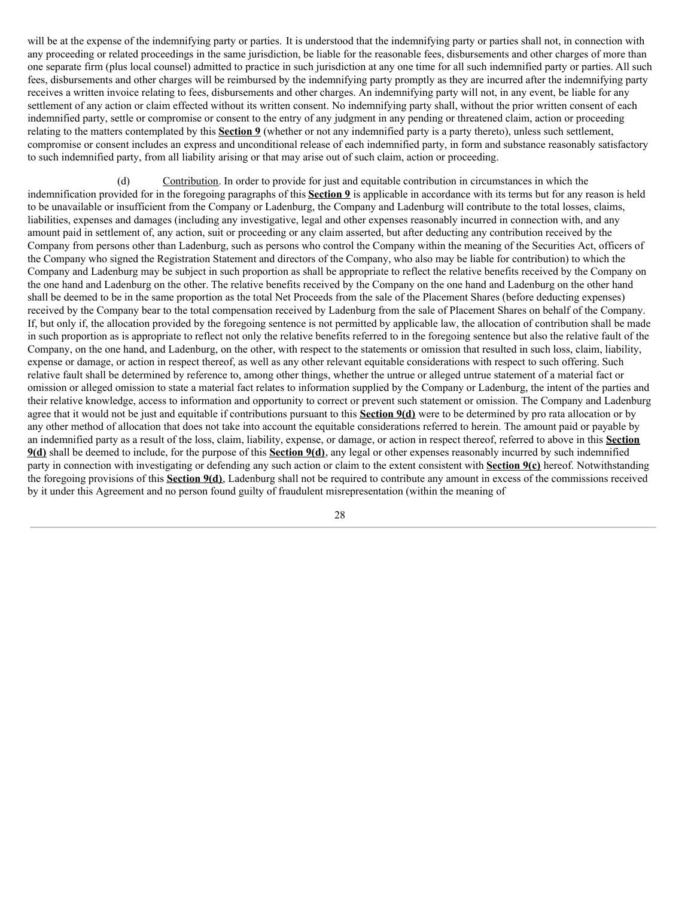will be at the expense of the indemnifying party or parties. It is understood that the indemnifying party or parties shall not, in connection with any proceeding or related proceedings in the same jurisdiction, be liable for the reasonable fees, disbursements and other charges of more than one separate firm (plus local counsel) admitted to practice in such jurisdiction at any one time for all such indemnified party or parties. All such fees, disbursements and other charges will be reimbursed by the indemnifying party promptly as they are incurred after the indemnifying party receives a written invoice relating to fees, disbursements and other charges. An indemnifying party will not, in any event, be liable for any settlement of any action or claim effected without its written consent. No indemnifying party shall, without the prior written consent of each indemnified party, settle or compromise or consent to the entry of any judgment in any pending or threatened claim, action or proceeding relating to the matters contemplated by this **Section 9** (whether or not any indemnified party is a party thereto), unless such settlement, compromise or consent includes an express and unconditional release of each indemnified party, in form and substance reasonably satisfactory to such indemnified party, from all liability arising or that may arise out of such claim, action or proceeding.

(d) Contribution. In order to provide for just and equitable contribution in circumstances in which the indemnification provided for in the foregoing paragraphs of this **Section 9** is applicable in accordance with its terms but for any reason is held to be unavailable or insufficient from the Company or Ladenburg, the Company and Ladenburg will contribute to the total losses, claims, liabilities, expenses and damages (including any investigative, legal and other expenses reasonably incurred in connection with, and any amount paid in settlement of, any action, suit or proceeding or any claim asserted, but after deducting any contribution received by the Company from persons other than Ladenburg, such as persons who control the Company within the meaning of the Securities Act, officers of the Company who signed the Registration Statement and directors of the Company, who also may be liable for contribution) to which the Company and Ladenburg may be subject in such proportion as shall be appropriate to reflect the relative benefits received by the Company on the one hand and Ladenburg on the other. The relative benefits received by the Company on the one hand and Ladenburg on the other hand shall be deemed to be in the same proportion as the total Net Proceeds from the sale of the Placement Shares (before deducting expenses) received by the Company bear to the total compensation received by Ladenburg from the sale of Placement Shares on behalf of the Company. If, but only if, the allocation provided by the foregoing sentence is not permitted by applicable law, the allocation of contribution shall be made in such proportion as is appropriate to reflect not only the relative benefits referred to in the foregoing sentence but also the relative fault of the Company, on the one hand, and Ladenburg, on the other, with respect to the statements or omission that resulted in such loss, claim, liability, expense or damage, or action in respect thereof, as well as any other relevant equitable considerations with respect to such offering. Such relative fault shall be determined by reference to, among other things, whether the untrue or alleged untrue statement of a material fact or omission or alleged omission to state a material fact relates to information supplied by the Company or Ladenburg, the intent of the parties and their relative knowledge, access to information and opportunity to correct or prevent such statement or omission. The Company and Ladenburg agree that it would not be just and equitable if contributions pursuant to this **Section 9(d)** were to be determined by pro rata allocation or by any other method of allocation that does not take into account the equitable considerations referred to herein. The amount paid or payable by an indemnified party as a result of the loss, claim, liability, expense, or damage, or action in respect thereof, referred to above in this **Section 9(d)** shall be deemed to include, for the purpose of this **Section 9(d)**, any legal or other expenses reasonably incurred by such indemnified party in connection with investigating or defending any such action or claim to the extent consistent with **Section 9(c)** hereof. Notwithstanding the foregoing provisions of this **Section 9(d)**, Ladenburg shall not be required to contribute any amount in excess of the commissions received by it under this Agreement and no person found guilty of fraudulent misrepresentation (within the meaning of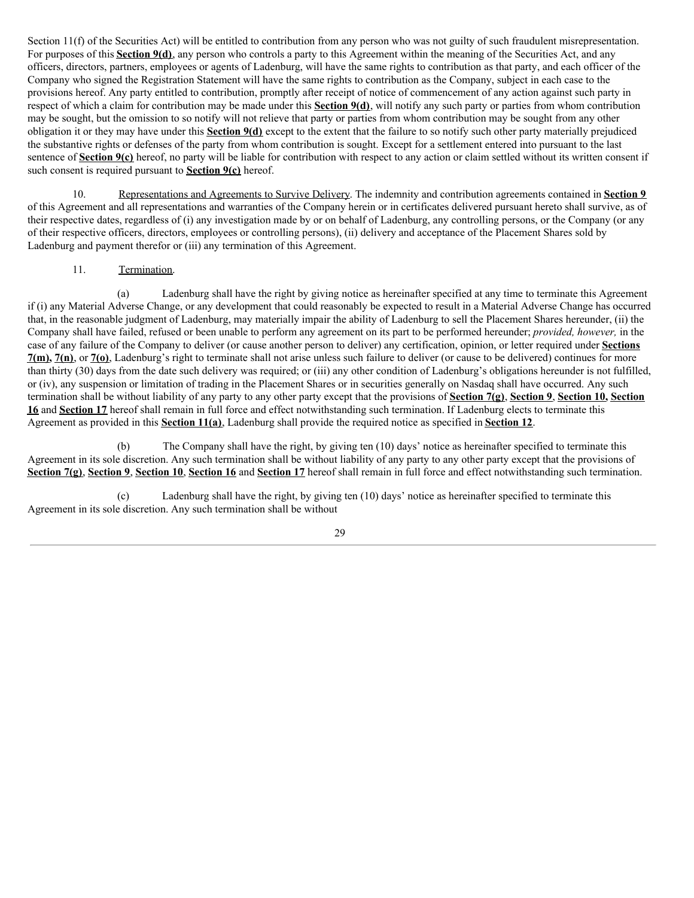Section 11(f) of the Securities Act) will be entitled to contribution from any person who was not guilty of such fraudulent misrepresentation. For purposes of this **Section 9(d)**, any person who controls a party to this Agreement within the meaning of the Securities Act, and any officers, directors, partners, employees or agents of Ladenburg, will have the same rights to contribution as that party, and each officer of the Company who signed the Registration Statement will have the same rights to contribution as the Company, subject in each case to the provisions hereof. Any party entitled to contribution, promptly after receipt of notice of commencement of any action against such party in respect of which a claim for contribution may be made under this **Section 9(d)**, will notify any such party or parties from whom contribution may be sought, but the omission to so notify will not relieve that party or parties from whom contribution may be sought from any other obligation it or they may have under this **Section 9(d)** except to the extent that the failure to so notify such other party materially prejudiced the substantive rights or defenses of the party from whom contribution is sought. Except for a settlement entered into pursuant to the last sentence of **Section 9(c)** hereof, no party will be liable for contribution with respect to any action or claim settled without its written consent if such consent is required pursuant to **Section 9(c)** hereof.

10. Representations and Agreements to Survive Delivery. The indemnity and contribution agreements contained in **Section 9** of this Agreement and all representations and warranties of the Company herein or in certificates delivered pursuant hereto shall survive, as of their respective dates, regardless of (i) any investigation made by or on behalf of Ladenburg, any controlling persons, or the Company (or any of their respective officers, directors, employees or controlling persons), (ii) delivery and acceptance of the Placement Shares sold by Ladenburg and payment therefor or (iii) any termination of this Agreement.

# 11. Termination.

(a) Ladenburg shall have the right by giving notice as hereinafter specified at any time to terminate this Agreement if (i) any Material Adverse Change, or any development that could reasonably be expected to result in a Material Adverse Change has occurred that, in the reasonable judgment of Ladenburg, may materially impair the ability of Ladenburg to sell the Placement Shares hereunder, (ii) the Company shall have failed, refused or been unable to perform any agreement on its part to be performed hereunder; *provided, however,* in the case of any failure of the Company to deliver (or cause another person to deliver) any certification, opinion, or letter required under **Sections 7(m), 7(n)**, or **7(o)**, Ladenburg's right to terminate shall not arise unless such failure to deliver (or cause to be delivered) continues for more than thirty (30) days from the date such delivery was required; or (iii) any other condition of Ladenburg's obligations hereunder is not fulfilled, or (iv), any suspension or limitation of trading in the Placement Shares or in securities generally on Nasdaq shall have occurred. Any such termination shall be without liability of any party to any other party except that the provisions of **Section 7(g)**, **Section 9**, **Section 10, Section 16** and **Section 17** hereof shall remain in full force and effect notwithstanding such termination. If Ladenburg elects to terminate this Agreement as provided in this **Section 11(a)**, Ladenburg shall provide the required notice as specified in **Section 12**.

(b) The Company shall have the right, by giving ten (10) days' notice as hereinafter specified to terminate this Agreement in its sole discretion. Any such termination shall be without liability of any party to any other party except that the provisions of **Section 7(g)**, **Section 9**, **Section 10**, **Section 16** and **Section 17** hereof shall remain in full force and effect notwithstanding such termination.

(c) Ladenburg shall have the right, by giving ten (10) days' notice as hereinafter specified to terminate this Agreement in its sole discretion. Any such termination shall be without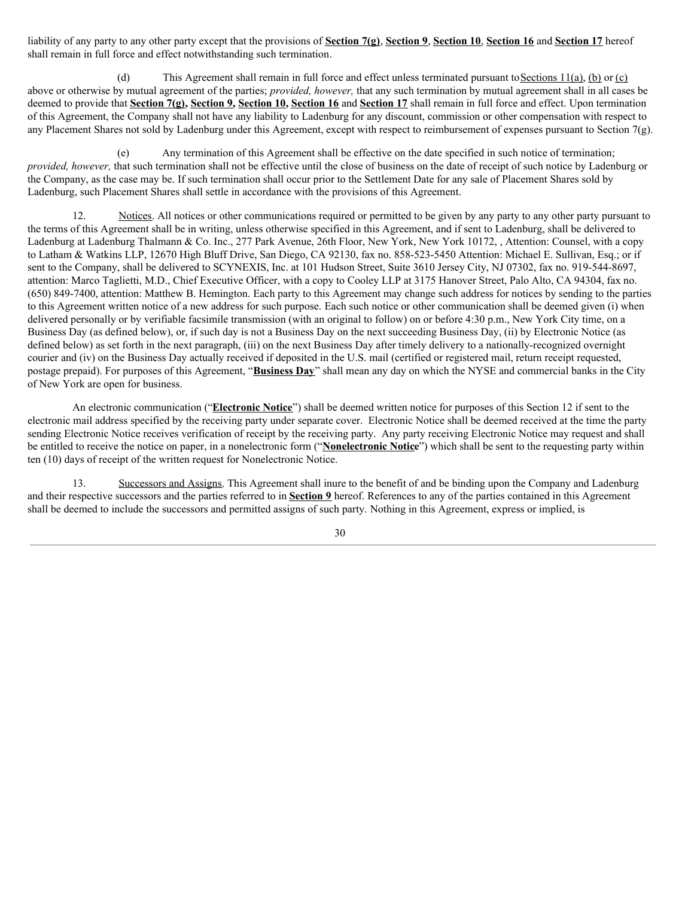liability of any party to any other party except that the provisions of **Section 7(g)**, **Section 9**, **Section 10**, **Section 16** and **Section 17** hereof shall remain in full force and effect notwithstanding such termination.

(d) This Agreement shall remain in full force and effect unless terminated pursuant to Sections  $11(a)$ , (b) or (c) above or otherwise by mutual agreement of the parties; *provided, however,* that any such termination by mutual agreement shall in all cases be deemed to provide that **Section 7(g), Section 9, Section 10, Section 16** and **Section 17** shall remain in full force and effect. Upon termination of this Agreement, the Company shall not have any liability to Ladenburg for any discount, commission or other compensation with respect to any Placement Shares not sold by Ladenburg under this Agreement, except with respect to reimbursement of expenses pursuant to Section 7(g).

(e) Any termination of this Agreement shall be effective on the date specified in such notice of termination; *provided, however,* that such termination shall not be effective until the close of business on the date of receipt of such notice by Ladenburg or the Company, as the case may be. If such termination shall occur prior to the Settlement Date for any sale of Placement Shares sold by Ladenburg, such Placement Shares shall settle in accordance with the provisions of this Agreement.

12. Notices. All notices or other communications required or permitted to be given by any party to any other party pursuant to the terms of this Agreement shall be in writing, unless otherwise specified in this Agreement, and if sent to Ladenburg, shall be delivered to Ladenburg at Ladenburg Thalmann & Co. Inc., 277 Park Avenue, 26th Floor, New York, New York 10172, , Attention: Counsel, with a copy to Latham & Watkins LLP, 12670 High Bluff Drive, San Diego, CA 92130, fax no. 858-523-5450 Attention: Michael E. Sullivan, Esq.; or if sent to the Company, shall be delivered to SCYNEXIS, Inc. at 101 Hudson Street, Suite 3610 Jersey City, NJ 07302, fax no. 919-544-8697, attention: Marco Taglietti, M.D., Chief Executive Officer, with a copy to Cooley LLP at 3175 Hanover Street, Palo Alto, CA 94304, fax no. (650) 849-7400, attention: Matthew B. Hemington. Each party to this Agreement may change such address for notices by sending to the parties to this Agreement written notice of a new address for such purpose. Each such notice or other communication shall be deemed given (i) when delivered personally or by verifiable facsimile transmission (with an original to follow) on or before 4:30 p.m., New York City time, on a Business Day (as defined below), or, if such day is not a Business Day on the next succeeding Business Day, (ii) by Electronic Notice (as defined below) as set forth in the next paragraph, (iii) on the next Business Day after timely delivery to a nationally-recognized overnight courier and (iv) on the Business Day actually received if deposited in the U.S. mail (certified or registered mail, return receipt requested, postage prepaid). For purposes of this Agreement, "**Business Day**" shall mean any day on which the NYSE and commercial banks in the City of New York are open for business.

An electronic communication ("**Electronic Notice**") shall be deemed written notice for purposes of this Section 12 if sent to the electronic mail address specified by the receiving party under separate cover. Electronic Notice shall be deemed received at the time the party sending Electronic Notice receives verification of receipt by the receiving party. Any party receiving Electronic Notice may request and shall be entitled to receive the notice on paper, in a nonelectronic form ("**Nonelectronic Notice**") which shall be sent to the requesting party within ten (10) days of receipt of the written request for Nonelectronic Notice.

13. Successors and Assigns. This Agreement shall inure to the benefit of and be binding upon the Company and Ladenburg and their respective successors and the parties referred to in **Section 9** hereof. References to any of the parties contained in this Agreement shall be deemed to include the successors and permitted assigns of such party. Nothing in this Agreement, express or implied, is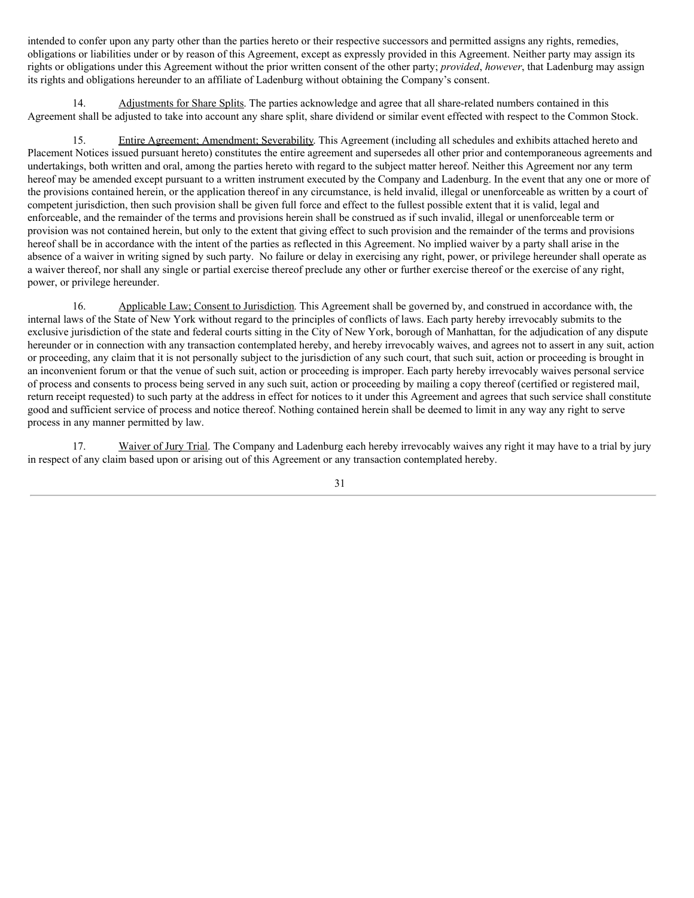intended to confer upon any party other than the parties hereto or their respective successors and permitted assigns any rights, remedies, obligations or liabilities under or by reason of this Agreement, except as expressly provided in this Agreement. Neither party may assign its rights or obligations under this Agreement without the prior written consent of the other party; *provided*, *however*, that Ladenburg may assign its rights and obligations hereunder to an affiliate of Ladenburg without obtaining the Company's consent.

14. Adjustments for Share Splits. The parties acknowledge and agree that all share-related numbers contained in this Agreement shall be adjusted to take into account any share split, share dividend or similar event effected with respect to the Common Stock.

15. Entire Agreement; Amendment; Severability. This Agreement (including all schedules and exhibits attached hereto and Placement Notices issued pursuant hereto) constitutes the entire agreement and supersedes all other prior and contemporaneous agreements and undertakings, both written and oral, among the parties hereto with regard to the subject matter hereof. Neither this Agreement nor any term hereof may be amended except pursuant to a written instrument executed by the Company and Ladenburg. In the event that any one or more of the provisions contained herein, or the application thereof in any circumstance, is held invalid, illegal or unenforceable as written by a court of competent jurisdiction, then such provision shall be given full force and effect to the fullest possible extent that it is valid, legal and enforceable, and the remainder of the terms and provisions herein shall be construed as if such invalid, illegal or unenforceable term or provision was not contained herein, but only to the extent that giving effect to such provision and the remainder of the terms and provisions hereof shall be in accordance with the intent of the parties as reflected in this Agreement. No implied waiver by a party shall arise in the absence of a waiver in writing signed by such party. No failure or delay in exercising any right, power, or privilege hereunder shall operate as a waiver thereof, nor shall any single or partial exercise thereof preclude any other or further exercise thereof or the exercise of any right, power, or privilege hereunder.

16. Applicable Law; Consent to Jurisdiction. This Agreement shall be governed by, and construed in accordance with, the internal laws of the State of New York without regard to the principles of conflicts of laws. Each party hereby irrevocably submits to the exclusive jurisdiction of the state and federal courts sitting in the City of New York, borough of Manhattan, for the adjudication of any dispute hereunder or in connection with any transaction contemplated hereby, and hereby irrevocably waives, and agrees not to assert in any suit, action or proceeding, any claim that it is not personally subject to the jurisdiction of any such court, that such suit, action or proceeding is brought in an inconvenient forum or that the venue of such suit, action or proceeding is improper. Each party hereby irrevocably waives personal service of process and consents to process being served in any such suit, action or proceeding by mailing a copy thereof (certified or registered mail, return receipt requested) to such party at the address in effect for notices to it under this Agreement and agrees that such service shall constitute good and sufficient service of process and notice thereof. Nothing contained herein shall be deemed to limit in any way any right to serve process in any manner permitted by law.

17. Waiver of Jury Trial. The Company and Ladenburg each hereby irrevocably waives any right it may have to a trial by jury in respect of any claim based upon or arising out of this Agreement or any transaction contemplated hereby.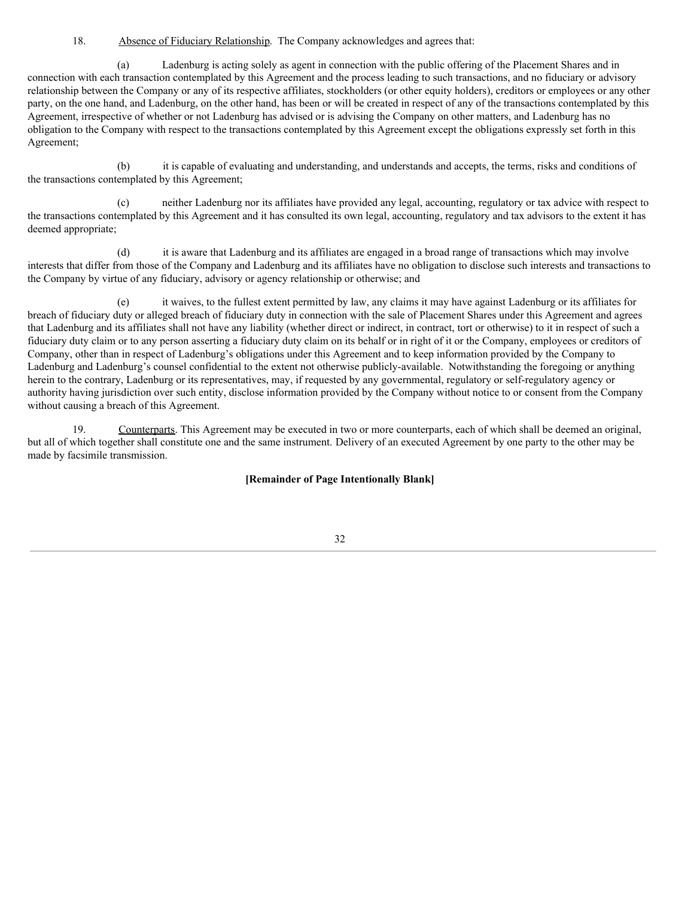18. Absence of Fiduciary Relationship. The Company acknowledges and agrees that:

(a) Ladenburg is acting solely as agent in connection with the public offering of the Placement Shares and in connection with each transaction contemplated by this Agreement and the process leading to such transactions, and no fiduciary or advisory relationship between the Company or any of its respective affiliates, stockholders (or other equity holders), creditors or employees or any other party, on the one hand, and Ladenburg, on the other hand, has been or will be created in respect of any of the transactions contemplated by this Agreement, irrespective of whether or not Ladenburg has advised or is advising the Company on other matters, and Ladenburg has no obligation to the Company with respect to the transactions contemplated by this Agreement except the obligations expressly set forth in this Agreement;

(b) it is capable of evaluating and understanding, and understands and accepts, the terms, risks and conditions of the transactions contemplated by this Agreement;

(c) neither Ladenburg nor its affiliates have provided any legal, accounting, regulatory or tax advice with respect to the transactions contemplated by this Agreement and it has consulted its own legal, accounting, regulatory and tax advisors to the extent it has deemed appropriate;

(d) it is aware that Ladenburg and its affiliates are engaged in a broad range of transactions which may involve interests that differ from those of the Company and Ladenburg and its affiliates have no obligation to disclose such interests and transactions to the Company by virtue of any fiduciary, advisory or agency relationship or otherwise; and

(e) it waives, to the fullest extent permitted by law, any claims it may have against Ladenburg or its affiliates for breach of fiduciary duty or alleged breach of fiduciary duty in connection with the sale of Placement Shares under this Agreement and agrees that Ladenburg and its affiliates shall not have any liability (whether direct or indirect, in contract, tort or otherwise) to it in respect of such a fiduciary duty claim or to any person asserting a fiduciary duty claim on its behalf or in right of it or the Company, employees or creditors of Company, other than in respect of Ladenburg's obligations under this Agreement and to keep information provided by the Company to Ladenburg and Ladenburg's counsel confidential to the extent not otherwise publicly-available. Notwithstanding the foregoing or anything herein to the contrary, Ladenburg or its representatives, may, if requested by any governmental, regulatory or self-regulatory agency or authority having jurisdiction over such entity, disclose information provided by the Company without notice to or consent from the Company without causing a breach of this Agreement.

Counterparts. This Agreement may be executed in two or more counterparts, each of which shall be deemed an original, but all of which together shall constitute one and the same instrument. Delivery of an executed Agreement by one party to the other may be made by facsimile transmission.

**[Remainder of Page Intentionally Blank]**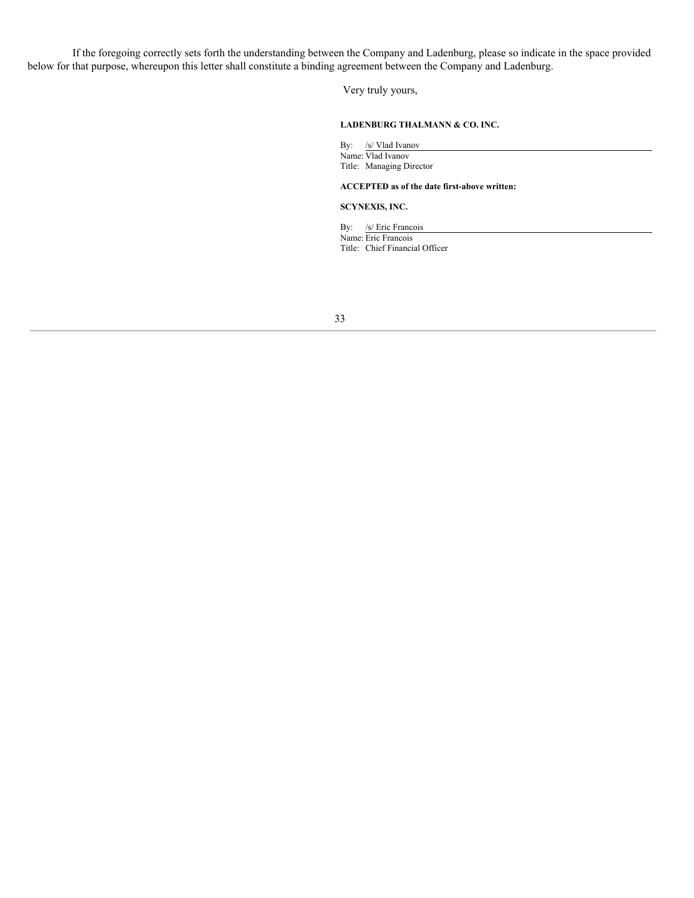If the foregoing correctly sets forth the understanding between the Company and Ladenburg, please so indicate in the space provided below for that purpose, whereupon this letter shall constitute a binding agreement between the Company and Ladenburg.

Very truly yours,

### **LADENBURG THALMANN & CO. INC.**

By: /s/ Vlad Ivanov Name: Vlad Ivanov Title: Managing Director

**ACCEPTED as of the date first-above written:**

#### **SCYNEXIS, INC.**

By: /s/ Eric Francois Name: Eric Francois Title: Chief Financial Officer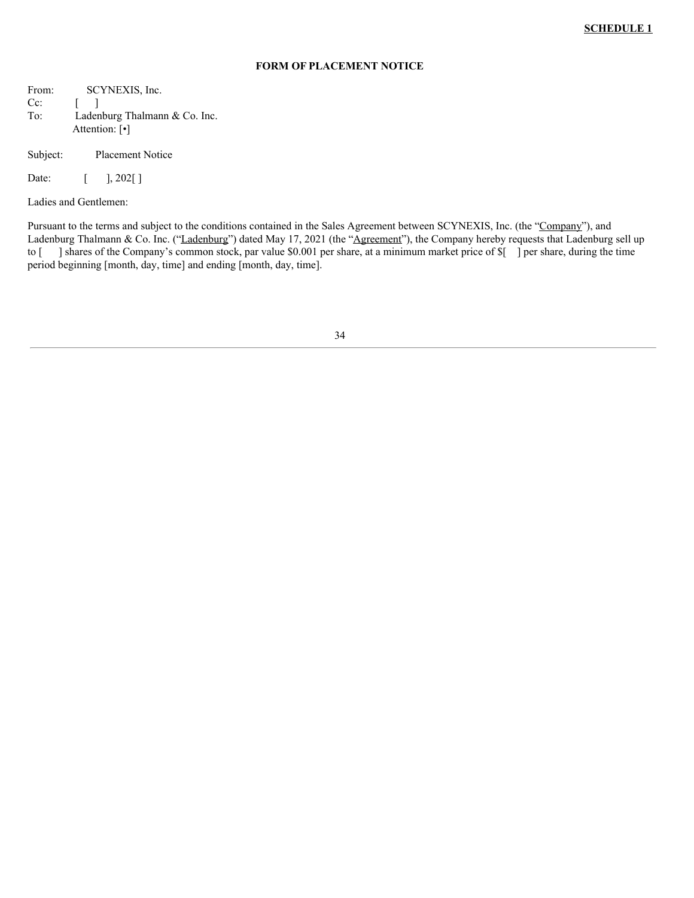### **FORM OF PLACEMENT NOTICE**

From: SCYNEXIS, Inc. Cc: [ ] To: Ladenburg Thalmann & Co. Inc. Attention: [•]

Subject: Placement Notice

Date: [ ], 202[]

Ladies and Gentlemen:

Pursuant to the terms and subject to the conditions contained in the Sales Agreement between SCYNEXIS, Inc. (the "Company"), and Ladenburg Thalmann & Co. Inc. ("Ladenburg") dated May 17, 2021 (the "Agreement"), the Company hereby requests that Ladenburg sell up to [ ] shares of the Company's common stock, par value \$0.001 per share, at a minimum market price of \$[ ] per share, during the time period beginning [month, day, time] and ending [month, day, time].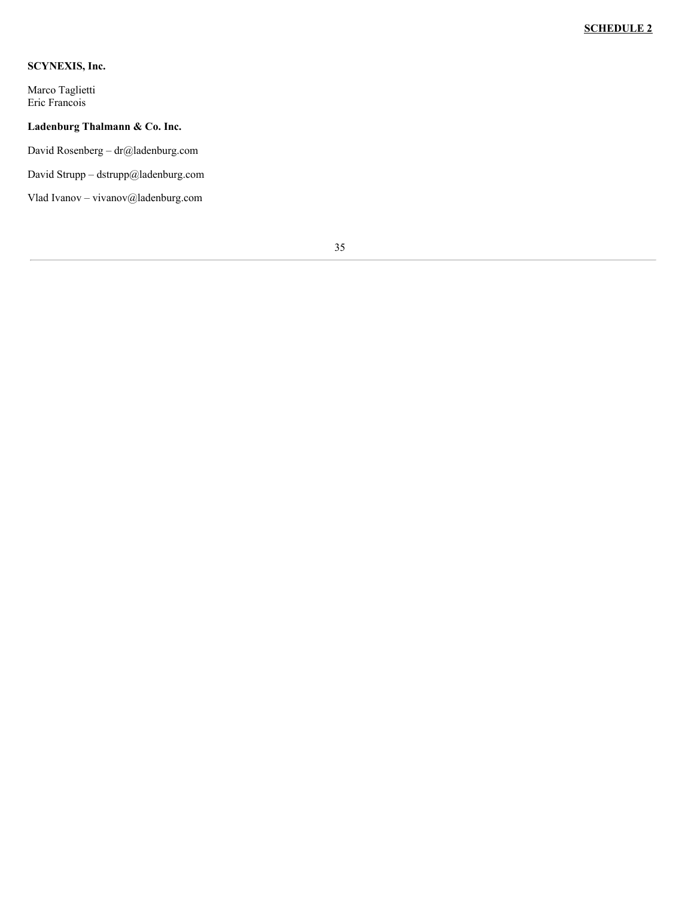## **SCYNEXIS, Inc.**

Marco Taglietti Eric Francois

## **Ladenburg Thalmann & Co. Inc.**

David Rosenberg – dr@ladenburg.com

David Strupp – dstrupp@ladenburg.com

Vlad Ivanov – vivanov@ladenburg.com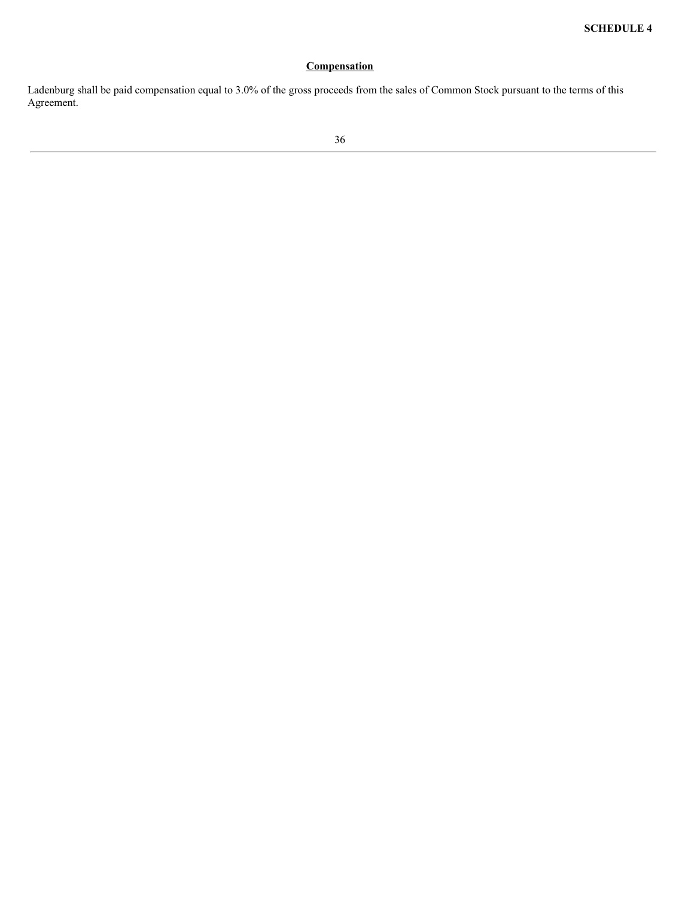## **Compensation**

Ladenburg shall be paid compensation equal to 3.0% of the gross proceeds from the sales of Common Stock pursuant to the terms of this Agreement.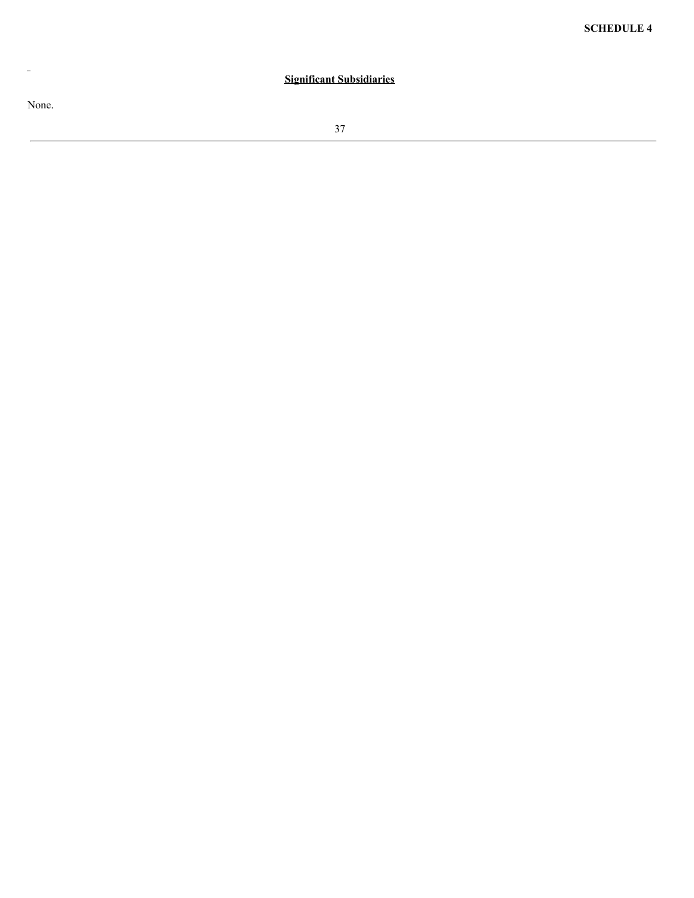# **Significant Subsidiaries**

None.

 $\perp$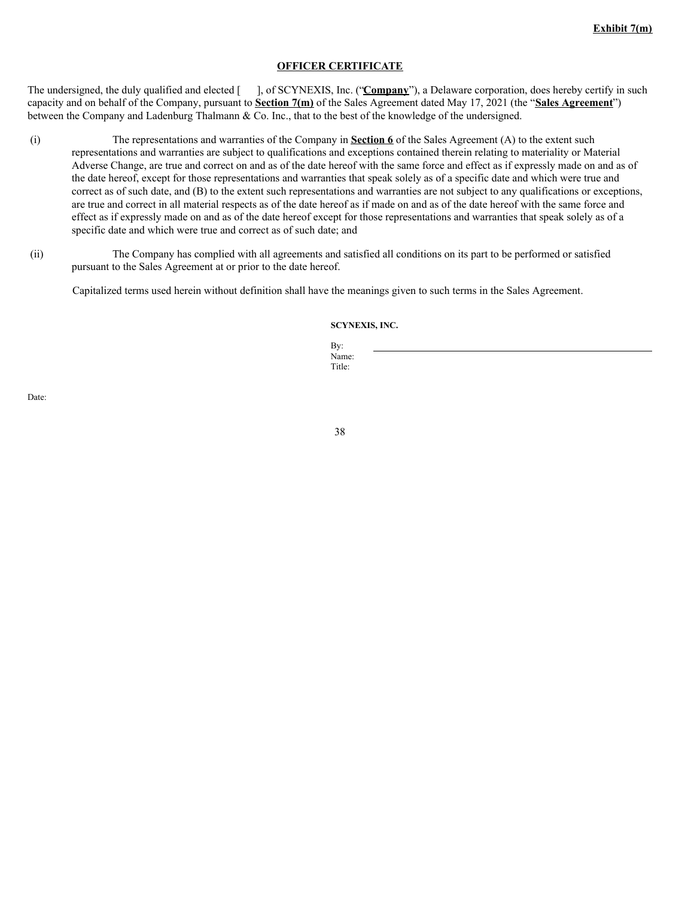### **OFFICER CERTIFICATE**

The undersigned, the duly qualified and elected [ ], of SCYNEXIS, Inc. ("**Company**"), a Delaware corporation, does hereby certify in such capacity and on behalf of the Company, pursuant to **Section 7(m)** of the Sales Agreement dated May 17, 2021 (the "**Sales Agreement**") between the Company and Ladenburg Thalmann & Co. Inc., that to the best of the knowledge of the undersigned.

- (i) The representations and warranties of the Company in **Section 6** of the Sales Agreement (A) to the extent such representations and warranties are subject to qualifications and exceptions contained therein relating to materiality or Material Adverse Change, are true and correct on and as of the date hereof with the same force and effect as if expressly made on and as of the date hereof, except for those representations and warranties that speak solely as of a specific date and which were true and correct as of such date, and (B) to the extent such representations and warranties are not subject to any qualifications or exceptions, are true and correct in all material respects as of the date hereof as if made on and as of the date hereof with the same force and effect as if expressly made on and as of the date hereof except for those representations and warranties that speak solely as of a specific date and which were true and correct as of such date; and
- (ii) The Company has complied with all agreements and satisfied all conditions on its part to be performed or satisfied pursuant to the Sales Agreement at or prior to the date hereof.

Capitalized terms used herein without definition shall have the meanings given to such terms in the Sales Agreement.

#### **SCYNEXIS, INC.**

By: Name: Title:

Date: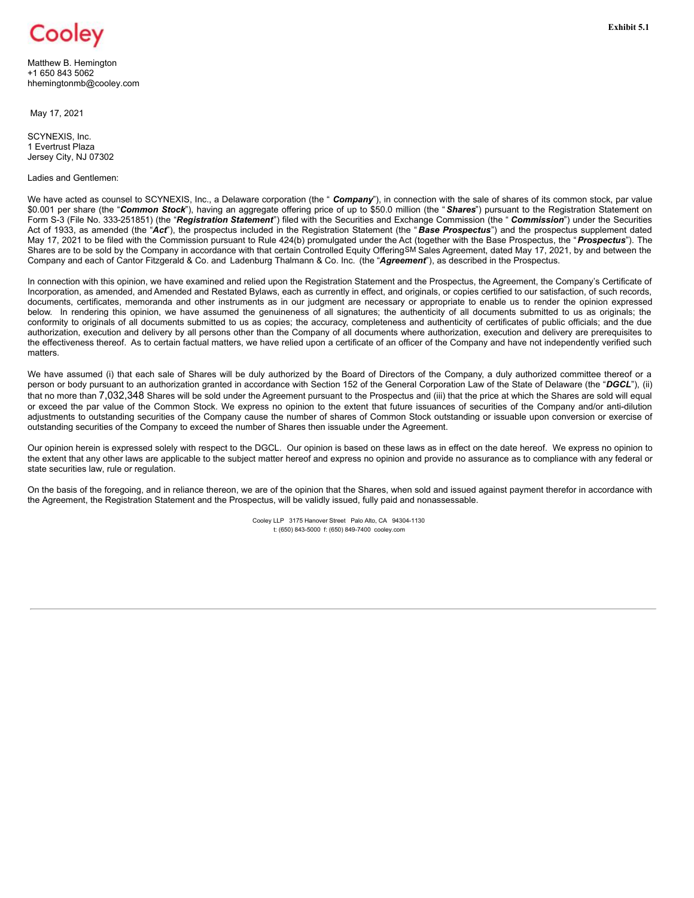

**Exhibit 5.1**

Matthew B. Hemington +1 650 843 5062 hhemingtonmb@cooley.com

May 17, 2021

SCYNEXIS, Inc. 1 Evertrust Plaza Jersey City, NJ 07302

Ladies and Gentlemen:

We have acted as counsel to SCYNEXIS, Inc., a Delaware corporation (the " **Company**"), in connection with the sale of shares of its common stock, par value \$0.001 per share (the "*Common Stock*"), having an aggregate offering price of up to \$50.0 million (the "*Shares*") pursuant to the Registration Statement on Form S-3 (File No. 333-251851) (the "*Registration Statement*") filed with the Securities and Exchange Commission (the " *Commission*") under the Securities Act of 1933, as amended (the "*Act*"), the prospectus included in the Registration Statement (the " *Base Prospectus*") and the prospectus supplement dated May 17, 2021 to be filed with the Commission pursuant to Rule 424(b) promulgated under the Act (together with the Base Prospectus, the "*Prospectus*"). The Shares are to be sold by the Company in accordance with that certain Controlled Equity OfferingSM Sales Agreement, dated May 17, 2021, by and between the Company and each of Cantor Fitzgerald & Co. and Ladenburg Thalmann & Co. Inc. (the "*Agreement*"), as described in the Prospectus.

In connection with this opinion, we have examined and relied upon the Registration Statement and the Prospectus, the Agreement, the Company's Certificate of Incorporation, as amended, and Amended and Restated Bylaws, each as currently in effect, and originals, or copies certified to our satisfaction, of such records, documents, certificates, memoranda and other instruments as in our judgment are necessary or appropriate to enable us to render the opinion expressed below. In rendering this opinion, we have assumed the genuineness of all signatures; the authenticity of all documents submitted to us as originals; the conformity to originals of all documents submitted to us as copies; the accuracy, completeness and authenticity of certificates of public officials; and the due authorization, execution and delivery by all persons other than the Company of all documents where authorization, execution and delivery are prerequisites to the effectiveness thereof. As to certain factual matters, we have relied upon a certificate of an officer of the Company and have not independently verified such matters.

We have assumed (i) that each sale of Shares will be duly authorized by the Board of Directors of the Company, a duly authorized committee thereof or a person or body pursuant to an authorization granted in accordance with Section 152 of the General Corporation Law of the State of Delaware (the "*DGCL*"), (ii) that no more than 7,032,348 Shares will be sold under the Agreement pursuant to the Prospectus and (iii) that the price at which the Shares are sold will equal or exceed the par value of the Common Stock. We express no opinion to the extent that future issuances of securities of the Company and/or anti-dilution adjustments to outstanding securities of the Company cause the number of shares of Common Stock outstanding or issuable upon conversion or exercise of outstanding securities of the Company to exceed the number of Shares then issuable under the Agreement.

Our opinion herein is expressed solely with respect to the DGCL. Our opinion is based on these laws as in effect on the date hereof. We express no opinion to the extent that any other laws are applicable to the subject matter hereof and express no opinion and provide no assurance as to compliance with any federal or state securities law, rule or regulation.

On the basis of the foregoing, and in reliance thereon, we are of the opinion that the Shares, when sold and issued against payment therefor in accordance with the Agreement, the Registration Statement and the Prospectus, will be validly issued, fully paid and nonassessable.

> Cooley LLP 3175 Hanover Street Palo Alto, CA 94304-1130 t: (650) 843-5000 f: (650) 849-7400 cooley.com